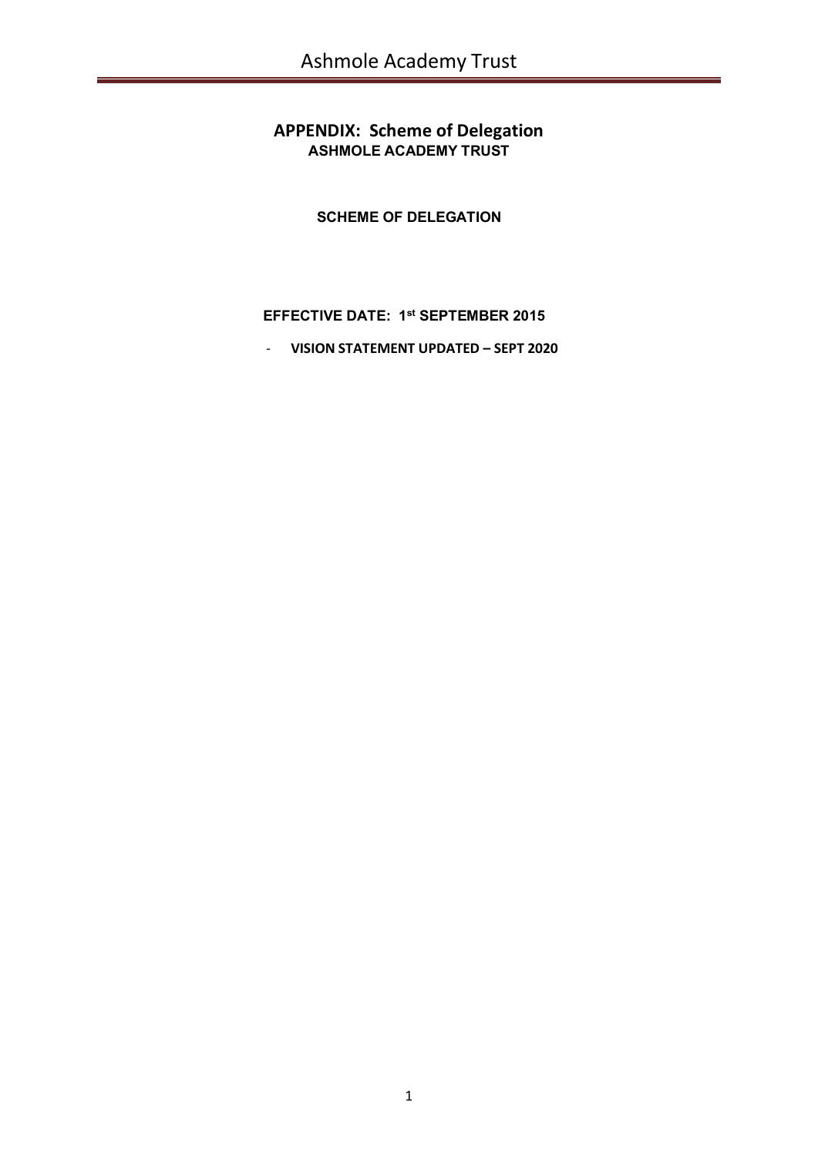# **APPENDIX: Scheme of Delegation ASHMOLE ACADEMY TRUST**

**SCHEME OF DELEGATION**

# **EFFECTIVE DATE: 1 st SEPTEMBER 2015**

- **VISION STATEMENT UPDATED – SEPT 2020**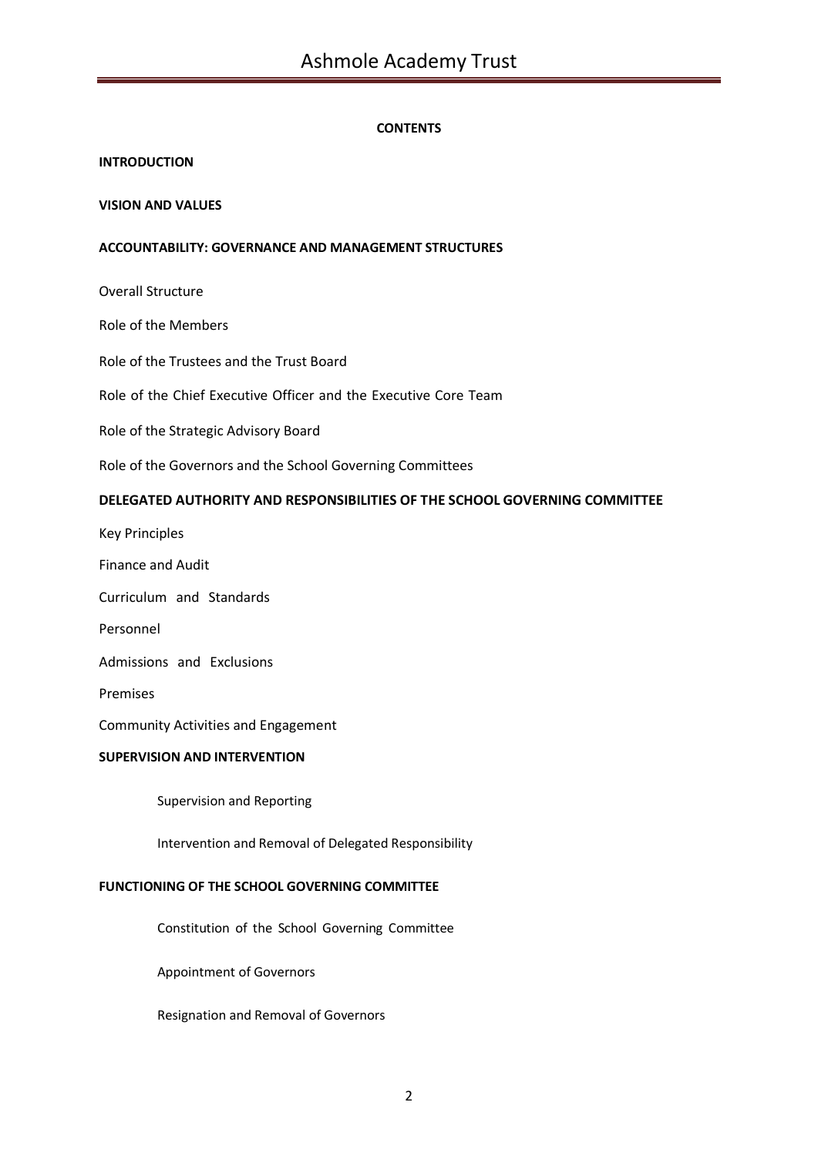## **CONTENTS**

## **INTRODUCTION**

## **VISION AND VALUES**

## **ACCOUNTABILITY: GOVERNANCE AND MANAGEMENT STRUCTURES**

Overall Structure

Role of the Members

Role of the Trustees and the Trust Board

Role of the Chief Executive Officer and the Executive Core Team

Role of the Strategic Advisory Board

Role of the Governors and the School Governing Committees

## **DELEGATED AUTHORITY AND RESPONSIBILITIES OF THE SCHOOL GOVERNING COMMITTEE**

Key Principles

Finance and Audit

Curriculum and Standards

Personnel

Admissions and Exclusions

Premises

Community Activities and Engagement

## **SUPERVISION AND INTERVENTION**

Supervision and Reporting

Intervention and Removal of Delegated Responsibility

## **FUNCTIONING OF THE SCHOOL GOVERNING COMMITTEE**

Constitution of the School Governing Committee

Appointment of Governors

Resignation and Removal of Governors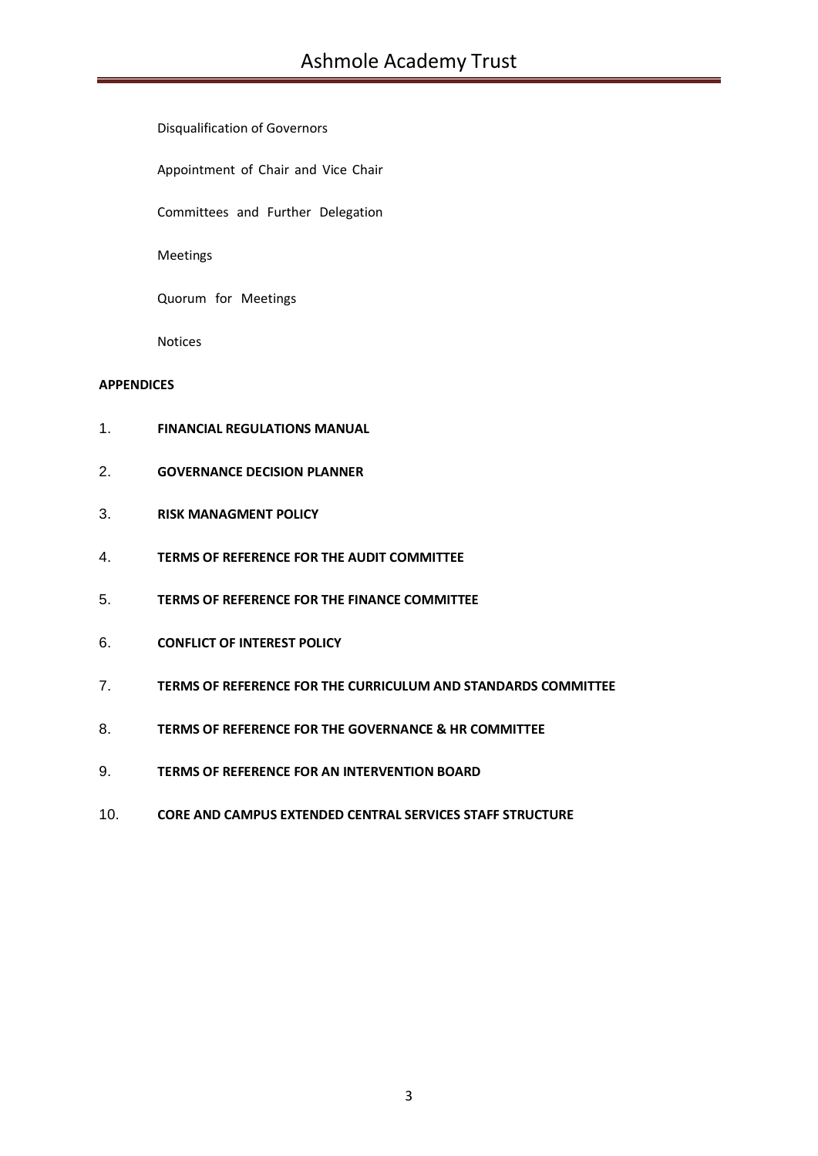Disqualification of Governors

Appointment of Chair and Vice Chair

Committees and Further Delegation

Meetings

Quorum for Meetings

Notices

## **APPENDICES**

- 1. **FINANCIAL REGULATIONS MANUAL**
- 2. **GOVERNANCE DECISION PLANNER**
- 3. **RISK MANAGMENT POLICY**
- 4. **TERMS OF REFERENCE FOR THE AUDIT COMMITTEE**
- 5. **TERMS OF REFERENCE FOR THE FINANCE COMMITTEE**
- 6. **CONFLICT OF INTEREST POLICY**
- 7. **TERMS OF REFERENCE FOR THE CURRICULUM AND STANDARDS COMMITTEE**
- 8. **TERMS OF REFERENCE FOR THE GOVERNANCE & HR COMMITTEE**
- 9. **TERMS OF REFERENCE FOR AN INTERVENTION BOARD**
- 10. **CORE AND CAMPUS EXTENDED CENTRAL SERVICES STAFF STRUCTURE**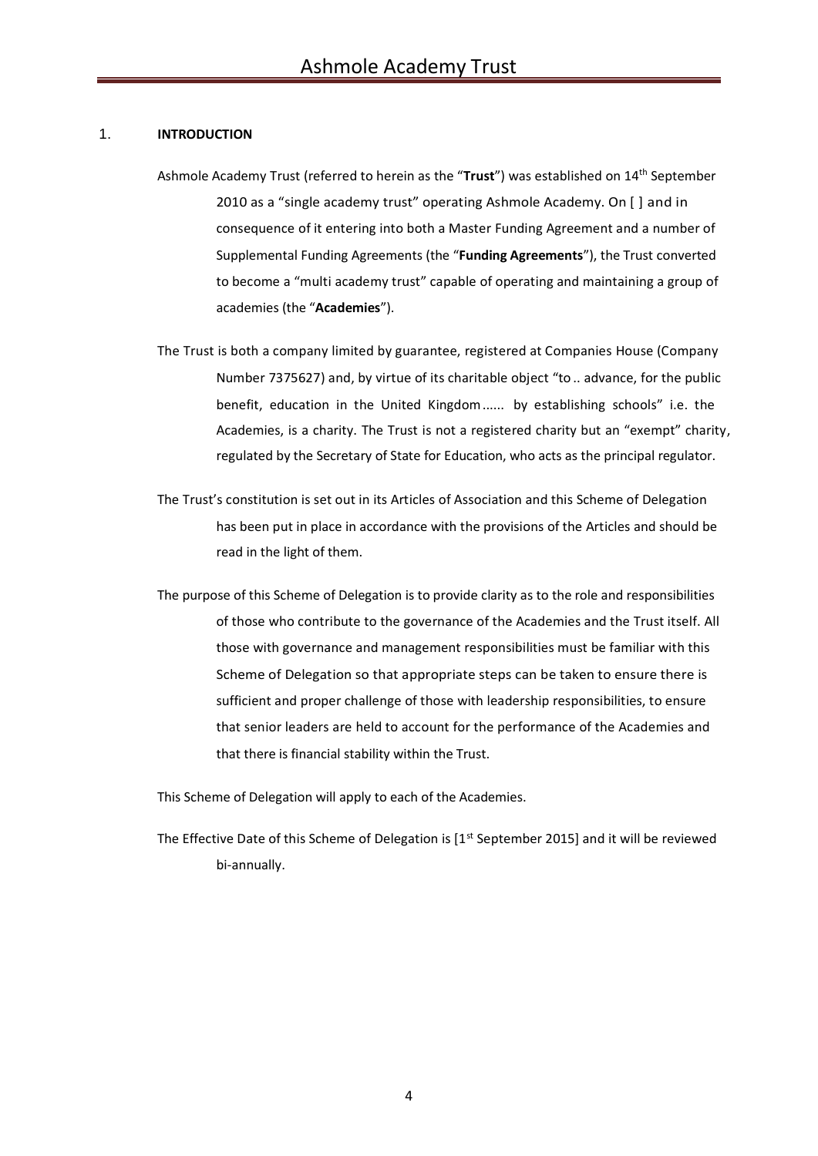## 1. **INTRODUCTION**

- Ashmole Academy Trust (referred to herein as the "**Trust**") was established on 14th September 2010 as a "single academy trust" operating Ashmole Academy. On [ ] and in consequence of it entering into both a Master Funding Agreement and a number of Supplemental Funding Agreements (the "**Funding Agreements**"), the Trust converted to become a "multi academy trust" capable of operating and maintaining a group of academies (the "**Academies**").
- The Trust is both a company limited by guarantee, registered at Companies House (Company Number 7375627) and, by virtue of its charitable object "to .. advance, for the public benefit, education in the United Kingdom...... by establishing schools" i.e. the Academies, is a charity. The Trust is not a registered charity but an "exempt" charity, regulated by the Secretary of State for Education, who acts as the principal regulator.
- The Trust's constitution is set out in its Articles of Association and this Scheme of Delegation has been put in place in accordance with the provisions of the Articles and should be read in the light of them.
- The purpose of this Scheme of Delegation is to provide clarity as to the role and responsibilities of those who contribute to the governance of the Academies and the Trust itself. All those with governance and management responsibilities must be familiar with this Scheme of Delegation so that appropriate steps can be taken to ensure there is sufficient and proper challenge of those with leadership responsibilities, to ensure that senior leaders are held to account for the performance of the Academies and that there is financial stability within the Trust.

This Scheme of Delegation will apply to each of the Academies.

The Effective Date of this Scheme of Delegation is [1<sup>st</sup> September 2015] and it will be reviewed bi-annually.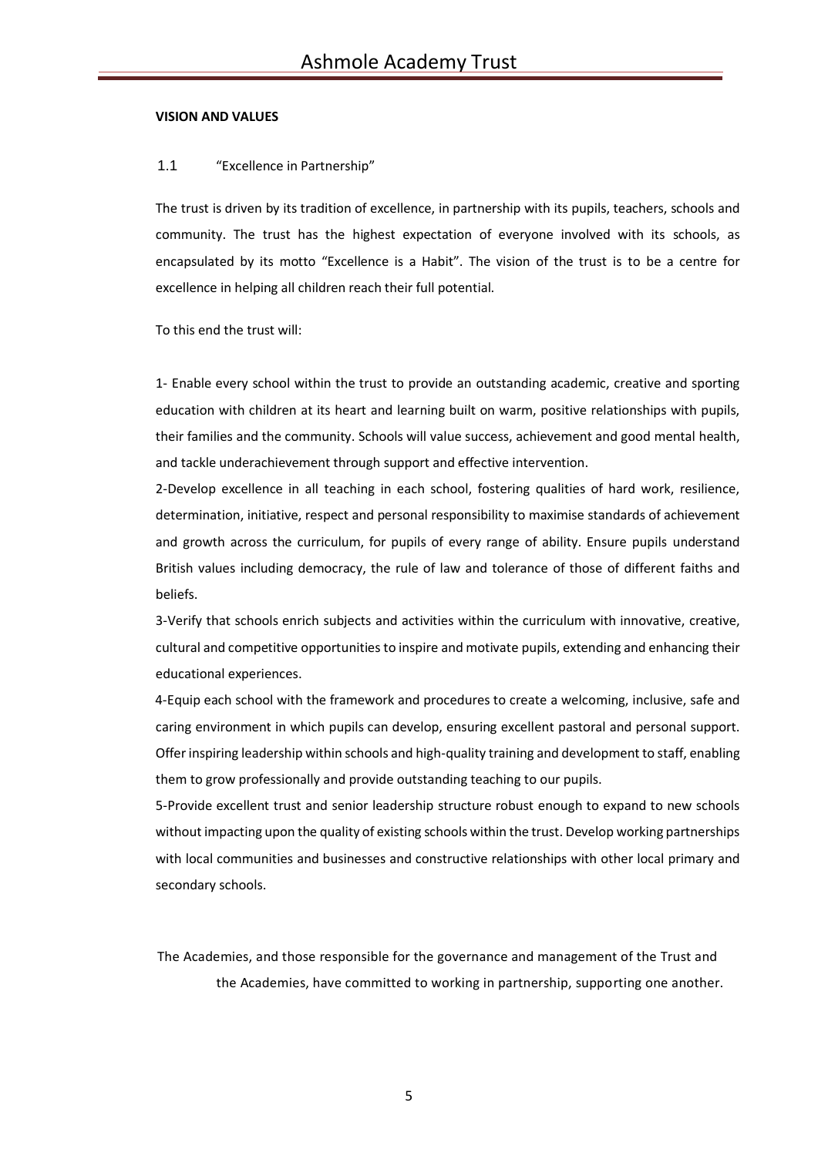## **VISION AND VALUES**

## 1.1 "Excellence in Partnership"

The trust is driven by its tradition of excellence, in partnership with its pupils, teachers, schools and community. The trust has the highest expectation of everyone involved with its schools, as encapsulated by its motto "Excellence is a Habit". The vision of the trust is to be a centre for excellence in helping all children reach their full potential.

To this end the trust will:

1- Enable every school within the trust to provide an outstanding academic, creative and sporting education with children at its heart and learning built on warm, positive relationships with pupils, their families and the community. Schools will value success, achievement and good mental health, and tackle underachievement through support and effective intervention.

2-Develop excellence in all teaching in each school, fostering qualities of hard work, resilience, determination, initiative, respect and personal responsibility to maximise standards of achievement and growth across the curriculum, for pupils of every range of ability. Ensure pupils understand British values including democracy, the rule of law and tolerance of those of different faiths and beliefs.

3-Verify that schools enrich subjects and activities within the curriculum with innovative, creative, cultural and competitive opportunities to inspire and motivate pupils, extending and enhancing their educational experiences.

4-Equip each school with the framework and procedures to create a welcoming, inclusive, safe and caring environment in which pupils can develop, ensuring excellent pastoral and personal support. Offer inspiring leadership within schools and high-quality training and development to staff, enabling them to grow professionally and provide outstanding teaching to our pupils.

5-Provide excellent trust and senior leadership structure robust enough to expand to new schools without impacting upon the quality of existing schools within the trust. Develop working partnerships with local communities and businesses and constructive relationships with other local primary and secondary schools.

The Academies, and those responsible for the governance and management of the Trust and the Academies, have committed to working in partnership, supporting one another.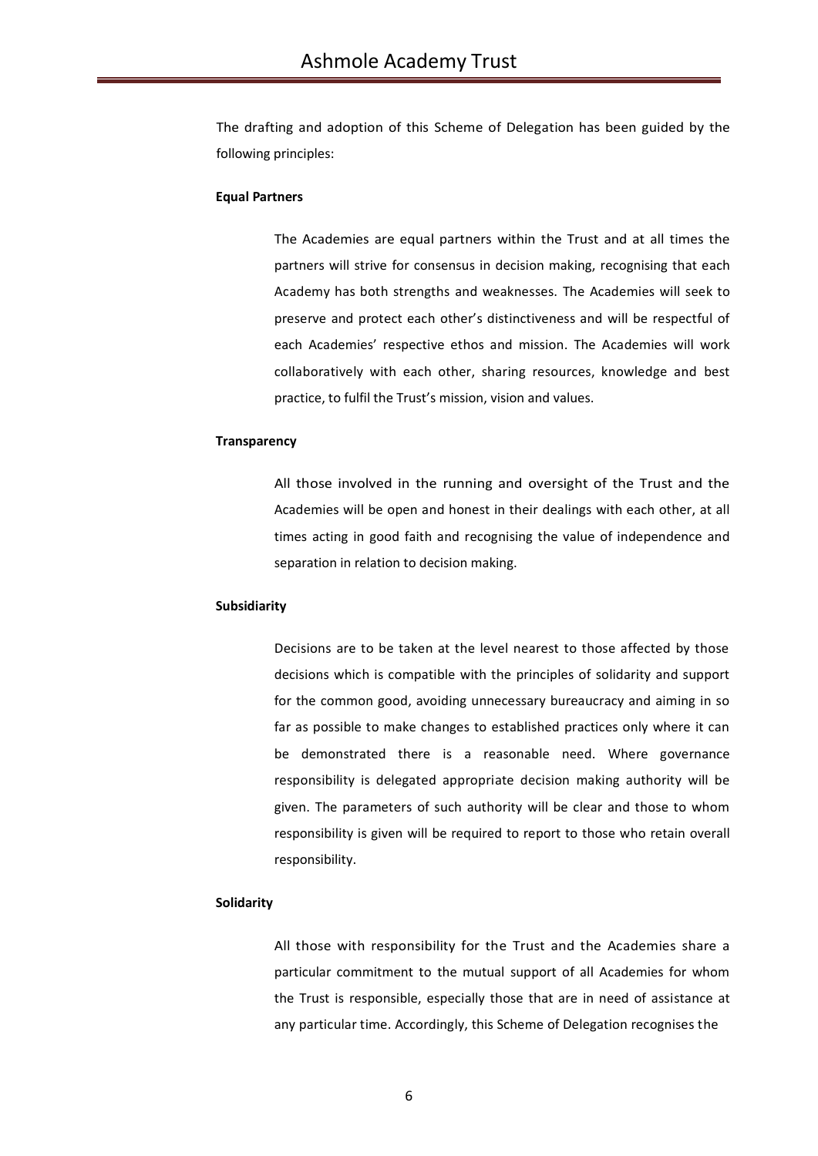The drafting and adoption of this Scheme of Delegation has been guided by the following principles:

### **Equal Partners**

The Academies are equal partners within the Trust and at all times the partners will strive for consensus in decision making, recognising that each Academy has both strengths and weaknesses. The Academies will seek to preserve and protect each other's distinctiveness and will be respectful of each Academies' respective ethos and mission. The Academies will work collaboratively with each other, sharing resources, knowledge and best practice, to fulfil the Trust's mission, vision and values.

#### **Transparency**

All those involved in the running and oversight of the Trust and the Academies will be open and honest in their dealings with each other, at all times acting in good faith and recognising the value of independence and separation in relation to decision making.

#### **Subsidiarity**

Decisions are to be taken at the level nearest to those affected by those decisions which is compatible with the principles of solidarity and support for the common good, avoiding unnecessary bureaucracy and aiming in so far as possible to make changes to established practices only where it can be demonstrated there is a reasonable need. Where governance responsibility is delegated appropriate decision making authority will be given. The parameters of such authority will be clear and those to whom responsibility is given will be required to report to those who retain overall responsibility.

#### **Solidarity**

All those with responsibility for the Trust and the Academies share a particular commitment to the mutual support of all Academies for whom the Trust is responsible, especially those that are in need of assistance at any particular time. Accordingly, this Scheme of Delegation recognises the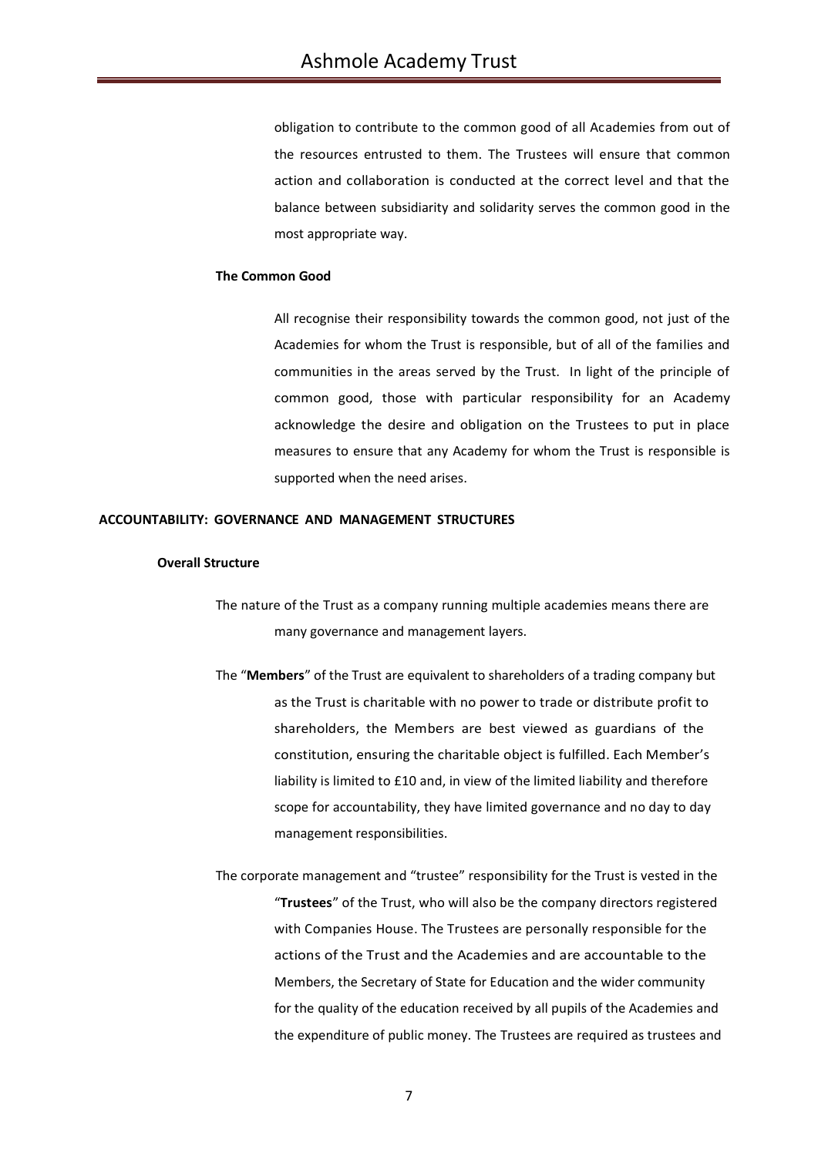obligation to contribute to the common good of all Academies from out of the resources entrusted to them. The Trustees will ensure that common action and collaboration is conducted at the correct level and that the balance between subsidiarity and solidarity serves the common good in the most appropriate way.

## **The Common Good**

All recognise their responsibility towards the common good, not just of the Academies for whom the Trust is responsible, but of all of the families and communities in the areas served by the Trust. In light of the principle of common good, those with particular responsibility for an Academy acknowledge the desire and obligation on the Trustees to put in place measures to ensure that any Academy for whom the Trust is responsible is supported when the need arises.

## **ACCOUNTABILITY: GOVERNANCE AND MANAGEMENT STRUCTURES**

### **Overall Structure**

- The nature of the Trust as a company running multiple academies means there are many governance and management layers.
- The "**Members**" of the Trust are equivalent to shareholders of a trading company but as the Trust is charitable with no power to trade or distribute profit to shareholders, the Members are best viewed as guardians of the constitution, ensuring the charitable object is fulfilled. Each Member's liability is limited to £10 and, in view of the limited liability and therefore scope for accountability, they have limited governance and no day to day management responsibilities.
- The corporate management and "trustee" responsibility for the Trust is vested in the "**Trustees**" of the Trust, who will also be the company directors registered with Companies House. The Trustees are personally responsible for the actions of the Trust and the Academies and are accountable to the Members, the Secretary of State for Education and the wider community for the quality of the education received by all pupils of the Academies and the expenditure of public money. The Trustees are required as trustees and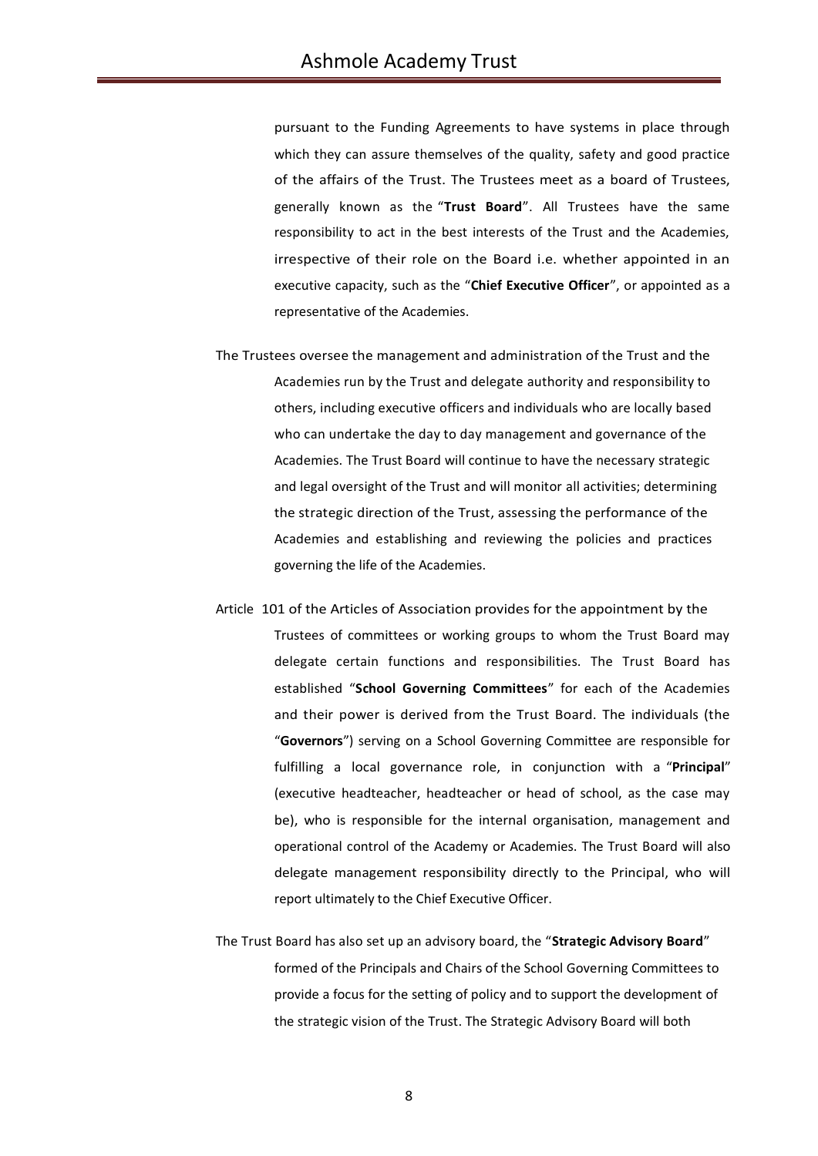pursuant to the Funding Agreements to have systems in place through which they can assure themselves of the quality, safety and good practice of the affairs of the Trust. The Trustees meet as a board of Trustees, generally known as the "**Trust Board**". All Trustees have the same responsibility to act in the best interests of the Trust and the Academies, irrespective of their role on the Board i.e. whether appointed in an executive capacity, such as the "**Chief Executive Officer**", or appointed as a representative of the Academies.

- The Trustees oversee the management and administration of the Trust and the Academies run by the Trust and delegate authority and responsibility to others, including executive officers and individuals who are locally based who can undertake the day to day management and governance of the Academies. The Trust Board will continue to have the necessary strategic and legal oversight of the Trust and will monitor all activities; determining the strategic direction of the Trust, assessing the performance of the Academies and establishing and reviewing the policies and practices governing the life of the Academies.
- Article 101 of the Articles of Association provides for the appointment by the Trustees of committees or working groups to whom the Trust Board may delegate certain functions and responsibilities. The Trust Board has established "**School Governing Committees**" for each of the Academies and their power is derived from the Trust Board. The individuals (the "**Governors**") serving on a School Governing Committee are responsible for fulfilling a local governance role, in conjunction with a "**Principal**" (executive headteacher, headteacher or head of school, as the case may be), who is responsible for the internal organisation, management and operational control of the Academy or Academies. The Trust Board will also delegate management responsibility directly to the Principal, who will report ultimately to the Chief Executive Officer.
- The Trust Board has also set up an advisory board, the "**Strategic Advisory Board**" formed of the Principals and Chairs of the School Governing Committees to provide a focus for the setting of policy and to support the development of the strategic vision of the Trust. The Strategic Advisory Board will both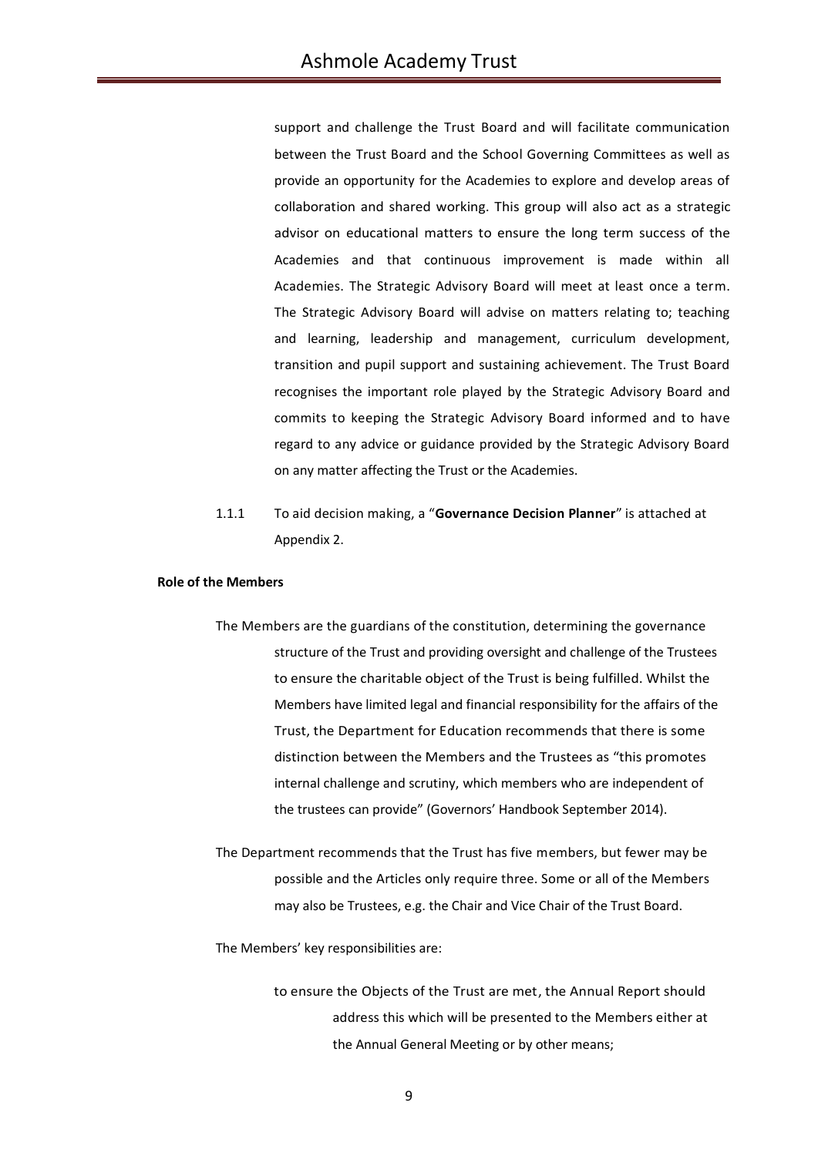support and challenge the Trust Board and will facilitate communication between the Trust Board and the School Governing Committees as well as provide an opportunity for the Academies to explore and develop areas of collaboration and shared working. This group will also act as a strategic advisor on educational matters to ensure the long term success of the Academies and that continuous improvement is made within all Academies. The Strategic Advisory Board will meet at least once a term. The Strategic Advisory Board will advise on matters relating to; teaching and learning, leadership and management, curriculum development, transition and pupil support and sustaining achievement. The Trust Board recognises the important role played by the Strategic Advisory Board and commits to keeping the Strategic Advisory Board informed and to have regard to any advice or guidance provided by the Strategic Advisory Board on any matter affecting the Trust or the Academies.

1.1.1 To aid decision making, a "**Governance Decision Planner**" is attached at Appendix 2.

### **Role of the Members**

- The Members are the guardians of the constitution, determining the governance structure of the Trust and providing oversight and challenge of the Trustees to ensure the charitable object of the Trust is being fulfilled. Whilst the Members have limited legal and financial responsibility for the affairs of the Trust, the Department for Education recommends that there is some distinction between the Members and the Trustees as "this promotes internal challenge and scrutiny, which members who are independent of the trustees can provide" (Governors' Handbook September 2014).
- The Department recommends that the Trust has five members, but fewer may be possible and the Articles only require three. Some or all of the Members may also be Trustees, e.g. the Chair and Vice Chair of the Trust Board.

The Members' key responsibilities are:

to ensure the Objects of the Trust are met, the Annual Report should address this which will be presented to the Members either at the Annual General Meeting or by other means;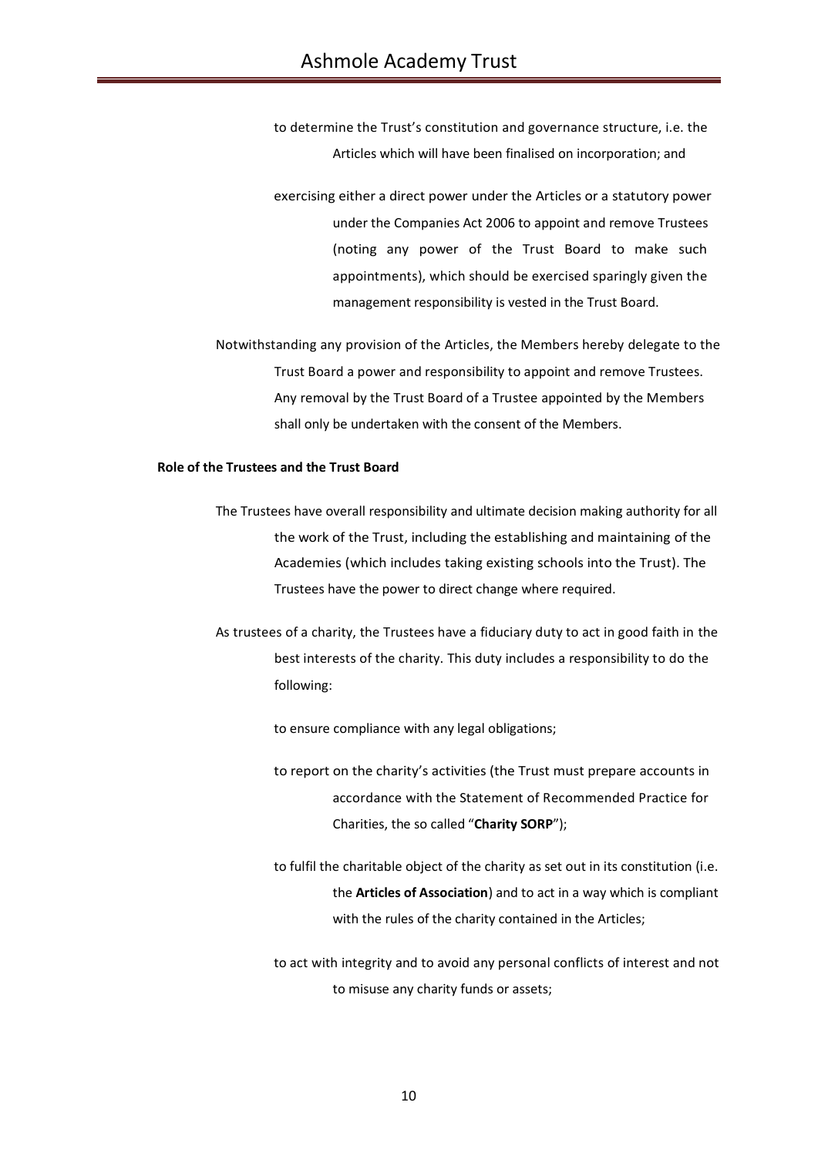to determine the Trust's constitution and governance structure, i.e. the Articles which will have been finalised on incorporation; and

exercising either a direct power under the Articles or a statutory power under the Companies Act 2006 to appoint and remove Trustees (noting any power of the Trust Board to make such appointments), which should be exercised sparingly given the management responsibility is vested in the Trust Board.

Notwithstanding any provision of the Articles, the Members hereby delegate to the Trust Board a power and responsibility to appoint and remove Trustees. Any removal by the Trust Board of a Trustee appointed by the Members shall only be undertaken with the consent of the Members.

#### **Role of the Trustees and the Trust Board**

- The Trustees have overall responsibility and ultimate decision making authority for all the work of the Trust, including the establishing and maintaining of the Academies (which includes taking existing schools into the Trust). The Trustees have the power to direct change where required.
- As trustees of a charity, the Trustees have a fiduciary duty to act in good faith in the best interests of the charity. This duty includes a responsibility to do the following:
	- to ensure compliance with any legal obligations;
	- to report on the charity's activities (the Trust must prepare accounts in accordance with the Statement of Recommended Practice for Charities, the so called "**Charity SORP**");
	- to fulfil the charitable object of the charity as set out in its constitution (i.e. the **Articles of Association**) and to act in a way which is compliant with the rules of the charity contained in the Articles;
	- to act with integrity and to avoid any personal conflicts of interest and not to misuse any charity funds or assets;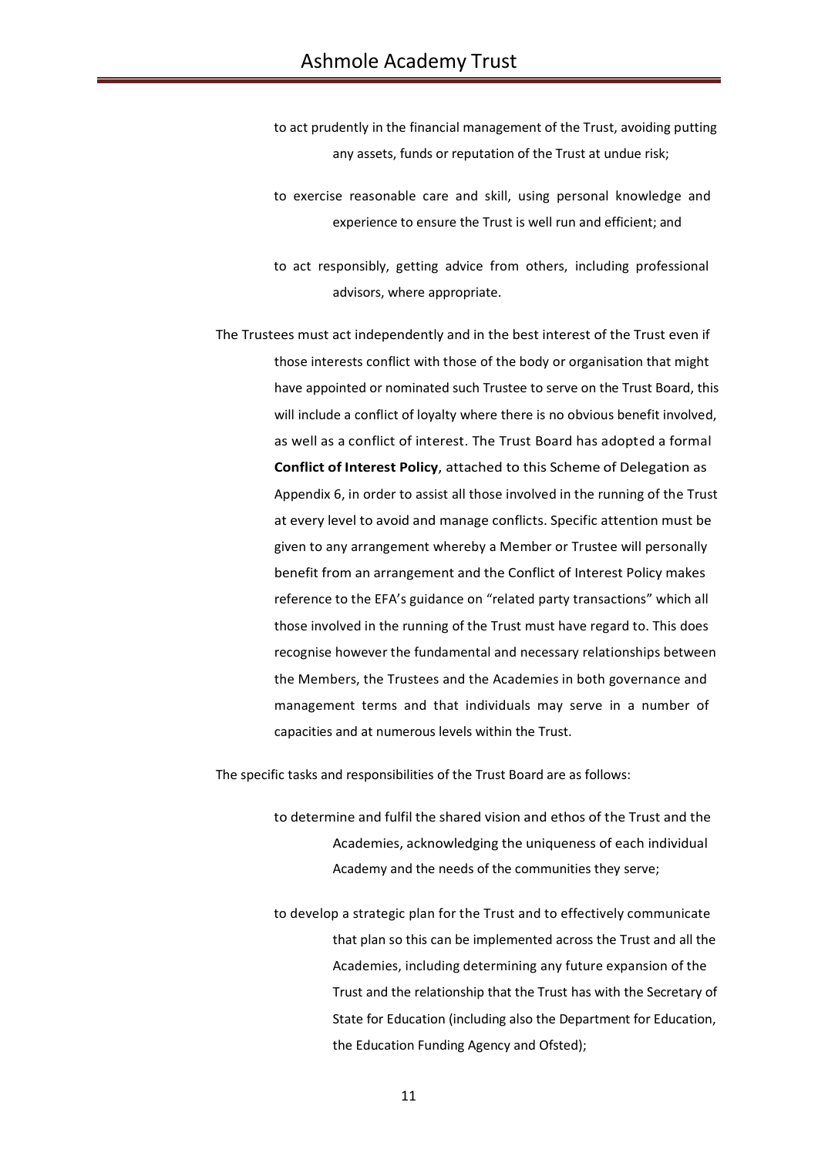- to act prudently in the financial management of the Trust, avoiding putting any assets, funds or reputation of the Trust at undue risk;
- to exercise reasonable care and skill, using personal knowledge and experience to ensure the Trust is well run and efficient; and
- to act responsibly, getting advice from others, including professional advisors, where appropriate.
- The Trustees must act independently and in the best interest of the Trust even if those interests conflict with those of the body or organisation that might have appointed or nominated such Trustee to serve on the Trust Board, this will include a conflict of loyalty where there is no obvious benefit involved, as well as a conflict of interest. The Trust Board has adopted a formal **Conflict of Interest Policy**, attached to this Scheme of Delegation as Appendix 6, in order to assist all those involved in the running of the Trust at every level to avoid and manage conflicts. Specific attention must be given to any arrangement whereby a Member or Trustee will personally benefit from an arrangement and the Conflict of Interest Policy makes reference to the EFA's guidance on "related party transactions" which all those involved in the running of the Trust must have regard to. This does recognise however the fundamental and necessary relationships between the Members, the Trustees and the Academies in both governance and management terms and that individuals may serve in a number of capacities and at numerous levels within the Trust.

The specific tasks and responsibilities of the Trust Board are as follows:

- to determine and fulfil the shared vision and ethos of the Trust and the Academies, acknowledging the uniqueness of each individual Academy and the needs of the communities they serve;
- to develop a strategic plan for the Trust and to effectively communicate that plan so this can be implemented across the Trust and all the Academies, including determining any future expansion of the Trust and the relationship that the Trust has with the Secretary of State for Education (including also the Department for Education, the Education Funding Agency and Ofsted);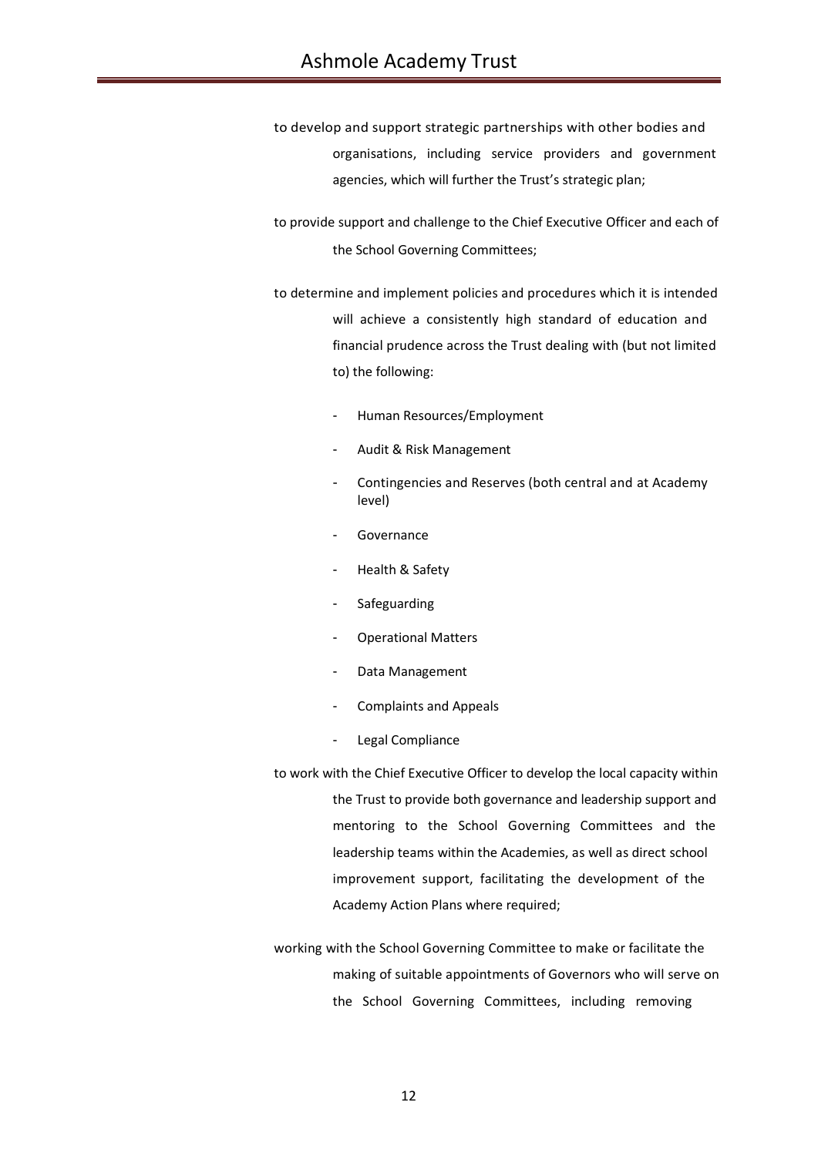- to develop and support strategic partnerships with other bodies and organisations, including service providers and government agencies, which will further the Trust's strategic plan;
- to provide support and challenge to the Chief Executive Officer and each of the School Governing Committees;
- to determine and implement policies and procedures which it is intended will achieve a consistently high standard of education and financial prudence across the Trust dealing with (but not limited to) the following:
	- Human Resources/Employment
	- Audit & Risk Management
	- Contingencies and Reserves (both central and at Academy level)
	- **Governance**
	- Health & Safety
	- **Safeguarding**
	- Operational Matters
	- Data Management
	- Complaints and Appeals
	- Legal Compliance
- to work with the Chief Executive Officer to develop the local capacity within the Trust to provide both governance and leadership support and mentoring to the School Governing Committees and the leadership teams within the Academies, as well as direct school improvement support, facilitating the development of the Academy Action Plans where required;
- working with the School Governing Committee to make or facilitate the making of suitable appointments of Governors who will serve on the School Governing Committees, including removing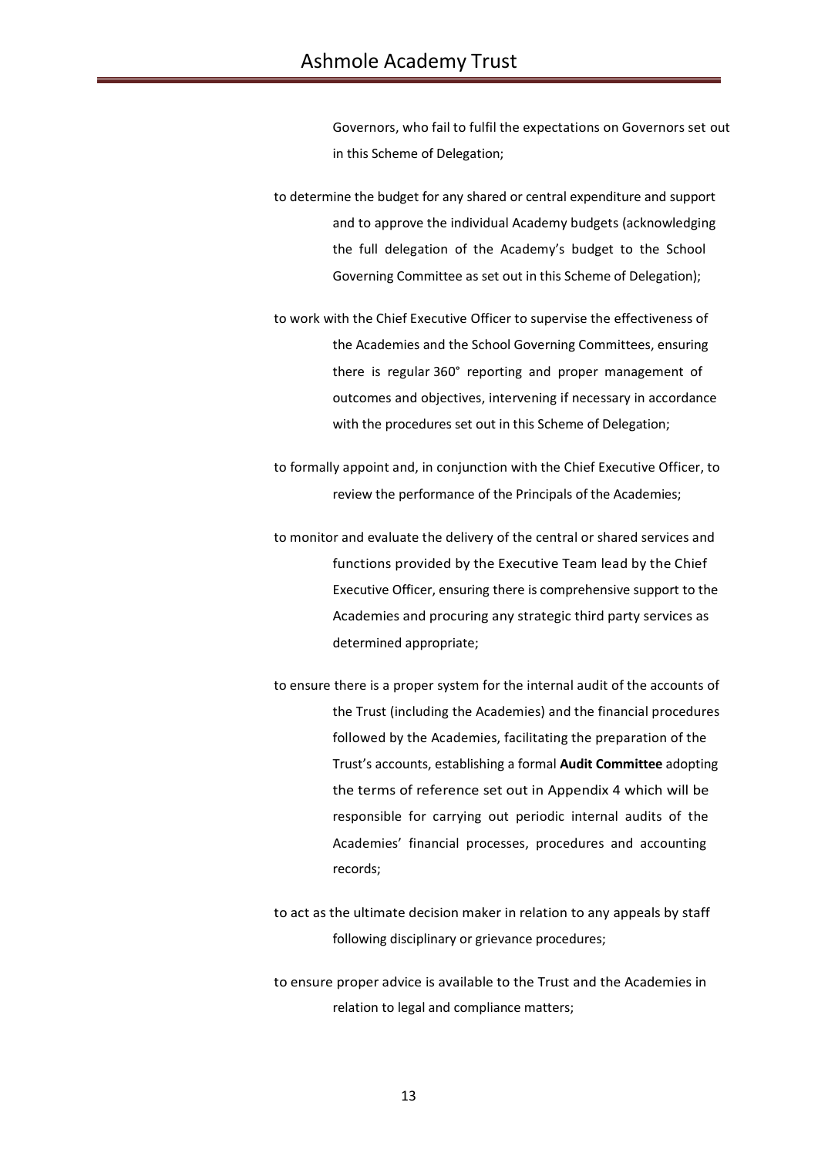Governors, who fail to fulfil the expectations on Governors set out in this Scheme of Delegation;

to determine the budget for any shared or central expenditure and support and to approve the individual Academy budgets (acknowledging the full delegation of the Academy's budget to the School Governing Committee as set out in this Scheme of Delegation);

to work with the Chief Executive Officer to supervise the effectiveness of the Academies and the School Governing Committees, ensuring there is regular 360° reporting and proper management of outcomes and objectives, intervening if necessary in accordance with the procedures set out in this Scheme of Delegation;

to formally appoint and, in conjunction with the Chief Executive Officer, to review the performance of the Principals of the Academies;

to monitor and evaluate the delivery of the central or shared services and functions provided by the Executive Team lead by the Chief Executive Officer, ensuring there is comprehensive support to the Academies and procuring any strategic third party services as determined appropriate;

to ensure there is a proper system for the internal audit of the accounts of the Trust (including the Academies) and the financial procedures followed by the Academies, facilitating the preparation of the Trust's accounts, establishing a formal **Audit Committee** adopting the terms of reference set out in Appendix 4 which will be responsible for carrying out periodic internal audits of the Academies' financial processes, procedures and accounting records;

to act as the ultimate decision maker in relation to any appeals by staff following disciplinary or grievance procedures;

to ensure proper advice is available to the Trust and the Academies in relation to legal and compliance matters;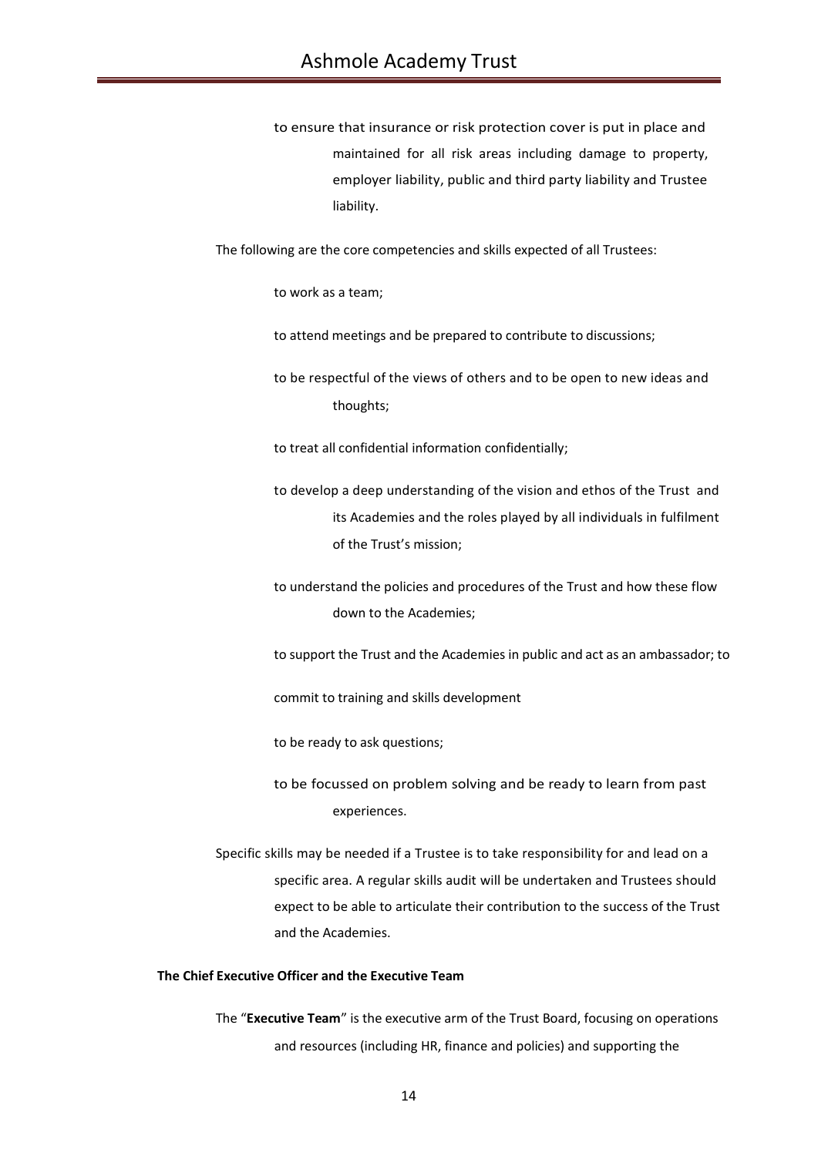to ensure that insurance or risk protection cover is put in place and maintained for all risk areas including damage to property, employer liability, public and third party liability and Trustee liability.

The following are the core competencies and skills expected of all Trustees:

to work as a team;

to attend meetings and be prepared to contribute to discussions;

to be respectful of the views of others and to be open to new ideas and thoughts;

to treat all confidential information confidentially;

- to develop a deep understanding of the vision and ethos of the Trust and its Academies and the roles played by all individuals in fulfilment of the Trust's mission;
- to understand the policies and procedures of the Trust and how these flow down to the Academies;
- to support the Trust and the Academies in public and act as an ambassador; to

commit to training and skills development

to be ready to ask questions;

- to be focussed on problem solving and be ready to learn from past experiences.
- Specific skills may be needed if a Trustee is to take responsibility for and lead on a specific area. A regular skills audit will be undertaken and Trustees should expect to be able to articulate their contribution to the success of the Trust and the Academies.

## **The Chief Executive Officer and the Executive Team**

The "**Executive Team**" is the executive arm of the Trust Board, focusing on operations and resources (including HR, finance and policies) and supporting the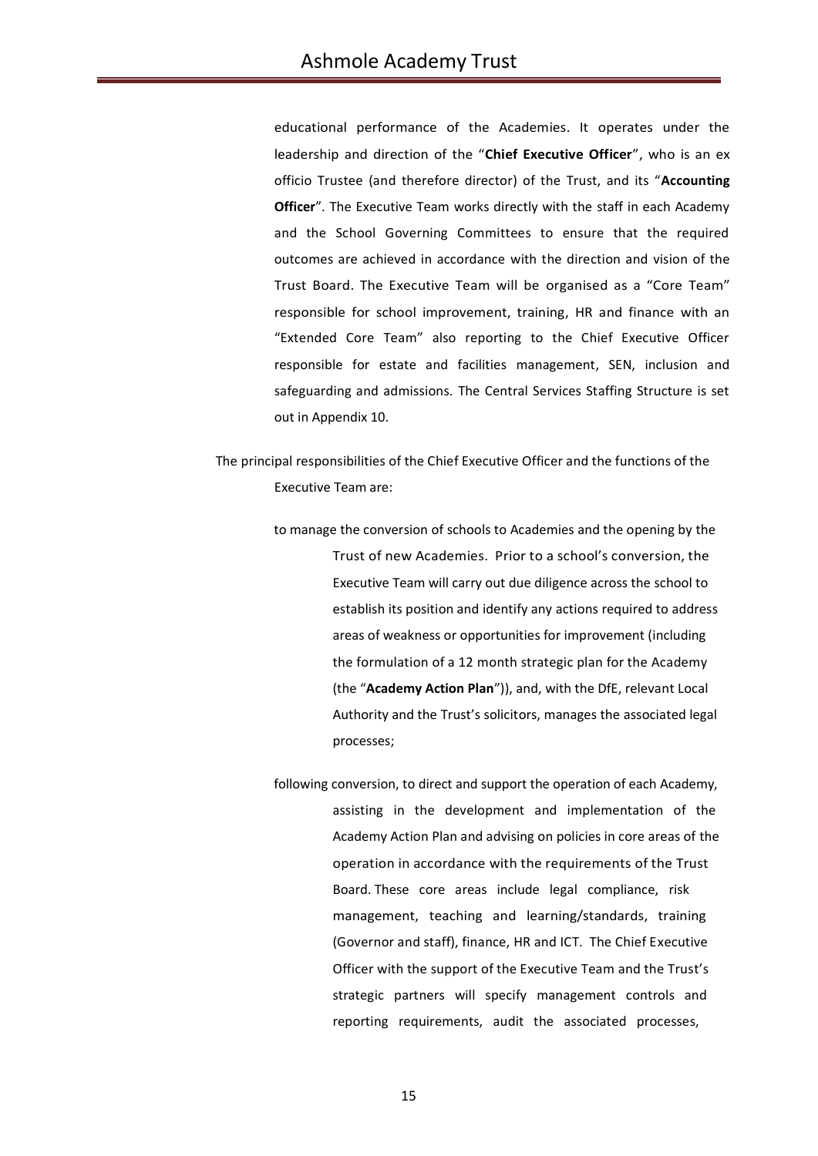educational performance of the Academies. It operates under the leadership and direction of the "**Chief Executive Officer**", who is an ex officio Trustee (and therefore director) of the Trust, and its "**Accounting Officer**". The Executive Team works directly with the staff in each Academy and the School Governing Committees to ensure that the required outcomes are achieved in accordance with the direction and vision of the Trust Board. The Executive Team will be organised as a "Core Team" responsible for school improvement, training, HR and finance with an "Extended Core Team" also reporting to the Chief Executive Officer responsible for estate and facilities management, SEN, inclusion and safeguarding and admissions. The Central Services Staffing Structure is set out in Appendix 10.

The principal responsibilities of the Chief Executive Officer and the functions of the Executive Team are:

- to manage the conversion of schools to Academies and the opening by the Trust of new Academies. Prior to a school's conversion, the Executive Team will carry out due diligence across the school to establish its position and identify any actions required to address areas of weakness or opportunities for improvement (including the formulation of a 12 month strategic plan for the Academy (the "**Academy Action Plan**")), and, with the DfE, relevant Local Authority and the Trust's solicitors, manages the associated legal processes;
- following conversion, to direct and support the operation of each Academy, assisting in the development and implementation of the Academy Action Plan and advising on policies in core areas of the operation in accordance with the requirements of the Trust Board. These core areas include legal compliance, risk management, teaching and learning/standards, training (Governor and staff), finance, HR and ICT. The Chief Executive Officer with the support of the Executive Team and the Trust's strategic partners will specify management controls and reporting requirements, audit the associated processes,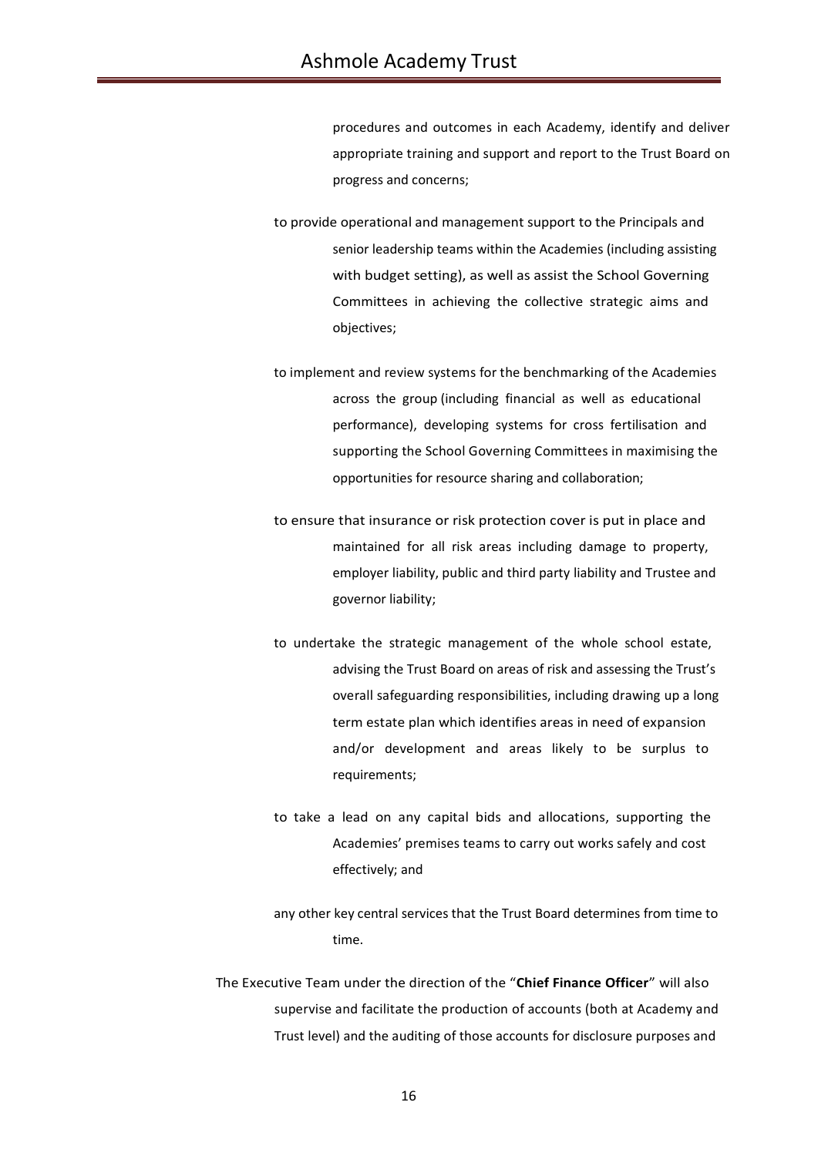procedures and outcomes in each Academy, identify and deliver appropriate training and support and report to the Trust Board on progress and concerns;

to provide operational and management support to the Principals and senior leadership teams within the Academies (including assisting with budget setting), as well as assist the School Governing Committees in achieving the collective strategic aims and objectives;

to implement and review systems for the benchmarking of the Academies across the group (including financial as well as educational performance), developing systems for cross fertilisation and supporting the School Governing Committees in maximising the opportunities for resource sharing and collaboration;

to ensure that insurance or risk protection cover is put in place and maintained for all risk areas including damage to property, employer liability, public and third party liability and Trustee and governor liability;

to undertake the strategic management of the whole school estate, advising the Trust Board on areas of risk and assessing the Trust's overall safeguarding responsibilities, including drawing up a long term estate plan which identifies areas in need of expansion and/or development and areas likely to be surplus to requirements:

to take a lead on any capital bids and allocations, supporting the Academies' premises teams to carry out works safely and cost effectively; and

any other key central services that the Trust Board determines from time to time.

The Executive Team under the direction of the "**Chief Finance Officer**" will also supervise and facilitate the production of accounts (both at Academy and Trust level) and the auditing of those accounts for disclosure purposes and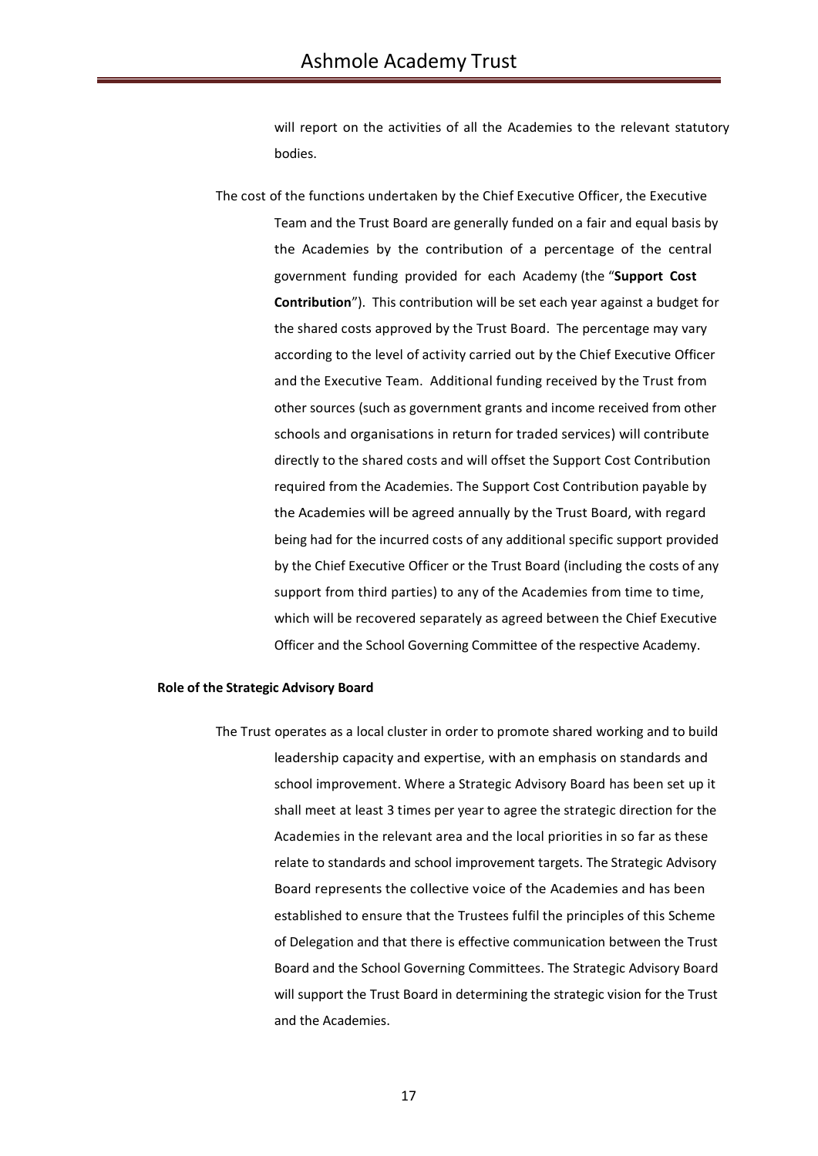will report on the activities of all the Academies to the relevant statutory bodies.

The cost of the functions undertaken by the Chief Executive Officer, the Executive Team and the Trust Board are generally funded on a fair and equal basis by the Academies by the contribution of a percentage of the central government funding provided for each Academy (the "**Support Cost Contribution**"). This contribution will be set each year against a budget for the shared costs approved by the Trust Board. The percentage may vary according to the level of activity carried out by the Chief Executive Officer and the Executive Team. Additional funding received by the Trust from other sources (such as government grants and income received from other schools and organisations in return for traded services) will contribute directly to the shared costs and will offset the Support Cost Contribution required from the Academies. The Support Cost Contribution payable by the Academies will be agreed annually by the Trust Board, with regard being had for the incurred costs of any additional specific support provided by the Chief Executive Officer or the Trust Board (including the costs of any support from third parties) to any of the Academies from time to time, which will be recovered separately as agreed between the Chief Executive Officer and the School Governing Committee of the respective Academy.

#### **Role of the Strategic Advisory Board**

The Trust operates as a local cluster in order to promote shared working and to build leadership capacity and expertise, with an emphasis on standards and school improvement. Where a Strategic Advisory Board has been set up it shall meet at least 3 times per year to agree the strategic direction for the Academies in the relevant area and the local priorities in so far as these relate to standards and school improvement targets. The Strategic Advisory Board represents the collective voice of the Academies and has been established to ensure that the Trustees fulfil the principles of this Scheme of Delegation and that there is effective communication between the Trust Board and the School Governing Committees. The Strategic Advisory Board will support the Trust Board in determining the strategic vision for the Trust and the Academies.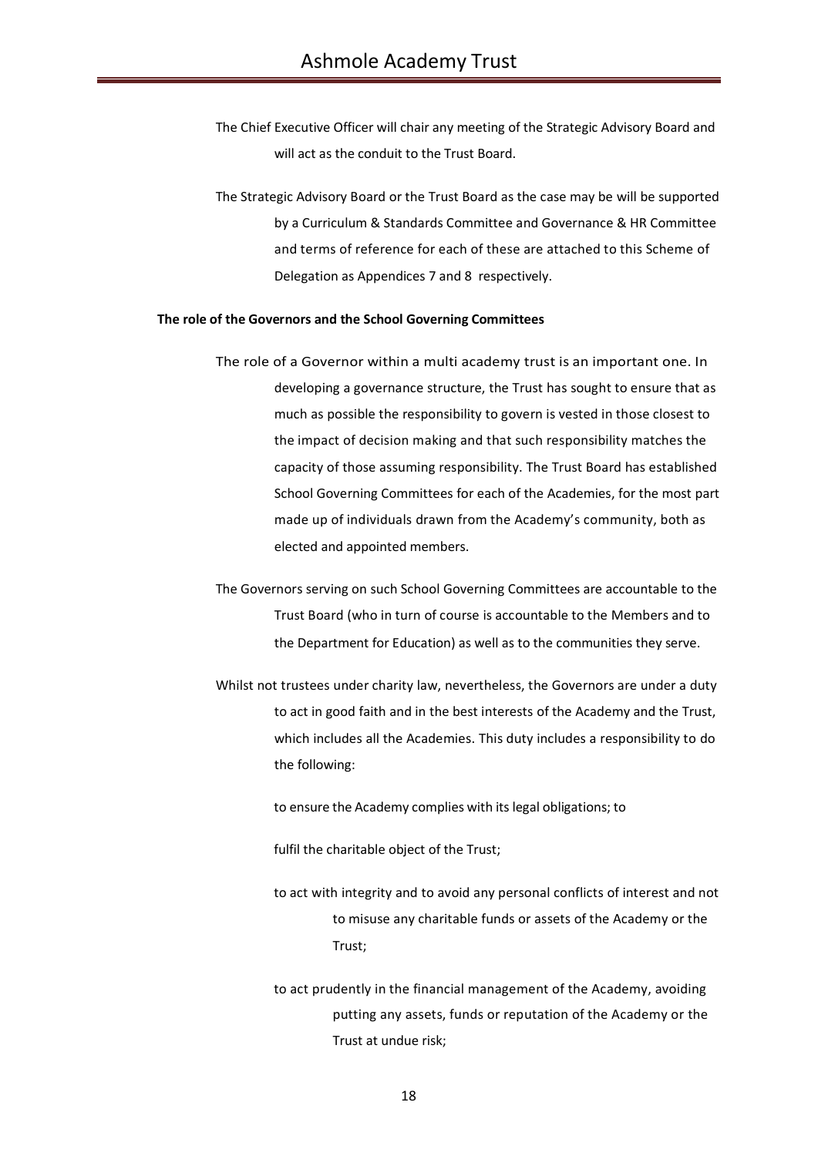- The Chief Executive Officer will chair any meeting of the Strategic Advisory Board and will act as the conduit to the Trust Board.
- The Strategic Advisory Board or the Trust Board as the case may be will be supported by a Curriculum & Standards Committee and Governance & HR Committee and terms of reference for each of these are attached to this Scheme of Delegation as Appendices 7 and 8 respectively.

#### **The role of the Governors and the School Governing Committees**

- The role of a Governor within a multi academy trust is an important one. In developing a governance structure, the Trust has sought to ensure that as much as possible the responsibility to govern is vested in those closest to the impact of decision making and that such responsibility matches the capacity of those assuming responsibility. The Trust Board has established School Governing Committees for each of the Academies, for the most part made up of individuals drawn from the Academy's community, both as elected and appointed members.
- The Governors serving on such School Governing Committees are accountable to the Trust Board (who in turn of course is accountable to the Members and to the Department for Education) as well as to the communities they serve.
- Whilst not trustees under charity law, nevertheless, the Governors are under a duty to act in good faith and in the best interests of the Academy and the Trust, which includes all the Academies. This duty includes a responsibility to do the following:
	- to ensure the Academy complies with its legal obligations; to
	- fulfil the charitable object of the Trust;
	- to act with integrity and to avoid any personal conflicts of interest and not to misuse any charitable funds or assets of the Academy or the Trust;
	- to act prudently in the financial management of the Academy, avoiding putting any assets, funds or reputation of the Academy or the Trust at undue risk;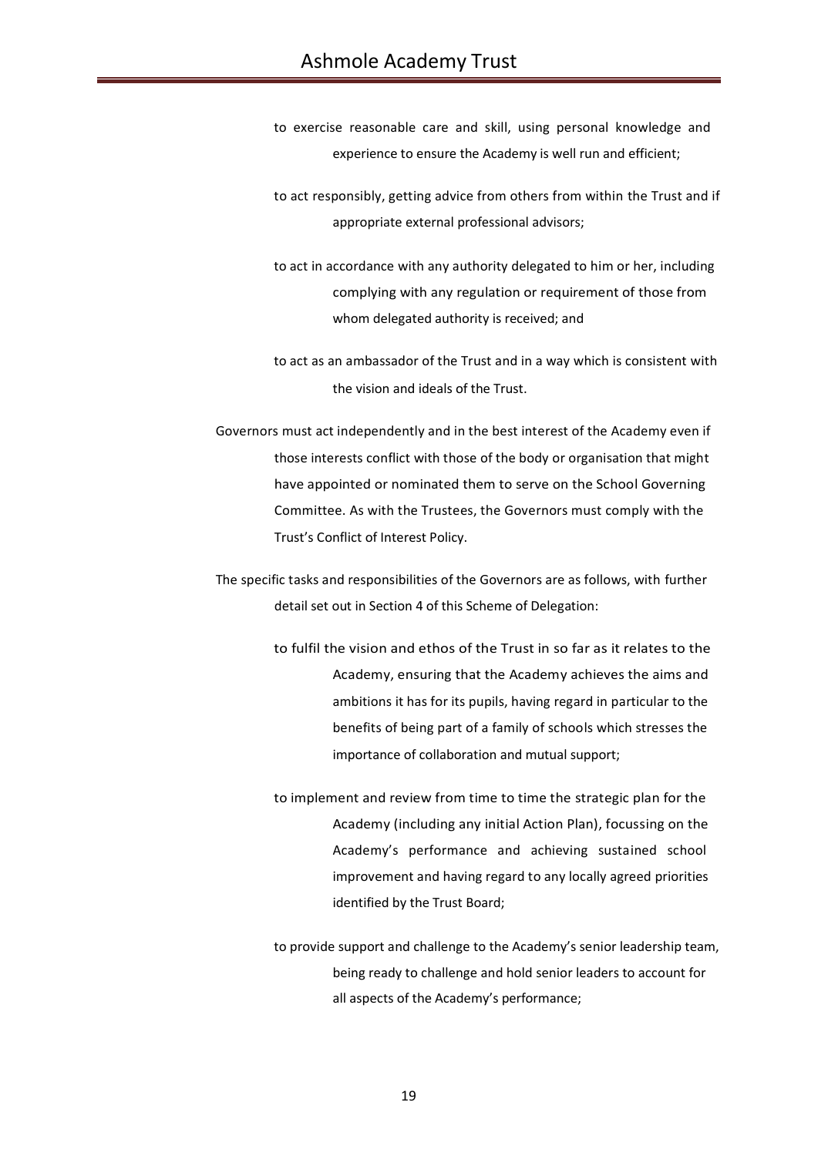- to exercise reasonable care and skill, using personal knowledge and experience to ensure the Academy is well run and efficient;
- to act responsibly, getting advice from others from within the Trust and if appropriate external professional advisors;
- to act in accordance with any authority delegated to him or her, including complying with any regulation or requirement of those from whom delegated authority is received; and
- to act as an ambassador of the Trust and in a way which is consistent with the vision and ideals of the Trust.
- Governors must act independently and in the best interest of the Academy even if those interests conflict with those of the body or organisation that might have appointed or nominated them to serve on the School Governing Committee. As with the Trustees, the Governors must comply with the Trust's Conflict of Interest Policy.
- The specific tasks and responsibilities of the Governors are as follows, with further detail set out in Section 4 of this Scheme of Delegation:
	- to fulfil the vision and ethos of the Trust in so far as it relates to the Academy, ensuring that the Academy achieves the aims and ambitions it has for its pupils, having regard in particular to the benefits of being part of a family of schools which stresses the importance of collaboration and mutual support;
	- to implement and review from time to time the strategic plan for the Academy (including any initial Action Plan), focussing on the Academy's performance and achieving sustained school improvement and having regard to any locally agreed priorities identified by the Trust Board;
	- to provide support and challenge to the Academy's senior leadership team, being ready to challenge and hold senior leaders to account for all aspects of the Academy's performance;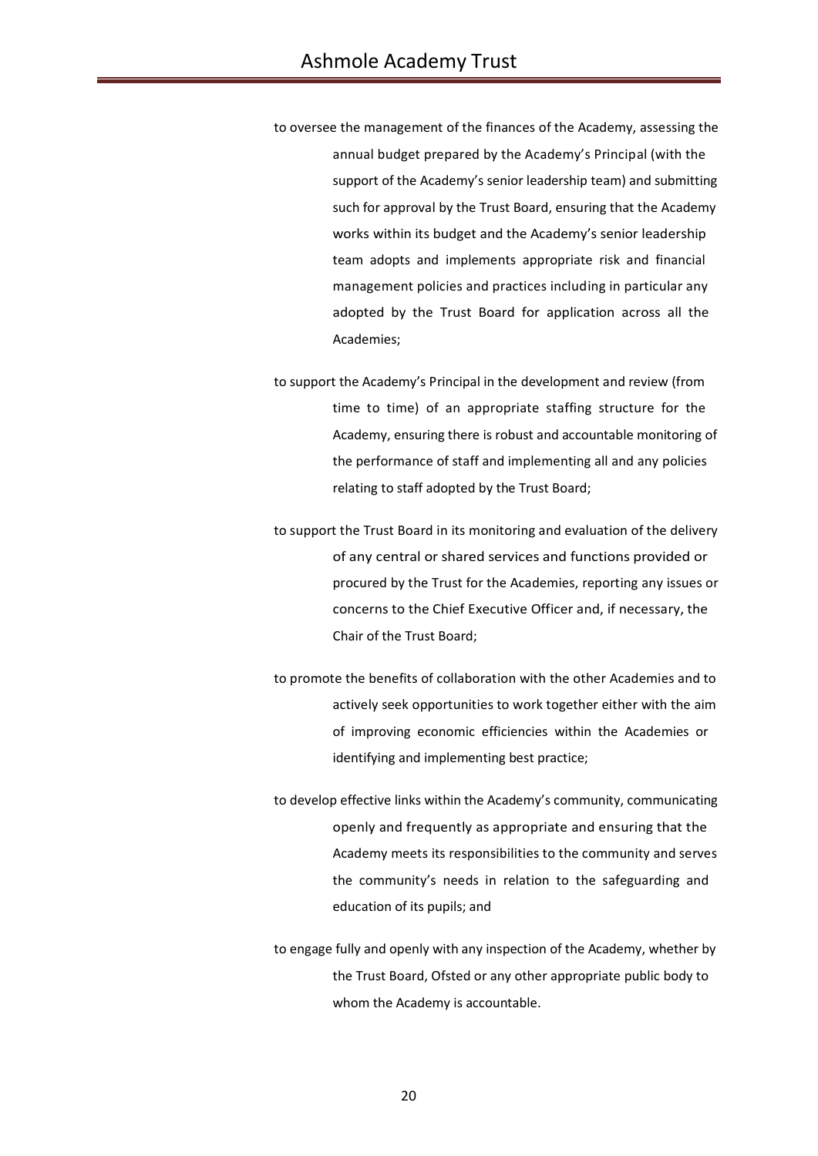to oversee the management of the finances of the Academy, assessing the annual budget prepared by the Academy's Principal (with the support of the Academy's senior leadership team) and submitting such for approval by the Trust Board, ensuring that the Academy works within its budget and the Academy's senior leadership team adopts and implements appropriate risk and financial management policies and practices including in particular any adopted by the Trust Board for application across all the Academies;

to support the Academy's Principal in the development and review (from time to time) of an appropriate staffing structure for the Academy, ensuring there is robust and accountable monitoring of the performance of staff and implementing all and any policies relating to staff adopted by the Trust Board;

to support the Trust Board in its monitoring and evaluation of the delivery of any central or shared services and functions provided or procured by the Trust for the Academies, reporting any issues or concerns to the Chief Executive Officer and, if necessary, the Chair of the Trust Board;

to promote the benefits of collaboration with the other Academies and to actively seek opportunities to work together either with the aim of improving economic efficiencies within the Academies or identifying and implementing best practice;

to develop effective links within the Academy's community, communicating openly and frequently as appropriate and ensuring that the Academy meets its responsibilities to the community and serves the community's needs in relation to the safeguarding and education of its pupils; and

to engage fully and openly with any inspection of the Academy, whether by the Trust Board, Ofsted or any other appropriate public body to whom the Academy is accountable.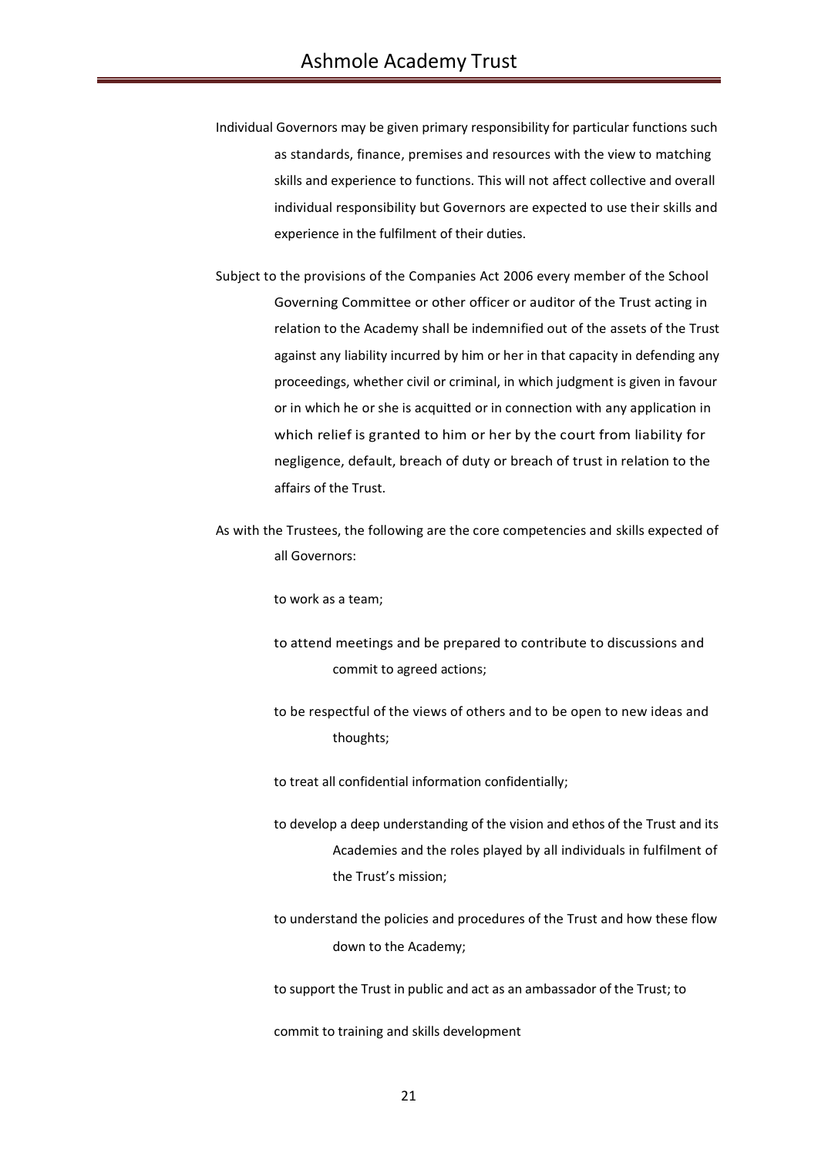- Individual Governors may be given primary responsibility for particular functions such as standards, finance, premises and resources with the view to matching skills and experience to functions. This will not affect collective and overall individual responsibility but Governors are expected to use their skills and experience in the fulfilment of their duties.
- Subject to the provisions of the Companies Act 2006 every member of the School Governing Committee or other officer or auditor of the Trust acting in relation to the Academy shall be indemnified out of the assets of the Trust against any liability incurred by him or her in that capacity in defending any proceedings, whether civil or criminal, in which judgment is given in favour or in which he or she is acquitted or in connection with any application in which relief is granted to him or her by the court from liability for negligence, default, breach of duty or breach of trust in relation to the affairs of the Trust.
- As with the Trustees, the following are the core competencies and skills expected of all Governors:

to work as a team;

- to attend meetings and be prepared to contribute to discussions and commit to agreed actions;
- to be respectful of the views of others and to be open to new ideas and thoughts;

to treat all confidential information confidentially;

- to develop a deep understanding of the vision and ethos of the Trust and its Academies and the roles played by all individuals in fulfilment of the Trust's mission;
- to understand the policies and procedures of the Trust and how these flow down to the Academy;

to support the Trust in public and act as an ambassador of the Trust; to

commit to training and skills development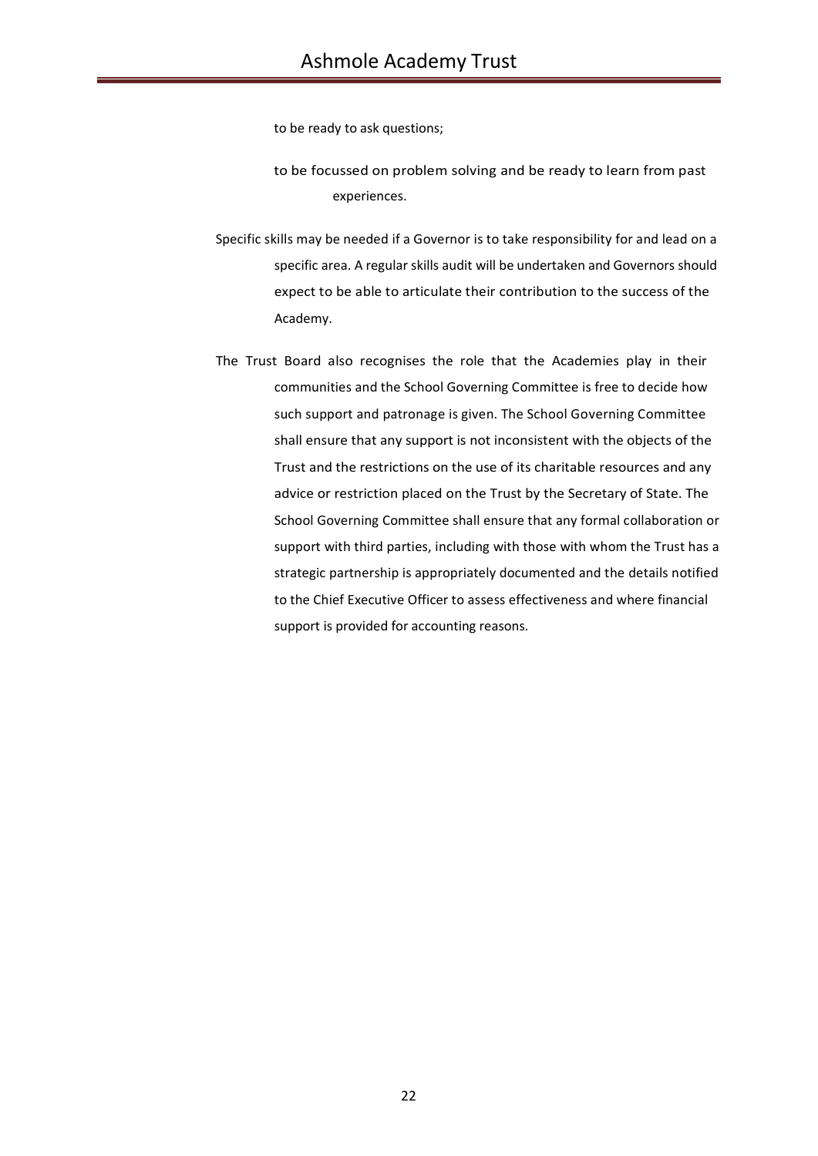to be ready to ask questions;

- to be focussed on problem solving and be ready to learn from past experiences.
- Specific skills may be needed if a Governor is to take responsibility for and lead on a specific area. A regular skills audit will be undertaken and Governors should expect to be able to articulate their contribution to the success of the Academy.
- The Trust Board also recognises the role that the Academies play in their communities and the School Governing Committee is free to decide how such support and patronage is given. The School Governing Committee shall ensure that any support is not inconsistent with the objects of the Trust and the restrictions on the use of its charitable resources and any advice or restriction placed on the Trust by the Secretary of State. The School Governing Committee shall ensure that any formal collaboration or support with third parties, including with those with whom the Trust has a strategic partnership is appropriately documented and the details notified to the Chief Executive Officer to assess effectiveness and where financial support is provided for accounting reasons.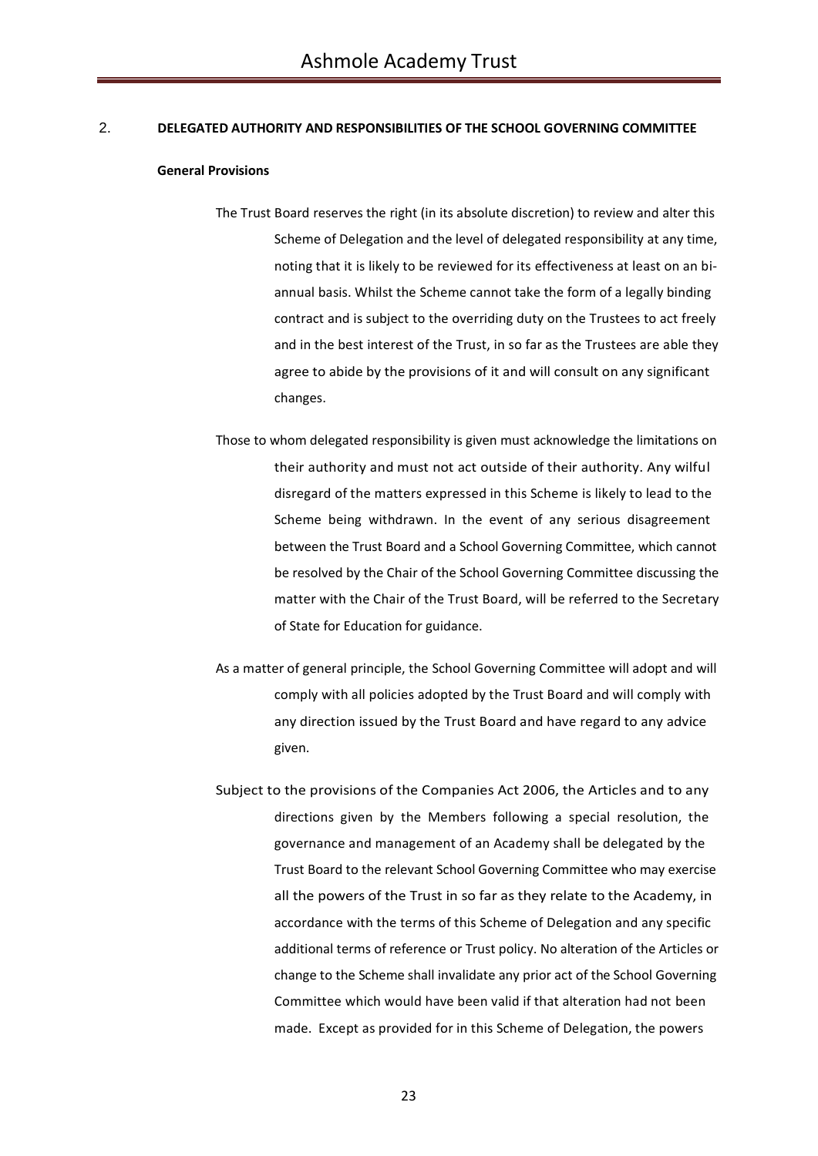## 2. **DELEGATED AUTHORITY AND RESPONSIBILITIES OF THE SCHOOL GOVERNING COMMITTEE**

### **General Provisions**

- The Trust Board reserves the right (in its absolute discretion) to review and alter this Scheme of Delegation and the level of delegated responsibility at any time, noting that it is likely to be reviewed for its effectiveness at least on an biannual basis. Whilst the Scheme cannot take the form of a legally binding contract and is subject to the overriding duty on the Trustees to act freely and in the best interest of the Trust, in so far as the Trustees are able they agree to abide by the provisions of it and will consult on any significant changes.
- Those to whom delegated responsibility is given must acknowledge the limitations on their authority and must not act outside of their authority. Any wilful disregard of the matters expressed in this Scheme is likely to lead to the Scheme being withdrawn. In the event of any serious disagreement between the Trust Board and a School Governing Committee, which cannot be resolved by the Chair of the School Governing Committee discussing the matter with the Chair of the Trust Board, will be referred to the Secretary of State for Education for guidance.
- As a matter of general principle, the School Governing Committee will adopt and will comply with all policies adopted by the Trust Board and will comply with any direction issued by the Trust Board and have regard to any advice given.
- Subject to the provisions of the Companies Act 2006, the Articles and to any directions given by the Members following a special resolution, the governance and management of an Academy shall be delegated by the Trust Board to the relevant School Governing Committee who may exercise all the powers of the Trust in so far as they relate to the Academy, in accordance with the terms of this Scheme of Delegation and any specific additional terms of reference or Trust policy. No alteration of the Articles or change to the Scheme shall invalidate any prior act of the School Governing Committee which would have been valid if that alteration had not been made. Except as provided for in this Scheme of Delegation, the powers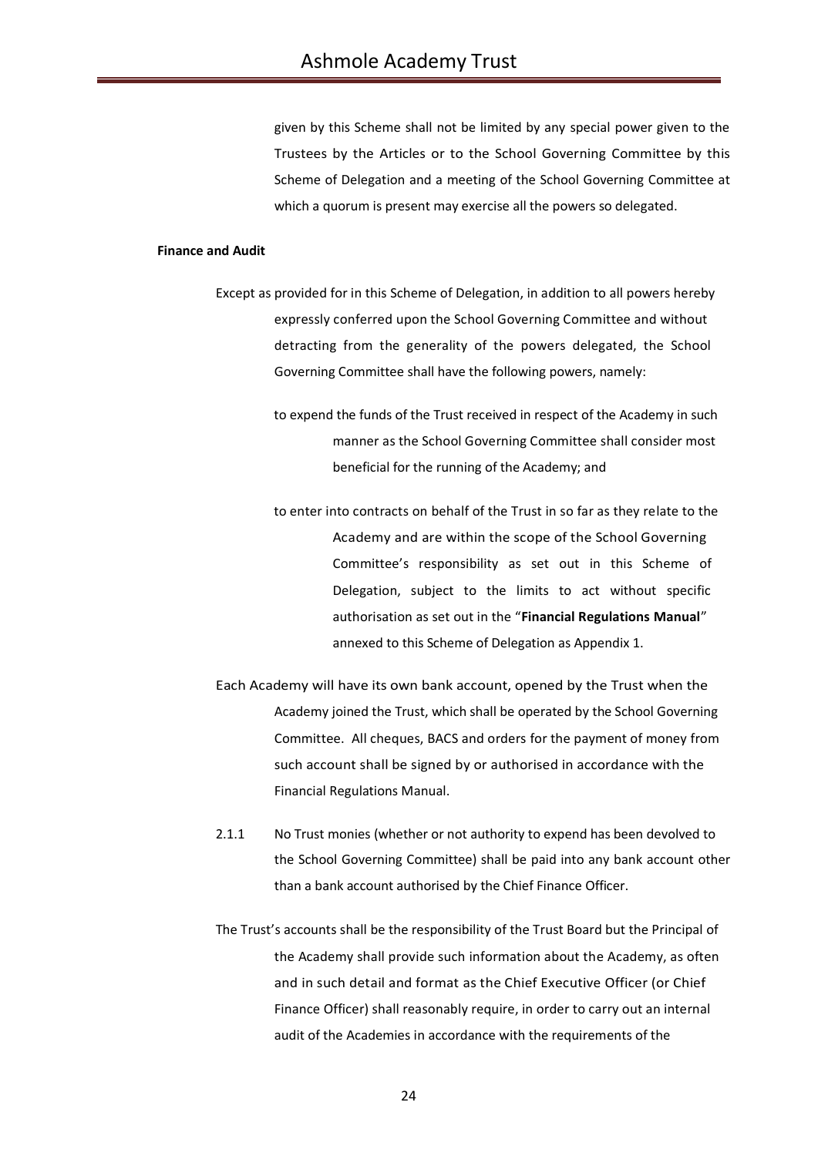given by this Scheme shall not be limited by any special power given to the Trustees by the Articles or to the School Governing Committee by this Scheme of Delegation and a meeting of the School Governing Committee at which a quorum is present may exercise all the powers so delegated.

### **Finance and Audit**

- Except as provided for in this Scheme of Delegation, in addition to all powers hereby expressly conferred upon the School Governing Committee and without detracting from the generality of the powers delegated, the School Governing Committee shall have the following powers, namely:
	- to expend the funds of the Trust received in respect of the Academy in such manner as the School Governing Committee shall consider most beneficial for the running of the Academy; and
	- to enter into contracts on behalf of the Trust in so far as they relate to the Academy and are within the scope of the School Governing Committee's responsibility as set out in this Scheme of Delegation, subject to the limits to act without specific authorisation as set out in the "**Financial Regulations Manual**" annexed to this Scheme of Delegation as Appendix 1.
- Each Academy will have its own bank account, opened by the Trust when the Academy joined the Trust, which shall be operated by the School Governing Committee. All cheques, BACS and orders for the payment of money from such account shall be signed by or authorised in accordance with the Financial Regulations Manual.
- 2.1.1 No Trust monies (whether or not authority to expend has been devolved to the School Governing Committee) shall be paid into any bank account other than a bank account authorised by the Chief Finance Officer.
- The Trust's accounts shall be the responsibility of the Trust Board but the Principal of the Academy shall provide such information about the Academy, as often and in such detail and format as the Chief Executive Officer (or Chief Finance Officer) shall reasonably require, in order to carry out an internal audit of the Academies in accordance with the requirements of the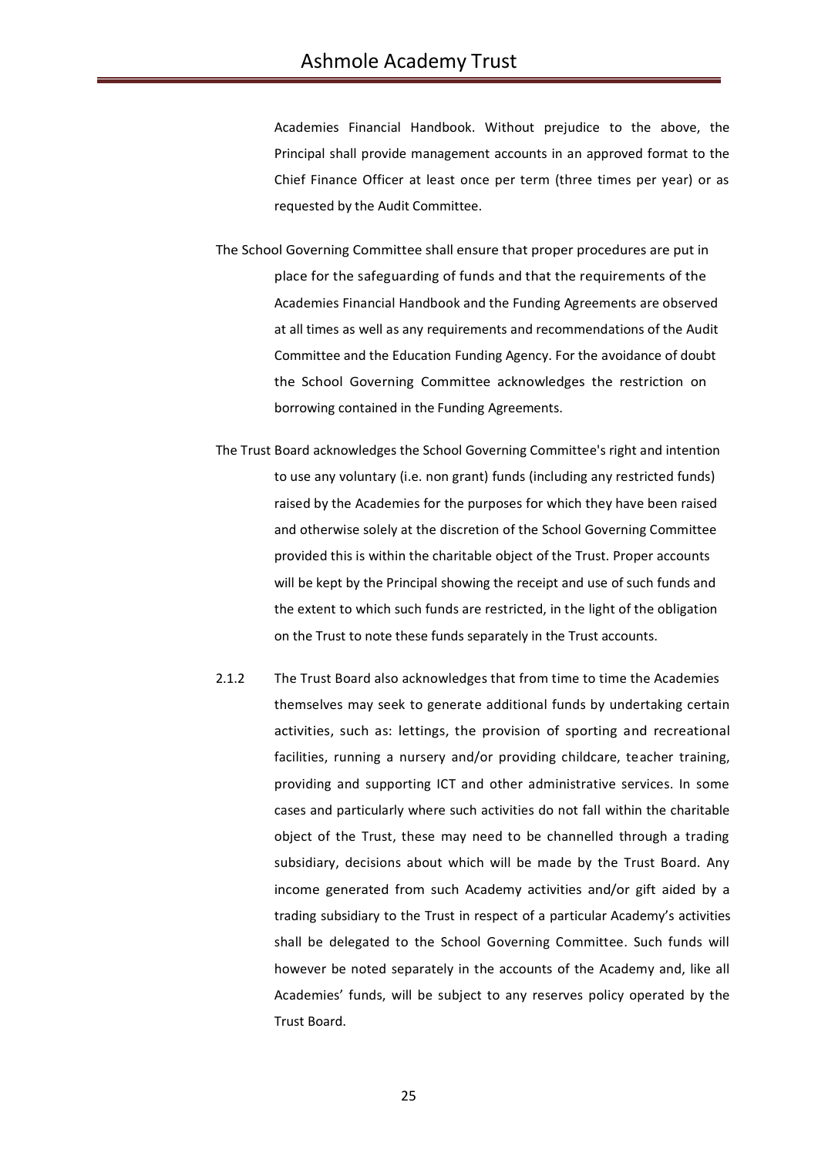Academies Financial Handbook. Without prejudice to the above, the Principal shall provide management accounts in an approved format to the Chief Finance Officer at least once per term (three times per year) or as requested by the Audit Committee.

- The School Governing Committee shall ensure that proper procedures are put in place for the safeguarding of funds and that the requirements of the Academies Financial Handbook and the Funding Agreements are observed at all times as well as any requirements and recommendations of the Audit Committee and the Education Funding Agency. For the avoidance of doubt the School Governing Committee acknowledges the restriction on borrowing contained in the Funding Agreements.
- The Trust Board acknowledges the School Governing Committee's right and intention to use any voluntary (i.e. non grant) funds (including any restricted funds) raised by the Academies for the purposes for which they have been raised and otherwise solely at the discretion of the School Governing Committee provided this is within the charitable object of the Trust. Proper accounts will be kept by the Principal showing the receipt and use of such funds and the extent to which such funds are restricted, in the light of the obligation on the Trust to note these funds separately in the Trust accounts.
- 2.1.2 The Trust Board also acknowledges that from time to time the Academies themselves may seek to generate additional funds by undertaking certain activities, such as: lettings, the provision of sporting and recreational facilities, running a nursery and/or providing childcare, teacher training, providing and supporting ICT and other administrative services. In some cases and particularly where such activities do not fall within the charitable object of the Trust, these may need to be channelled through a trading subsidiary, decisions about which will be made by the Trust Board. Any income generated from such Academy activities and/or gift aided by a trading subsidiary to the Trust in respect of a particular Academy's activities shall be delegated to the School Governing Committee. Such funds will however be noted separately in the accounts of the Academy and, like all Academies' funds, will be subject to any reserves policy operated by the Trust Board.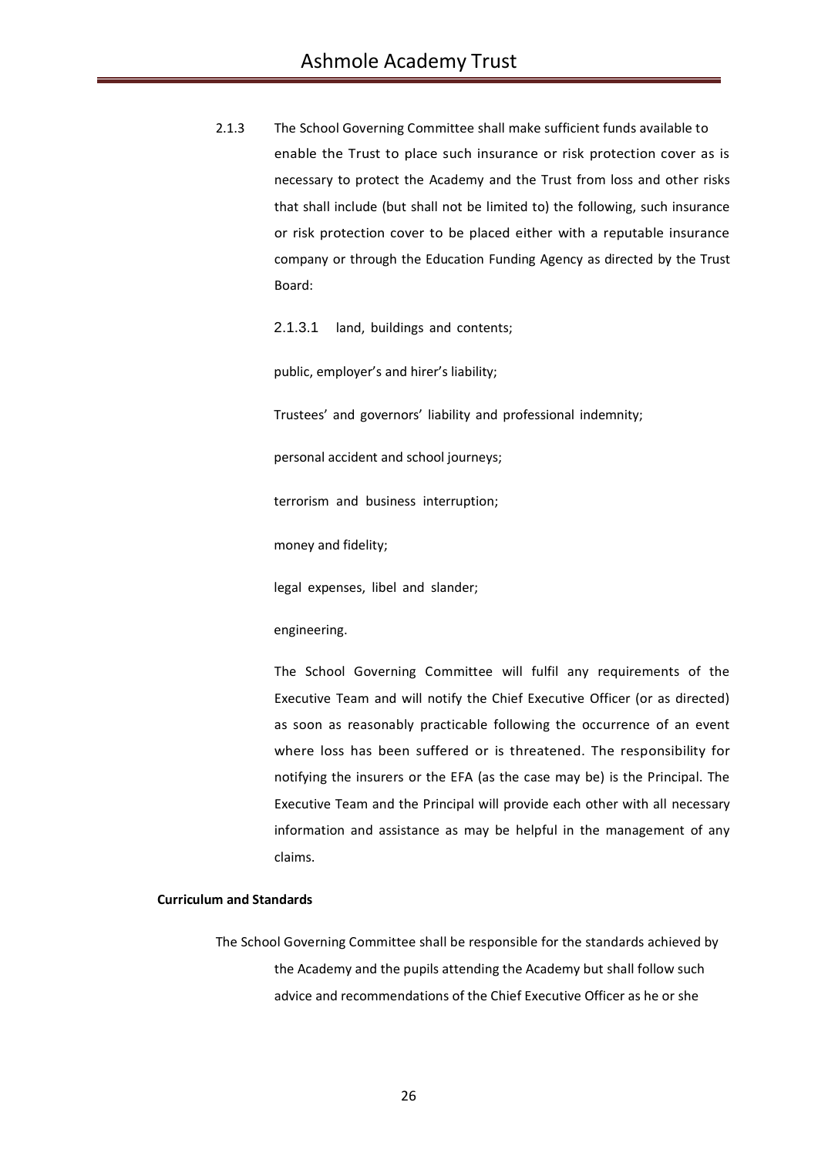2.1.3 The School Governing Committee shall make sufficient funds available to enable the Trust to place such insurance or risk protection cover as is necessary to protect the Academy and the Trust from loss and other risks that shall include (but shall not be limited to) the following, such insurance or risk protection cover to be placed either with a reputable insurance company or through the Education Funding Agency as directed by the Trust Board:

2.1.3.1 land, buildings and contents;

public, employer's and hirer's liability;

Trustees' and governors' liability and professional indemnity;

personal accident and school journeys;

terrorism and business interruption;

money and fidelity;

legal expenses, libel and slander;

engineering.

The School Governing Committee will fulfil any requirements of the Executive Team and will notify the Chief Executive Officer (or as directed) as soon as reasonably practicable following the occurrence of an event where loss has been suffered or is threatened. The responsibility for notifying the insurers or the EFA (as the case may be) is the Principal. The Executive Team and the Principal will provide each other with all necessary information and assistance as may be helpful in the management of any claims.

## **Curriculum and Standards**

The School Governing Committee shall be responsible for the standards achieved by the Academy and the pupils attending the Academy but shall follow such advice and recommendations of the Chief Executive Officer as he or she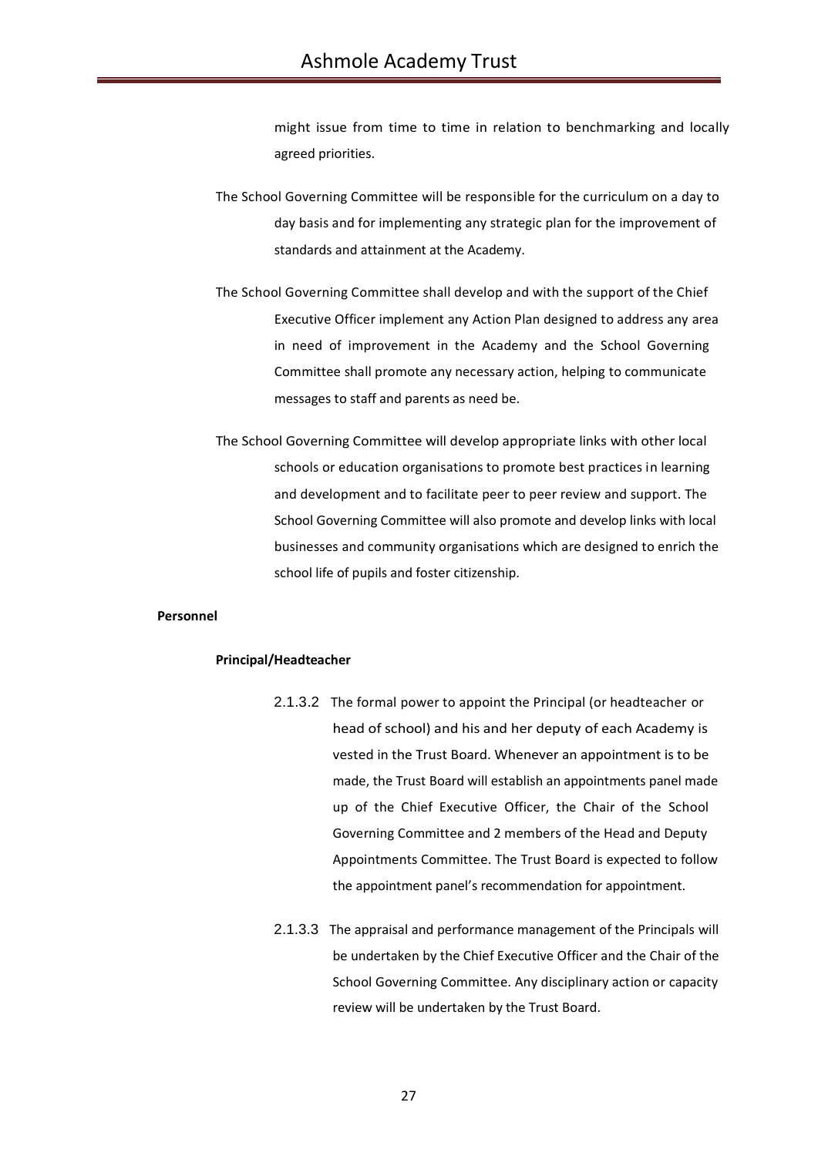might issue from time to time in relation to benchmarking and locally agreed priorities.

- The School Governing Committee will be responsible for the curriculum on a day to day basis and for implementing any strategic plan for the improvement of standards and attainment at the Academy.
- The School Governing Committee shall develop and with the support of the Chief Executive Officer implement any Action Plan designed to address any area in need of improvement in the Academy and the School Governing Committee shall promote any necessary action, helping to communicate messages to staff and parents as need be.
- The School Governing Committee will develop appropriate links with other local schools or education organisations to promote best practices in learning and development and to facilitate peer to peer review and support. The School Governing Committee will also promote and develop links with local businesses and community organisations which are designed to enrich the school life of pupils and foster citizenship.

### **Personnel**

### **Principal/Headteacher**

- 2.1.3.2 The formal power to appoint the Principal (or headteacher or head of school) and his and her deputy of each Academy is vested in the Trust Board. Whenever an appointment is to be made, the Trust Board will establish an appointments panel made up of the Chief Executive Officer, the Chair of the School Governing Committee and 2 members of the Head and Deputy Appointments Committee. The Trust Board is expected to follow the appointment panel's recommendation for appointment.
- 2.1.3.3 The appraisal and performance management of the Principals will be undertaken by the Chief Executive Officer and the Chair of the School Governing Committee. Any disciplinary action or capacity review will be undertaken by the Trust Board.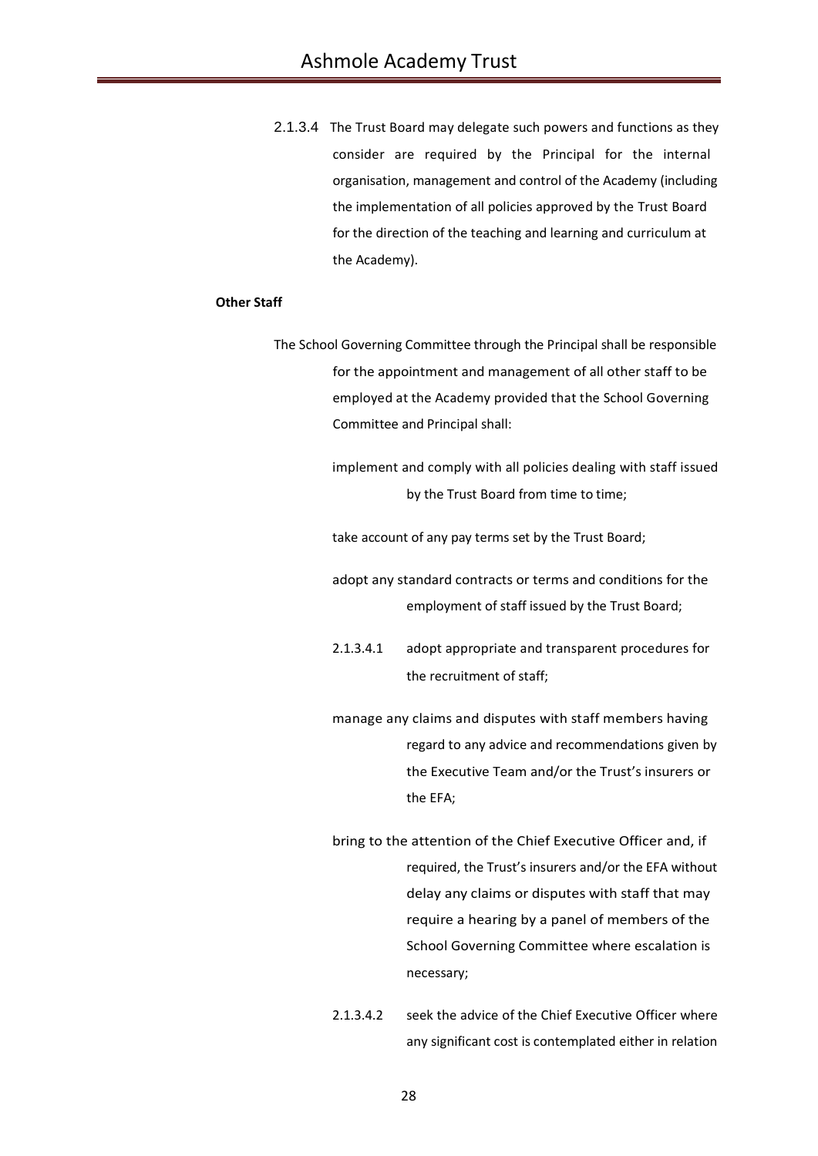2.1.3.4 The Trust Board may delegate such powers and functions as they consider are required by the Principal for the internal organisation, management and control of the Academy (including the implementation of all policies approved by the Trust Board for the direction of the teaching and learning and curriculum at the Academy).

## **Other Staff**

- The School Governing Committee through the Principal shall be responsible for the appointment and management of all other staff to be employed at the Academy provided that the School Governing Committee and Principal shall:
	- implement and comply with all policies dealing with staff issued by the Trust Board from time to time;
	- take account of any pay terms set by the Trust Board;
	- adopt any standard contracts or terms and conditions for the employment of staff issued by the Trust Board;
	- 2.1.3.4.1 adopt appropriate and transparent procedures for the recruitment of staff;
	- manage any claims and disputes with staff members having regard to any advice and recommendations given by the Executive Team and/or the Trust's insurers or the EFA;
	- bring to the attention of the Chief Executive Officer and, if required, the Trust's insurers and/or the EFA without delay any claims or disputes with staff that may require a hearing by a panel of members of the School Governing Committee where escalation is necessary;
	- 2.1.3.4.2 seek the advice of the Chief Executive Officer where any significant cost is contemplated either in relation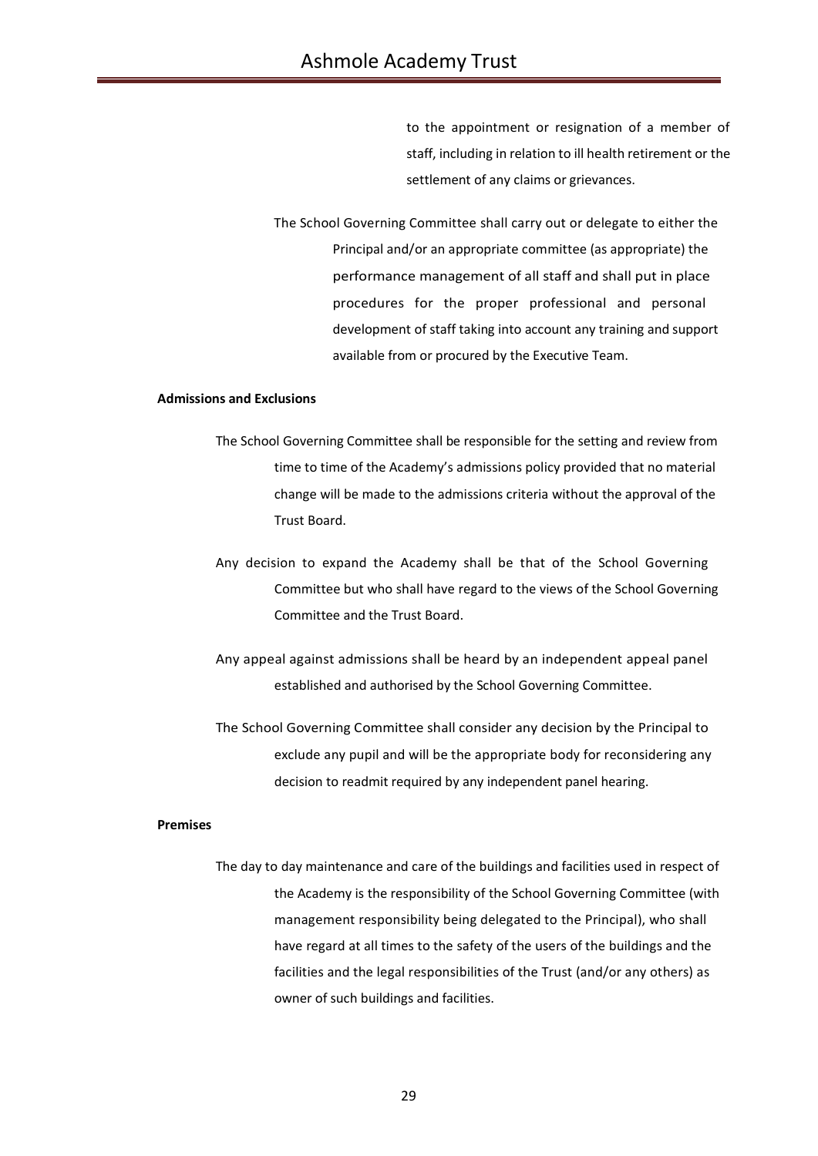to the appointment or resignation of a member of staff, including in relation to ill health retirement or the settlement of any claims or grievances.

The School Governing Committee shall carry out or delegate to either the Principal and/or an appropriate committee (as appropriate) the performance management of all staff and shall put in place procedures for the proper professional and personal development of staff taking into account any training and support available from or procured by the Executive Team.

## **Admissions and Exclusions**

- The School Governing Committee shall be responsible for the setting and review from time to time of the Academy's admissions policy provided that no material change will be made to the admissions criteria without the approval of the Trust Board.
- Any decision to expand the Academy shall be that of the School Governing Committee but who shall have regard to the views of the School Governing Committee and the Trust Board.
- Any appeal against admissions shall be heard by an independent appeal panel established and authorised by the School Governing Committee.
- The School Governing Committee shall consider any decision by the Principal to exclude any pupil and will be the appropriate body for reconsidering any decision to readmit required by any independent panel hearing.

### **Premises**

The day to day maintenance and care of the buildings and facilities used in respect of the Academy is the responsibility of the School Governing Committee (with management responsibility being delegated to the Principal), who shall have regard at all times to the safety of the users of the buildings and the facilities and the legal responsibilities of the Trust (and/or any others) as owner of such buildings and facilities.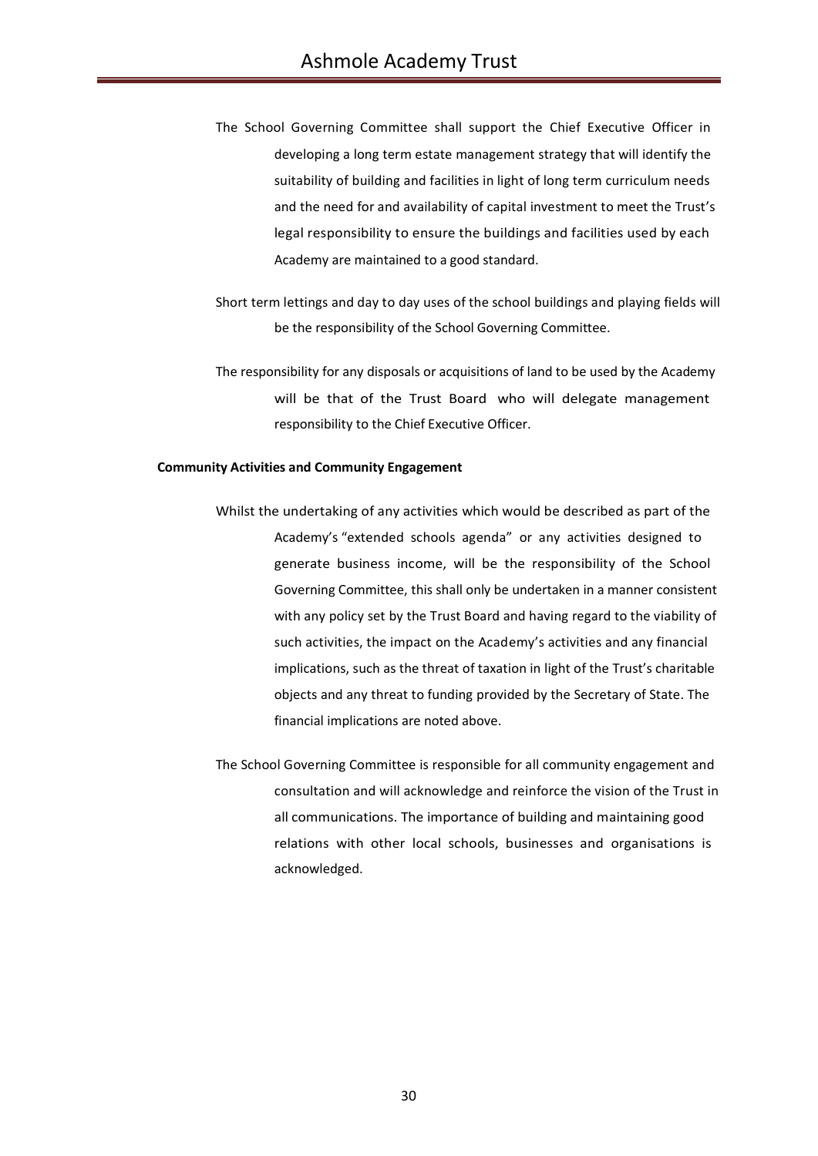- The School Governing Committee shall support the Chief Executive Officer in developing a long term estate management strategy that will identify the suitability of building and facilities in light of long term curriculum needs and the need for and availability of capital investment to meet the Trust's legal responsibility to ensure the buildings and facilities used by each Academy are maintained to a good standard.
- Short term lettings and day to day uses of the school buildings and playing fields will be the responsibility of the School Governing Committee.
- The responsibility for any disposals or acquisitions of land to be used by the Academy will be that of the Trust Board who will delegate management responsibility to the Chief Executive Officer.

### **Community Activities and Community Engagement**

- Whilst the undertaking of any activities which would be described as part of the Academy's "extended schools agenda" or any activities designed to generate business income, will be the responsibility of the School Governing Committee, this shall only be undertaken in a manner consistent with any policy set by the Trust Board and having regard to the viability of such activities, the impact on the Academy's activities and any financial implications, such as the threat of taxation in light of the Trust's charitable objects and any threat to funding provided by the Secretary of State. The financial implications are noted above.
- The School Governing Committee is responsible for all community engagement and consultation and will acknowledge and reinforce the vision of the Trust in all communications. The importance of building and maintaining good relations with other local schools, businesses and organisations is acknowledged.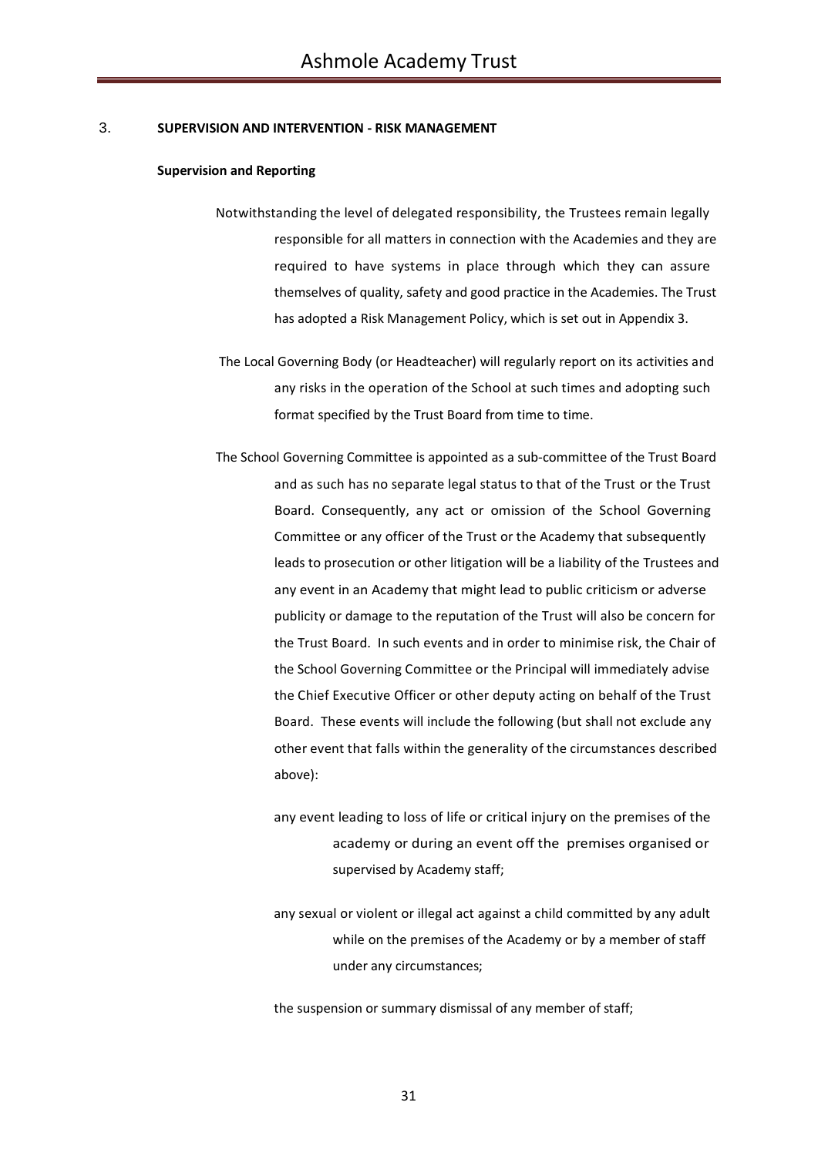## 3. **SUPERVISION AND INTERVENTION - RISK MANAGEMENT**

#### **Supervision and Reporting**

- Notwithstanding the level of delegated responsibility, the Trustees remain legally responsible for all matters in connection with the Academies and they are required to have systems in place through which they can assure themselves of quality, safety and good practice in the Academies. The Trust has adopted a Risk Management Policy, which is set out in Appendix 3.
- The Local Governing Body (or Headteacher) will regularly report on its activities and any risks in the operation of the School at such times and adopting such format specified by the Trust Board from time to time.
- The School Governing Committee is appointed as a sub-committee of the Trust Board and as such has no separate legal status to that of the Trust or the Trust Board. Consequently, any act or omission of the School Governing Committee or any officer of the Trust or the Academy that subsequently leads to prosecution or other litigation will be a liability of the Trustees and any event in an Academy that might lead to public criticism or adverse publicity or damage to the reputation of the Trust will also be concern for the Trust Board. In such events and in order to minimise risk, the Chair of the School Governing Committee or the Principal will immediately advise the Chief Executive Officer or other deputy acting on behalf of the Trust Board. These events will include the following (but shall not exclude any other event that falls within the generality of the circumstances described above):
	- any event leading to loss of life or critical injury on the premises of the academy or during an event off the premises organised or supervised by Academy staff;
	- any sexual or violent or illegal act against a child committed by any adult while on the premises of the Academy or by a member of staff under any circumstances;

the suspension or summary dismissal of any member of staff;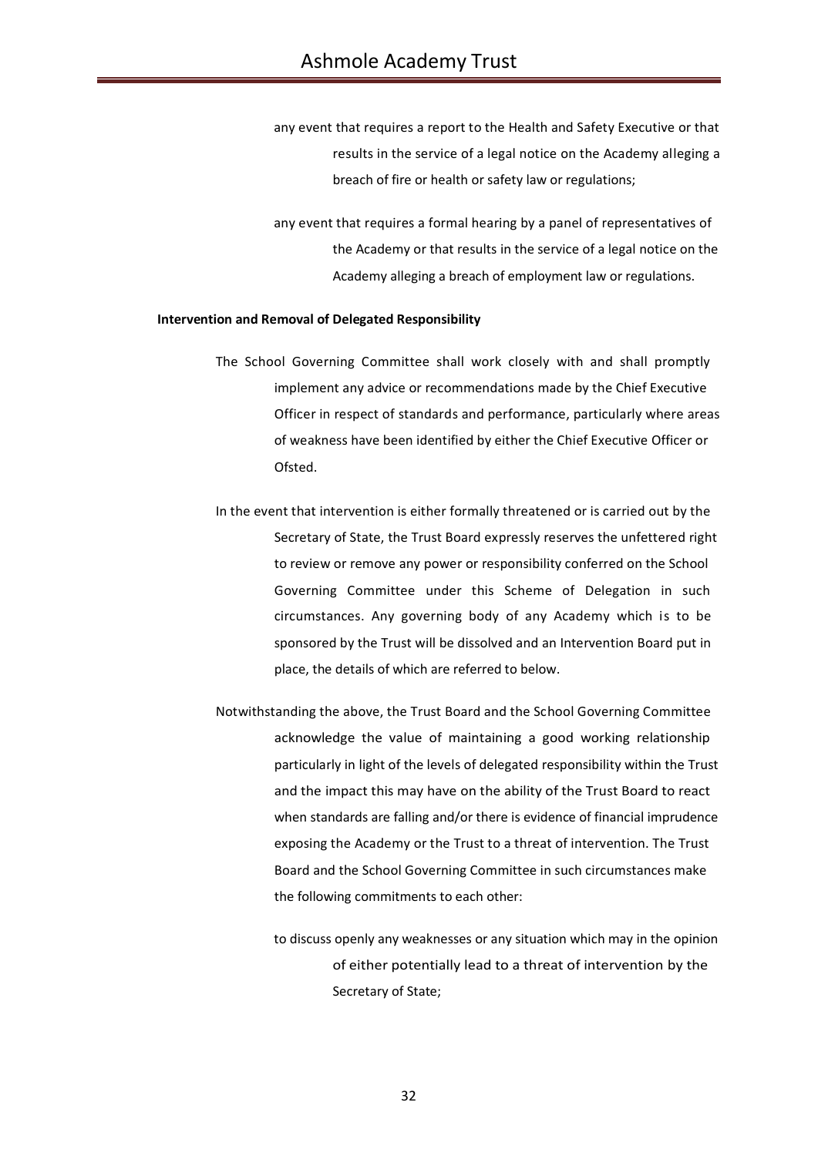any event that requires a report to the Health and Safety Executive or that results in the service of a legal notice on the Academy alleging a breach of fire or health or safety law or regulations;

any event that requires a formal hearing by a panel of representatives of the Academy or that results in the service of a legal notice on the Academy alleging a breach of employment law or regulations.

### **Intervention and Removal of Delegated Responsibility**

- The School Governing Committee shall work closely with and shall promptly implement any advice or recommendations made by the Chief Executive Officer in respect of standards and performance, particularly where areas of weakness have been identified by either the Chief Executive Officer or Ofsted.
- In the event that intervention is either formally threatened or is carried out by the Secretary of State, the Trust Board expressly reserves the unfettered right to review or remove any power or responsibility conferred on the School Governing Committee under this Scheme of Delegation in such circumstances. Any governing body of any Academy which is to be sponsored by the Trust will be dissolved and an Intervention Board put in place, the details of which are referred to below.
- Notwithstanding the above, the Trust Board and the School Governing Committee acknowledge the value of maintaining a good working relationship particularly in light of the levels of delegated responsibility within the Trust and the impact this may have on the ability of the Trust Board to react when standards are falling and/or there is evidence of financial imprudence exposing the Academy or the Trust to a threat of intervention. The Trust Board and the School Governing Committee in such circumstances make the following commitments to each other:

to discuss openly any weaknesses or any situation which may in the opinion of either potentially lead to a threat of intervention by the Secretary of State;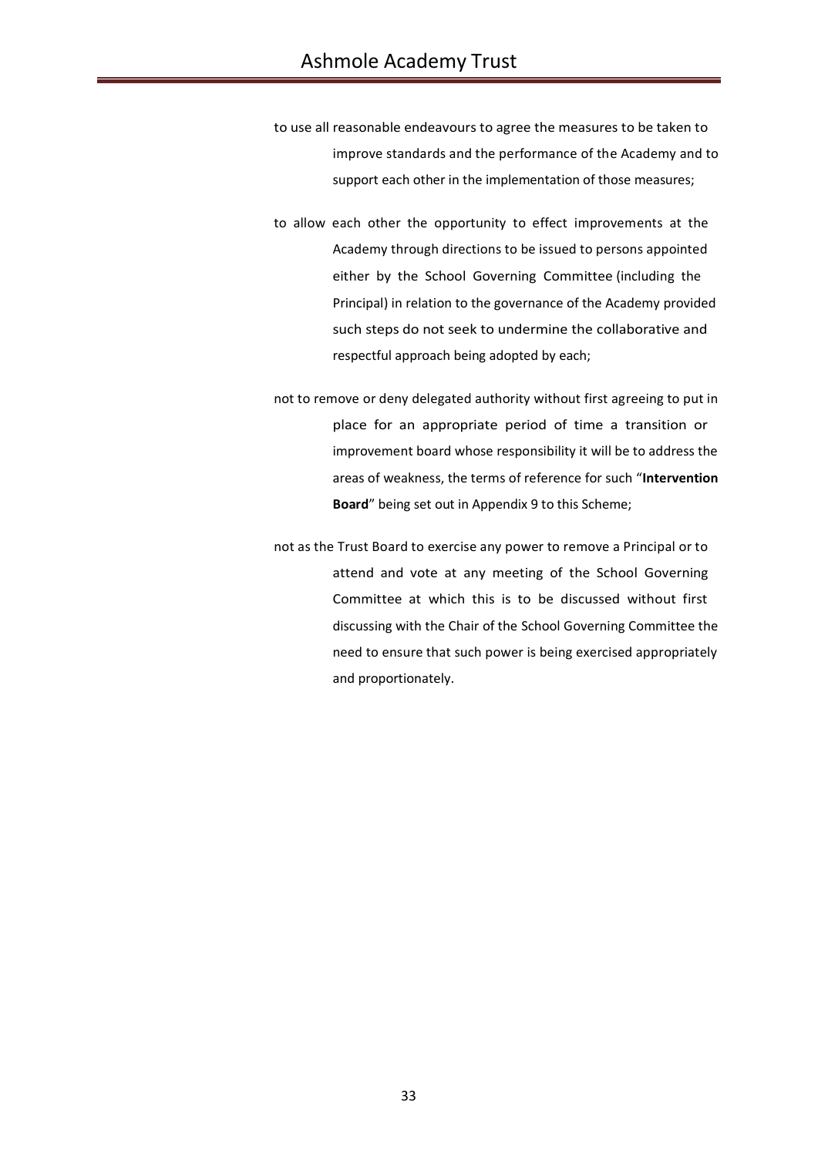- to use all reasonable endeavours to agree the measures to be taken to improve standards and the performance of the Academy and to support each other in the implementation of those measures;
- to allow each other the opportunity to effect improvements at the Academy through directions to be issued to persons appointed either by the School Governing Committee (including the Principal) in relation to the governance of the Academy provided such steps do not seek to undermine the collaborative and respectful approach being adopted by each;
- not to remove or deny delegated authority without first agreeing to put in place for an appropriate period of time a transition or improvement board whose responsibility it will be to address the areas of weakness, the terms of reference for such "**Intervention Board**" being set out in Appendix 9 to this Scheme;
- not as the Trust Board to exercise any power to remove a Principal or to attend and vote at any meeting of the School Governing Committee at which this is to be discussed without first discussing with the Chair of the School Governing Committee the need to ensure that such power is being exercised appropriately and proportionately.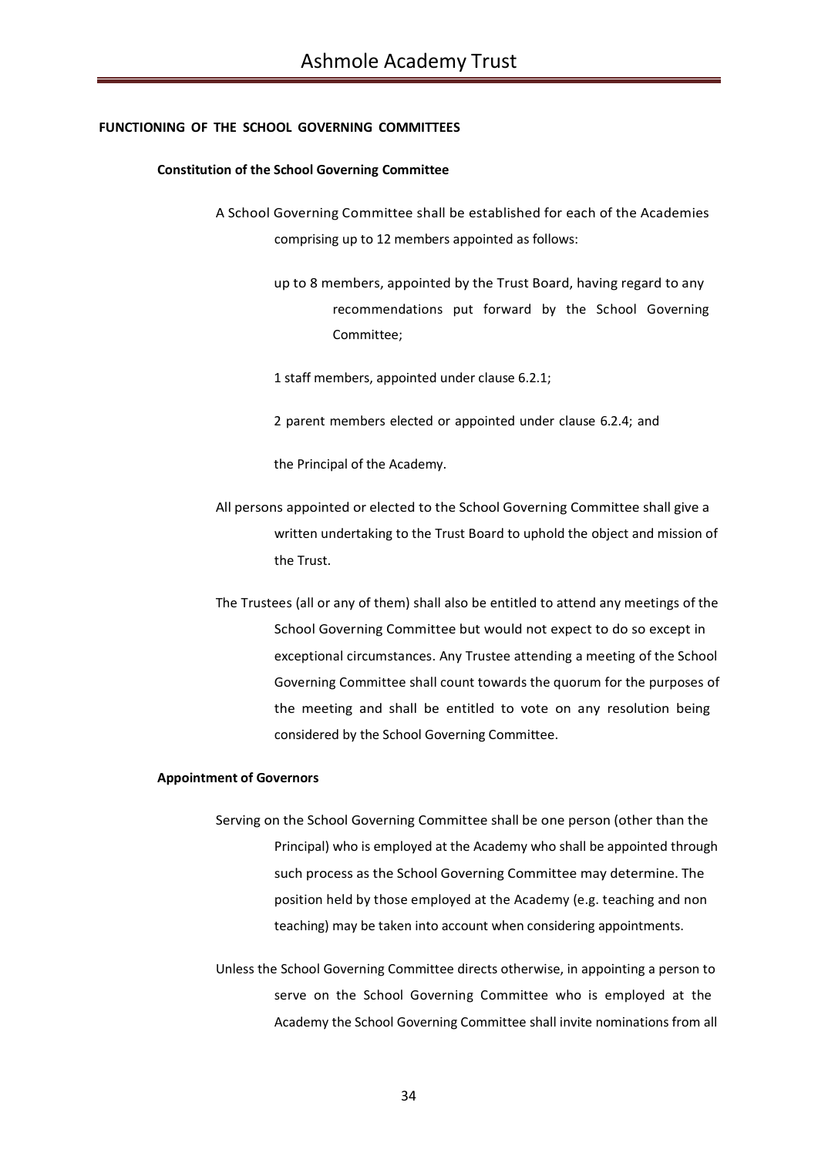### **FUNCTIONING OF THE SCHOOL GOVERNING COMMITTEES**

### **Constitution of the School Governing Committee**

- A School Governing Committee shall be established for each of the Academies comprising up to 12 members appointed as follows:
	- up to 8 members, appointed by the Trust Board, having regard to any recommendations put forward by the School Governing Committee;
	- 1 staff members, appointed under clause 6.2.1;
	- 2 parent members elected or appointed under clause 6.2.4; and

the Principal of the Academy.

- All persons appointed or elected to the School Governing Committee shall give a written undertaking to the Trust Board to uphold the object and mission of the Trust.
- The Trustees (all or any of them) shall also be entitled to attend any meetings of the School Governing Committee but would not expect to do so except in exceptional circumstances. Any Trustee attending a meeting of the School Governing Committee shall count towards the quorum for the purposes of the meeting and shall be entitled to vote on any resolution being considered by the School Governing Committee.

### **Appointment of Governors**

- Serving on the School Governing Committee shall be one person (other than the Principal) who is employed at the Academy who shall be appointed through such process as the School Governing Committee may determine. The position held by those employed at the Academy (e.g. teaching and non teaching) may be taken into account when considering appointments.
- Unless the School Governing Committee directs otherwise, in appointing a person to serve on the School Governing Committee who is employed at the Academy the School Governing Committee shall invite nominations from all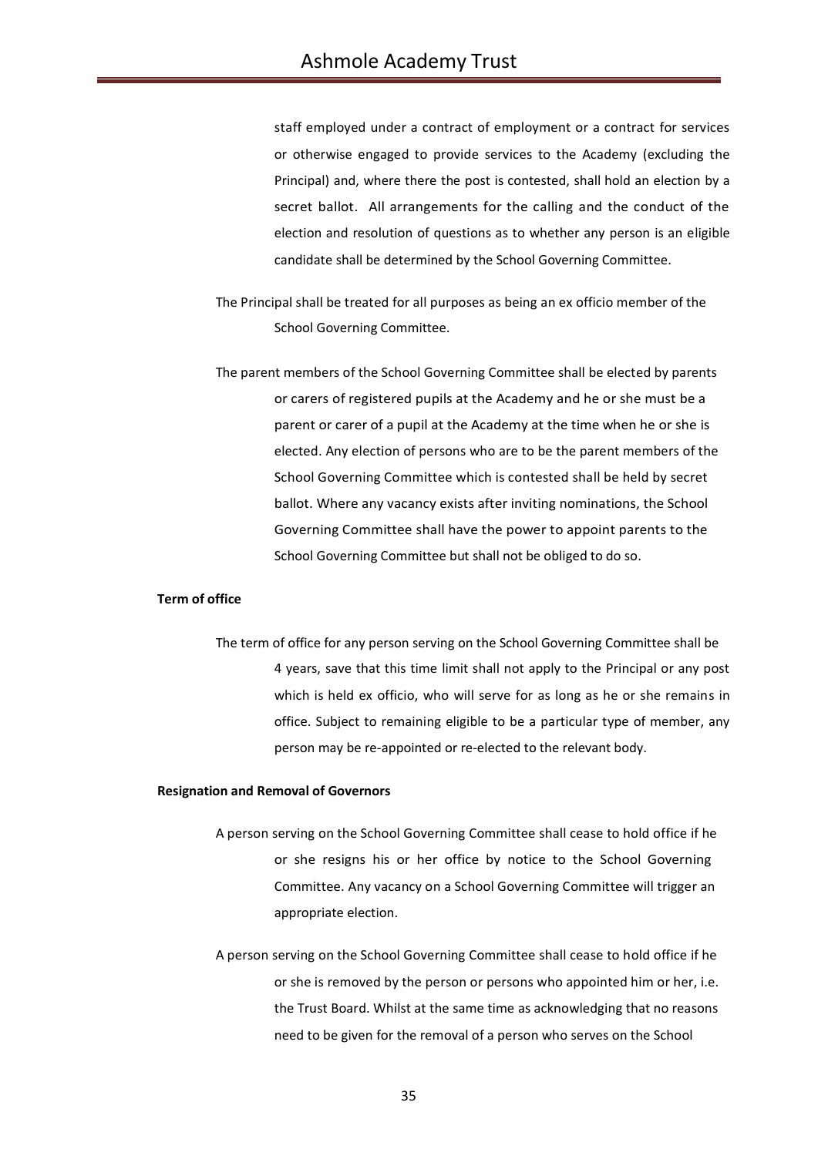staff employed under a contract of employment or a contract for services or otherwise engaged to provide services to the Academy (excluding the Principal) and, where there the post is contested, shall hold an election by a secret ballot. All arrangements for the calling and the conduct of the election and resolution of questions as to whether any person is an eligible candidate shall be determined by the School Governing Committee.

- The Principal shall be treated for all purposes as being an ex officio member of the School Governing Committee.
- The parent members of the School Governing Committee shall be elected by parents or carers of registered pupils at the Academy and he or she must be a parent or carer of a pupil at the Academy at the time when he or she is elected. Any election of persons who are to be the parent members of the School Governing Committee which is contested shall be held by secret ballot. Where any vacancy exists after inviting nominations, the School Governing Committee shall have the power to appoint parents to the School Governing Committee but shall not be obliged to do so.

## **Term of office**

The term of office for any person serving on the School Governing Committee shall be 4 years, save that this time limit shall not apply to the Principal or any post which is held ex officio, who will serve for as long as he or she remains in office. Subject to remaining eligible to be a particular type of member, any person may be re-appointed or re-elected to the relevant body.

#### **Resignation and Removal of Governors**

- A person serving on the School Governing Committee shall cease to hold office if he or she resigns his or her office by notice to the School Governing Committee. Any vacancy on a School Governing Committee will trigger an appropriate election.
- A person serving on the School Governing Committee shall cease to hold office if he or she is removed by the person or persons who appointed him or her, i.e. the Trust Board. Whilst at the same time as acknowledging that no reasons need to be given for the removal of a person who serves on the School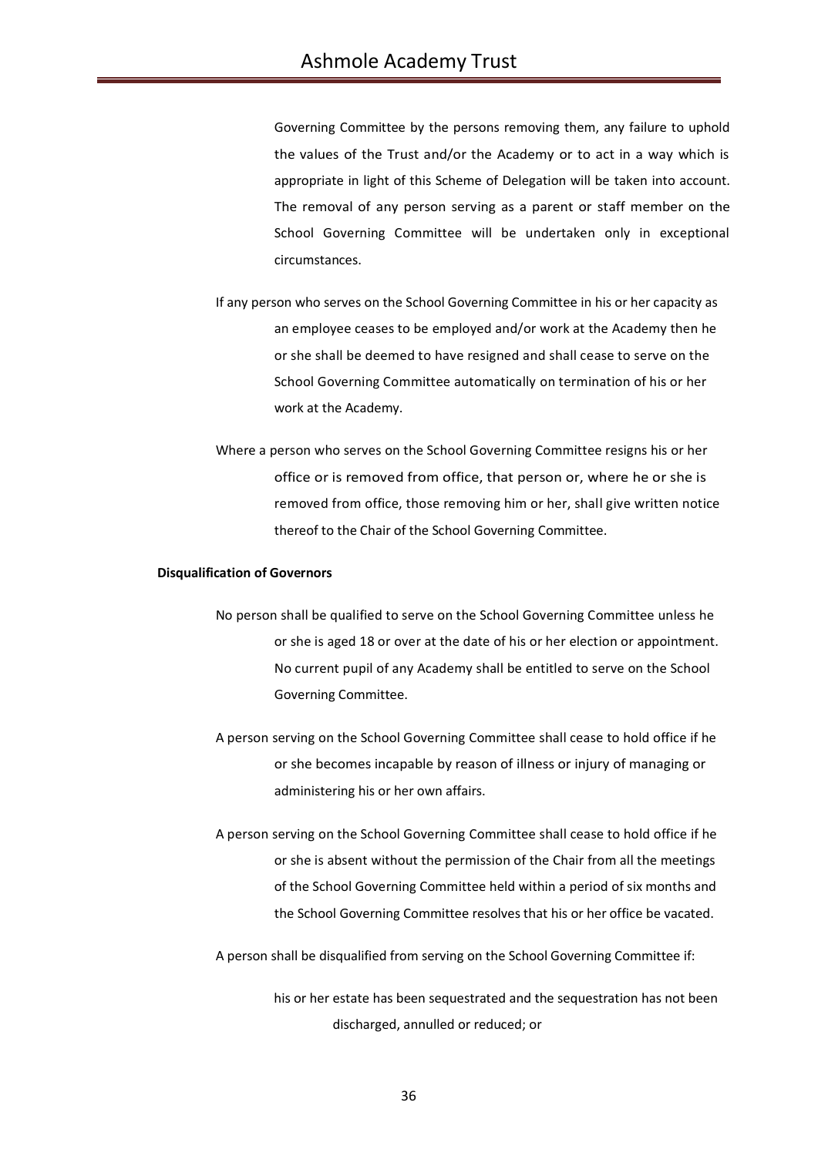Governing Committee by the persons removing them, any failure to uphold the values of the Trust and/or the Academy or to act in a way which is appropriate in light of this Scheme of Delegation will be taken into account. The removal of any person serving as a parent or staff member on the School Governing Committee will be undertaken only in exceptional circumstances.

- If any person who serves on the School Governing Committee in his or her capacity as an employee ceases to be employed and/or work at the Academy then he or she shall be deemed to have resigned and shall cease to serve on the School Governing Committee automatically on termination of his or her work at the Academy.
- Where a person who serves on the School Governing Committee resigns his or her office or is removed from office, that person or, where he or she is removed from office, those removing him or her, shall give written notice thereof to the Chair of the School Governing Committee.

### **Disqualification of Governors**

- No person shall be qualified to serve on the School Governing Committee unless he or she is aged 18 or over at the date of his or her election or appointment. No current pupil of any Academy shall be entitled to serve on the School Governing Committee.
- A person serving on the School Governing Committee shall cease to hold office if he or she becomes incapable by reason of illness or injury of managing or administering his or her own affairs.
- A person serving on the School Governing Committee shall cease to hold office if he or she is absent without the permission of the Chair from all the meetings of the School Governing Committee held within a period of six months and the School Governing Committee resolves that his or her office be vacated.
- A person shall be disqualified from serving on the School Governing Committee if:

his or her estate has been sequestrated and the sequestration has not been discharged, annulled or reduced; or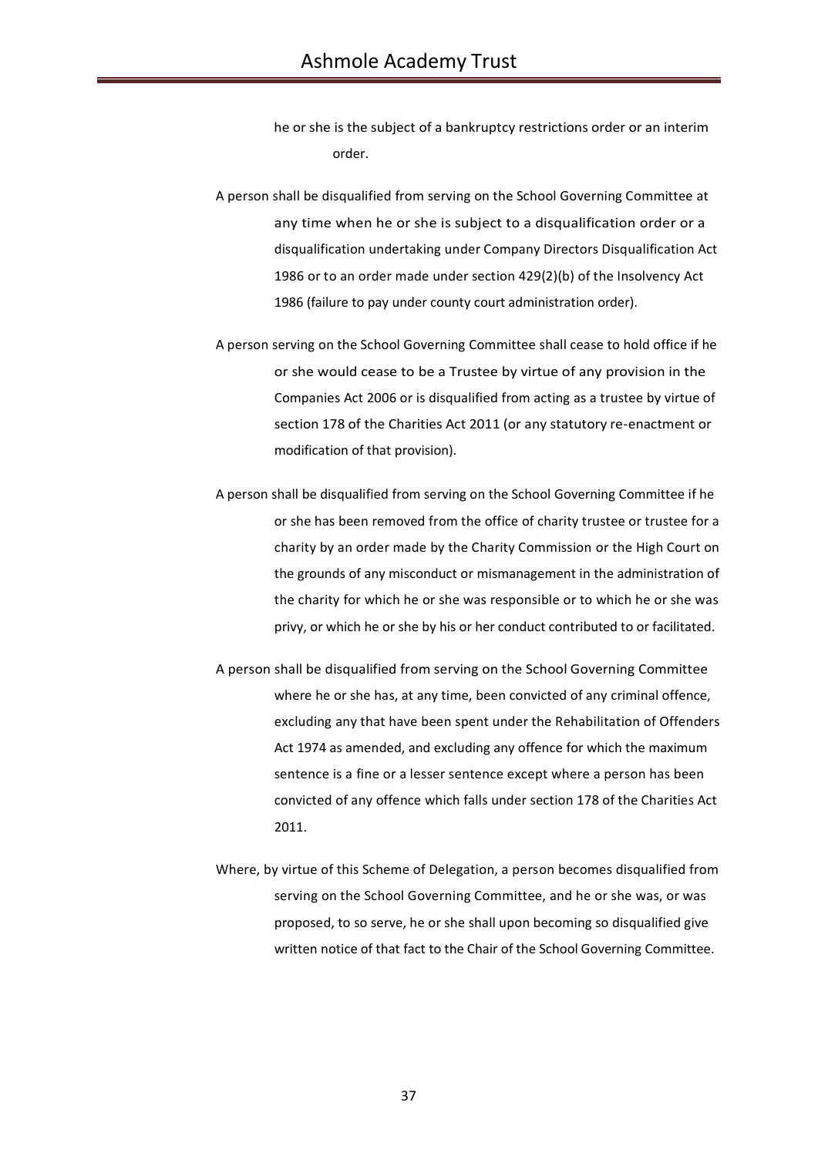- he or she is the subject of a bankruptcy restrictions order or an interim order.
- A person shall be disqualified from serving on the School Governing Committee at any time when he or she is subject to a disqualification order or a disqualification undertaking under Company Directors Disqualification Act 1986 or to an order made under section 429(2)(b) of the Insolvency Act 1986 (failure to pay under county court administration order).
- A person serving on the School Governing Committee shall cease to hold office if he or she would cease to be a Trustee by virtue of any provision in the Companies Act 2006 or is disqualified from acting as a trustee by virtue of section 178 of the Charities Act 2011 (or any statutory re-enactment or modification of that provision).
- A person shall be disqualified from serving on the School Governing Committee if he or she has been removed from the office of charity trustee or trustee for a charity by an order made by the Charity Commission or the High Court on the grounds of any misconduct or mismanagement in the administration of the charity for which he or she was responsible or to which he or she was privy, or which he or she by his or her conduct contributed to or facilitated.
- A person shall be disqualified from serving on the School Governing Committee where he or she has, at any time, been convicted of any criminal offence, excluding any that have been spent under the Rehabilitation of Offenders Act 1974 as amended, and excluding any offence for which the maximum sentence is a fine or a lesser sentence except where a person has been convicted of any offence which falls under section 178 of the Charities Act 2011.
- Where, by virtue of this Scheme of Delegation, a person becomes disqualified from serving on the School Governing Committee, and he or she was, or was proposed, to so serve, he or she shall upon becoming so disqualified give written notice of that fact to the Chair of the School Governing Committee.

37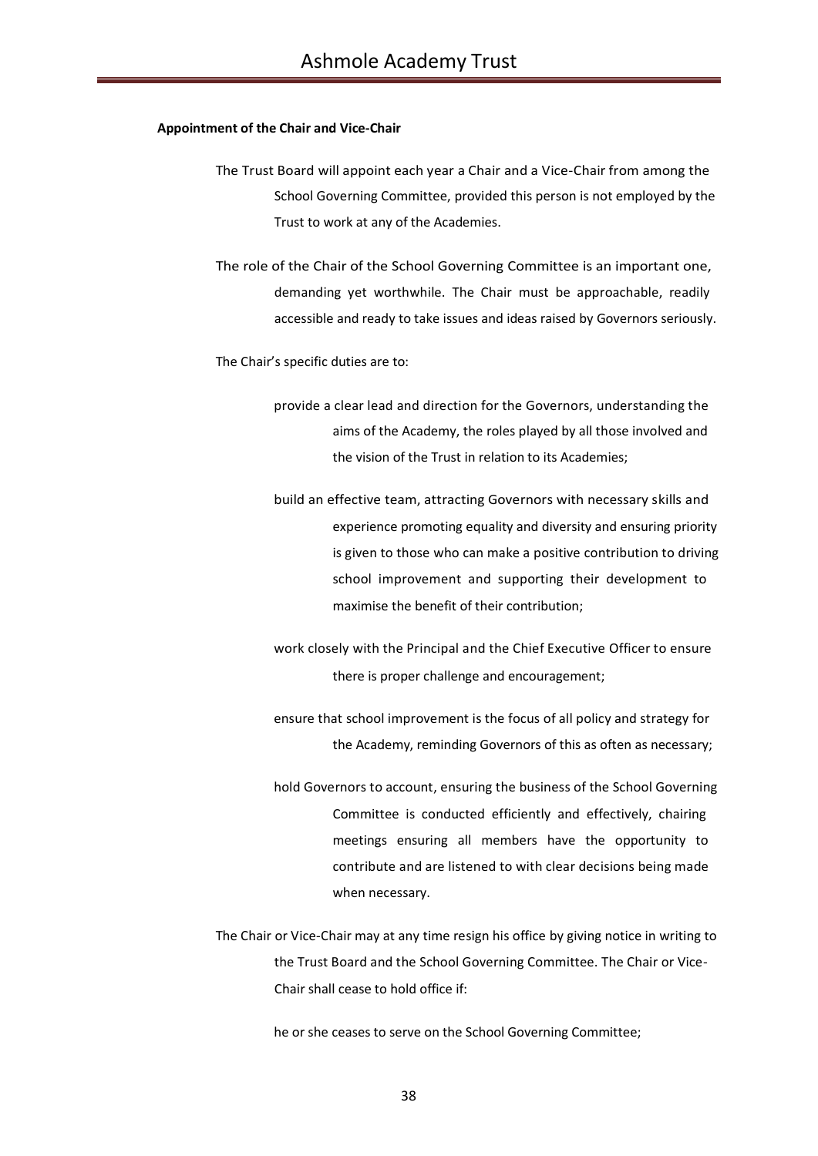#### **Appointment of the Chair and Vice-Chair**

- The Trust Board will appoint each year a Chair and a Vice-Chair from among the School Governing Committee, provided this person is not employed by the Trust to work at any of the Academies.
- The role of the Chair of the School Governing Committee is an important one, demanding yet worthwhile. The Chair must be approachable, readily accessible and ready to take issues and ideas raised by Governors seriously.

The Chair's specific duties are to:

- provide a clear lead and direction for the Governors, understanding the aims of the Academy, the roles played by all those involved and the vision of the Trust in relation to its Academies;
- build an effective team, attracting Governors with necessary skills and experience promoting equality and diversity and ensuring priority is given to those who can make a positive contribution to driving school improvement and supporting their development to maximise the benefit of their contribution;
- work closely with the Principal and the Chief Executive Officer to ensure there is proper challenge and encouragement;
- ensure that school improvement is the focus of all policy and strategy for the Academy, reminding Governors of this as often as necessary;
- hold Governors to account, ensuring the business of the School Governing Committee is conducted efficiently and effectively, chairing meetings ensuring all members have the opportunity to contribute and are listened to with clear decisions being made when necessary.
- The Chair or Vice-Chair may at any time resign his office by giving notice in writing to the Trust Board and the School Governing Committee. The Chair or Vice-Chair shall cease to hold office if:

he or she ceases to serve on the School Governing Committee;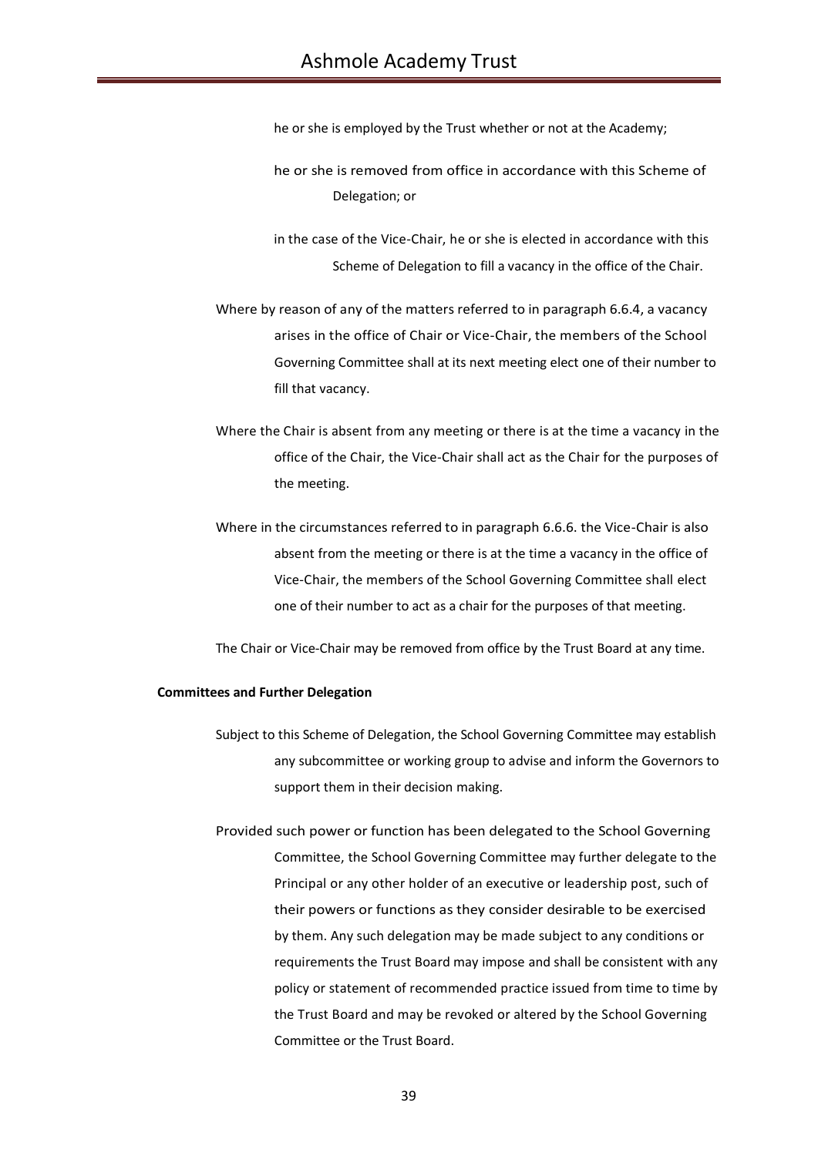he or she is employed by the Trust whether or not at the Academy;

- he or she is removed from office in accordance with this Scheme of Delegation; or
- in the case of the Vice-Chair, he or she is elected in accordance with this Scheme of Delegation to fill a vacancy in the office of the Chair.
- Where by reason of any of the matters referred to in paragraph 6.6.4, a vacancy arises in the office of Chair or Vice-Chair, the members of the School Governing Committee shall at its next meeting elect one of their number to fill that vacancy.
- Where the Chair is absent from any meeting or there is at the time a vacancy in the office of the Chair, the Vice-Chair shall act as the Chair for the purposes of the meeting.
- Where in the circumstances referred to in paragraph 6.6.6. the Vice-Chair is also absent from the meeting or there is at the time a vacancy in the office of Vice-Chair, the members of the School Governing Committee shall elect one of their number to act as a chair for the purposes of that meeting.

The Chair or Vice-Chair may be removed from office by the Trust Board at any time.

#### **Committees and Further Delegation**

- Subject to this Scheme of Delegation, the School Governing Committee may establish any subcommittee or working group to advise and inform the Governors to support them in their decision making.
- Provided such power or function has been delegated to the School Governing Committee, the School Governing Committee may further delegate to the Principal or any other holder of an executive or leadership post, such of their powers or functions as they consider desirable to be exercised by them. Any such delegation may be made subject to any conditions or requirements the Trust Board may impose and shall be consistent with any policy or statement of recommended practice issued from time to time by the Trust Board and may be revoked or altered by the School Governing Committee or the Trust Board.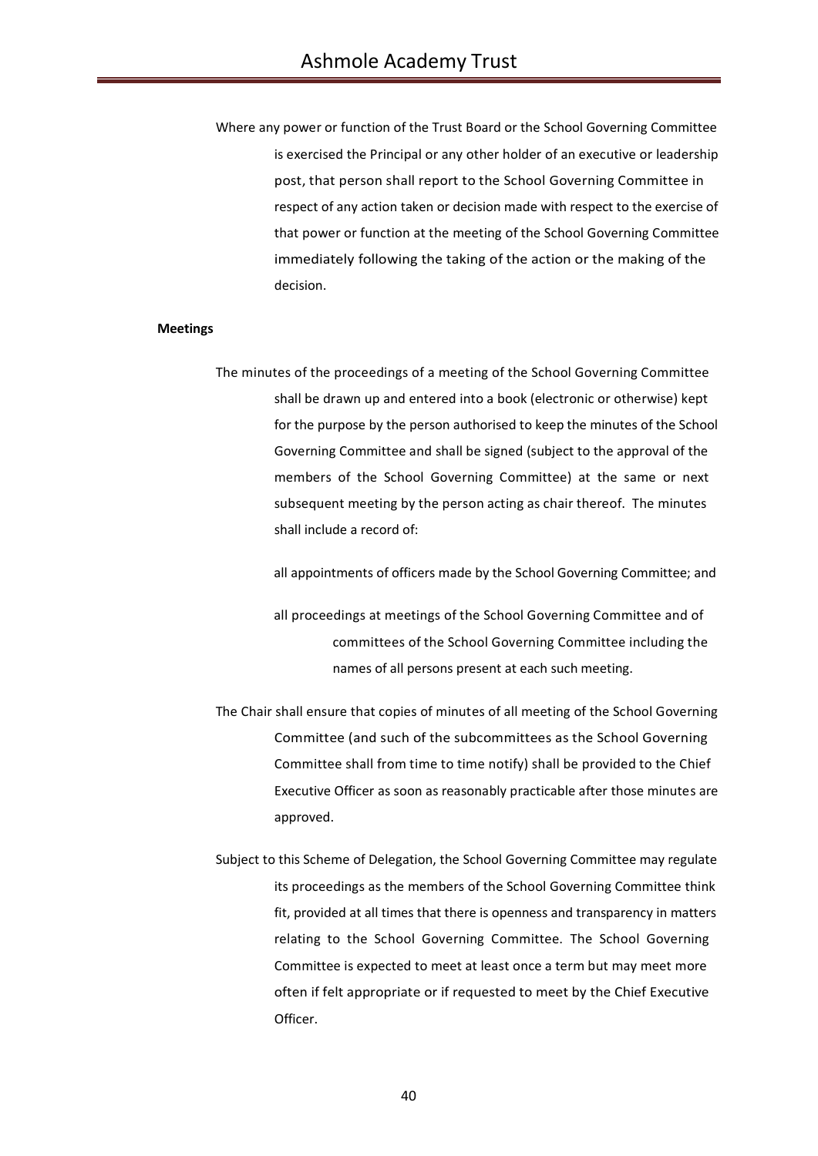Where any power or function of the Trust Board or the School Governing Committee is exercised the Principal or any other holder of an executive or leadership post, that person shall report to the School Governing Committee in respect of any action taken or decision made with respect to the exercise of that power or function at the meeting of the School Governing Committee immediately following the taking of the action or the making of the decision.

#### **Meetings**

The minutes of the proceedings of a meeting of the School Governing Committee shall be drawn up and entered into a book (electronic or otherwise) kept for the purpose by the person authorised to keep the minutes of the School Governing Committee and shall be signed (subject to the approval of the members of the School Governing Committee) at the same or next subsequent meeting by the person acting as chair thereof. The minutes shall include a record of:

all appointments of officers made by the School Governing Committee; and

- all proceedings at meetings of the School Governing Committee and of committees of the School Governing Committee including the names of all persons present at each such meeting.
- The Chair shall ensure that copies of minutes of all meeting of the School Governing Committee (and such of the subcommittees as the School Governing Committee shall from time to time notify) shall be provided to the Chief Executive Officer as soon as reasonably practicable after those minutes are approved.
- Subject to this Scheme of Delegation, the School Governing Committee may regulate its proceedings as the members of the School Governing Committee think fit, provided at all times that there is openness and transparency in matters relating to the School Governing Committee. The School Governing Committee is expected to meet at least once a term but may meet more often if felt appropriate or if requested to meet by the Chief Executive Officer.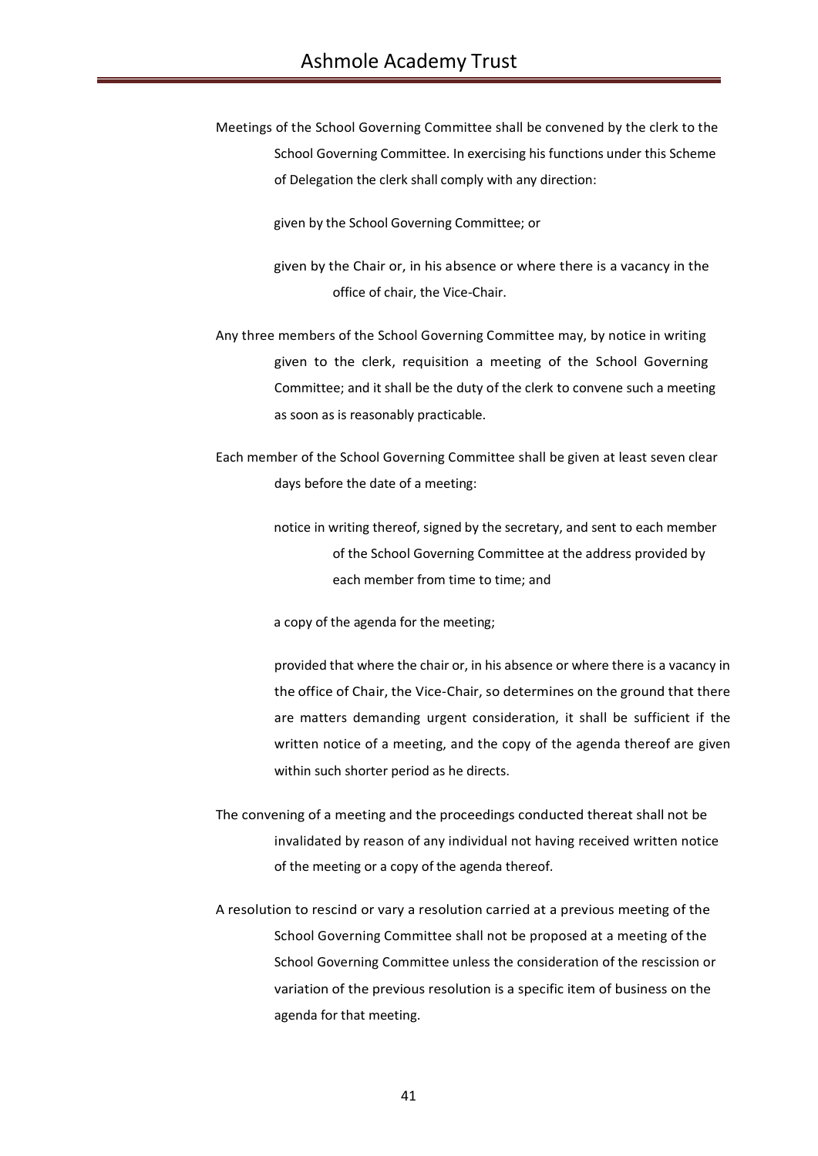Meetings of the School Governing Committee shall be convened by the clerk to the School Governing Committee. In exercising his functions under this Scheme of Delegation the clerk shall comply with any direction:

given by the School Governing Committee; or

- given by the Chair or, in his absence or where there is a vacancy in the office of chair, the Vice-Chair.
- Any three members of the School Governing Committee may, by notice in writing given to the clerk, requisition a meeting of the School Governing Committee; and it shall be the duty of the clerk to convene such a meeting as soon as is reasonably practicable.
- Each member of the School Governing Committee shall be given at least seven clear days before the date of a meeting:
	- notice in writing thereof, signed by the secretary, and sent to each member of the School Governing Committee at the address provided by each member from time to time; and

a copy of the agenda for the meeting;

provided that where the chair or, in his absence or where there is a vacancy in the office of Chair, the Vice-Chair, so determines on the ground that there are matters demanding urgent consideration, it shall be sufficient if the written notice of a meeting, and the copy of the agenda thereof are given within such shorter period as he directs.

- The convening of a meeting and the proceedings conducted thereat shall not be invalidated by reason of any individual not having received written notice of the meeting or a copy of the agenda thereof.
- A resolution to rescind or vary a resolution carried at a previous meeting of the School Governing Committee shall not be proposed at a meeting of the School Governing Committee unless the consideration of the rescission or variation of the previous resolution is a specific item of business on the agenda for that meeting.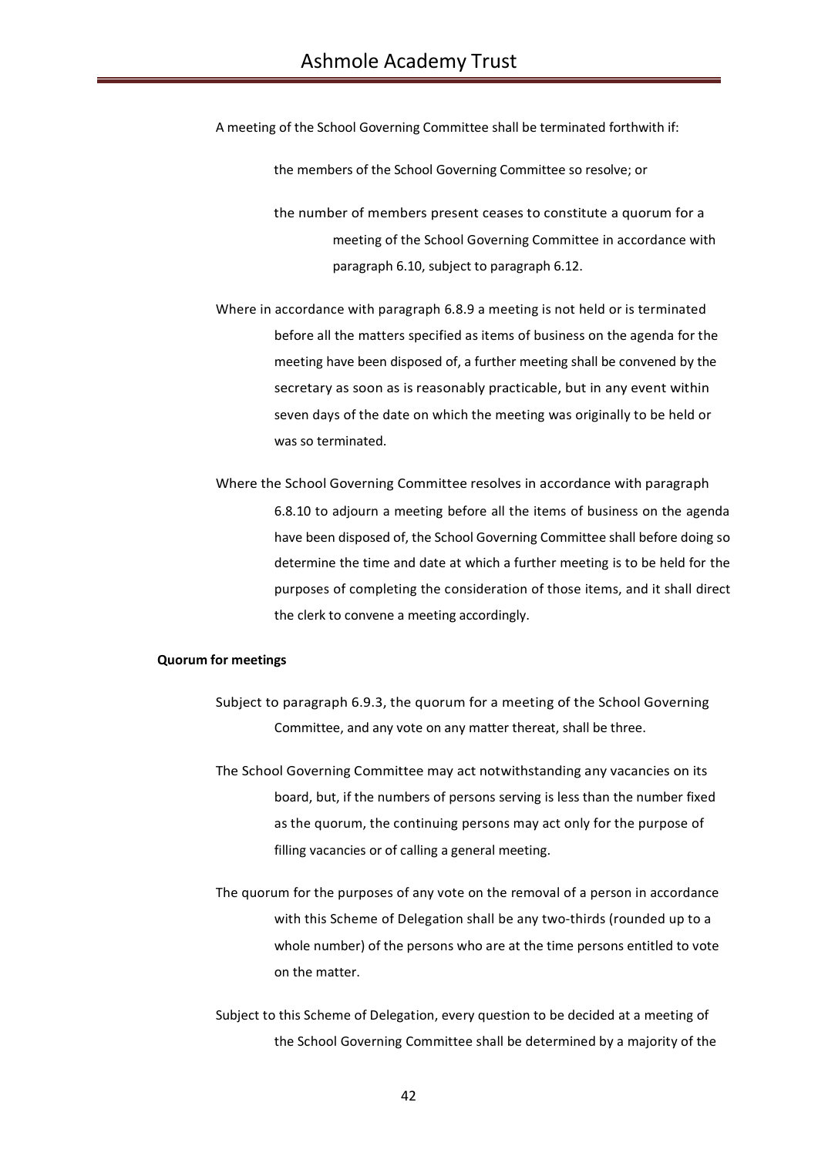A meeting of the School Governing Committee shall be terminated forthwith if:

the members of the School Governing Committee so resolve; or

the number of members present ceases to constitute a quorum for a meeting of the School Governing Committee in accordance with paragraph 6.10, subject to paragraph 6.12.

Where in accordance with paragraph 6.8.9 a meeting is not held or is terminated before all the matters specified as items of business on the agenda for the meeting have been disposed of, a further meeting shall be convened by the secretary as soon as is reasonably practicable, but in any event within seven days of the date on which the meeting was originally to be held or was so terminated.

Where the School Governing Committee resolves in accordance with paragraph 6.8.10 to adjourn a meeting before all the items of business on the agenda have been disposed of, the School Governing Committee shall before doing so determine the time and date at which a further meeting is to be held for the purposes of completing the consideration of those items, and it shall direct the clerk to convene a meeting accordingly.

## **Quorum for meetings**

- Subject to paragraph 6.9.3, the quorum for a meeting of the School Governing Committee, and any vote on any matter thereat, shall be three.
- The School Governing Committee may act notwithstanding any vacancies on its board, but, if the numbers of persons serving is less than the number fixed as the quorum, the continuing persons may act only for the purpose of filling vacancies or of calling a general meeting.
- The quorum for the purposes of any vote on the removal of a person in accordance with this Scheme of Delegation shall be any two-thirds (rounded up to a whole number) of the persons who are at the time persons entitled to vote on the matter.
- Subject to this Scheme of Delegation, every question to be decided at a meeting of the School Governing Committee shall be determined by a majority of the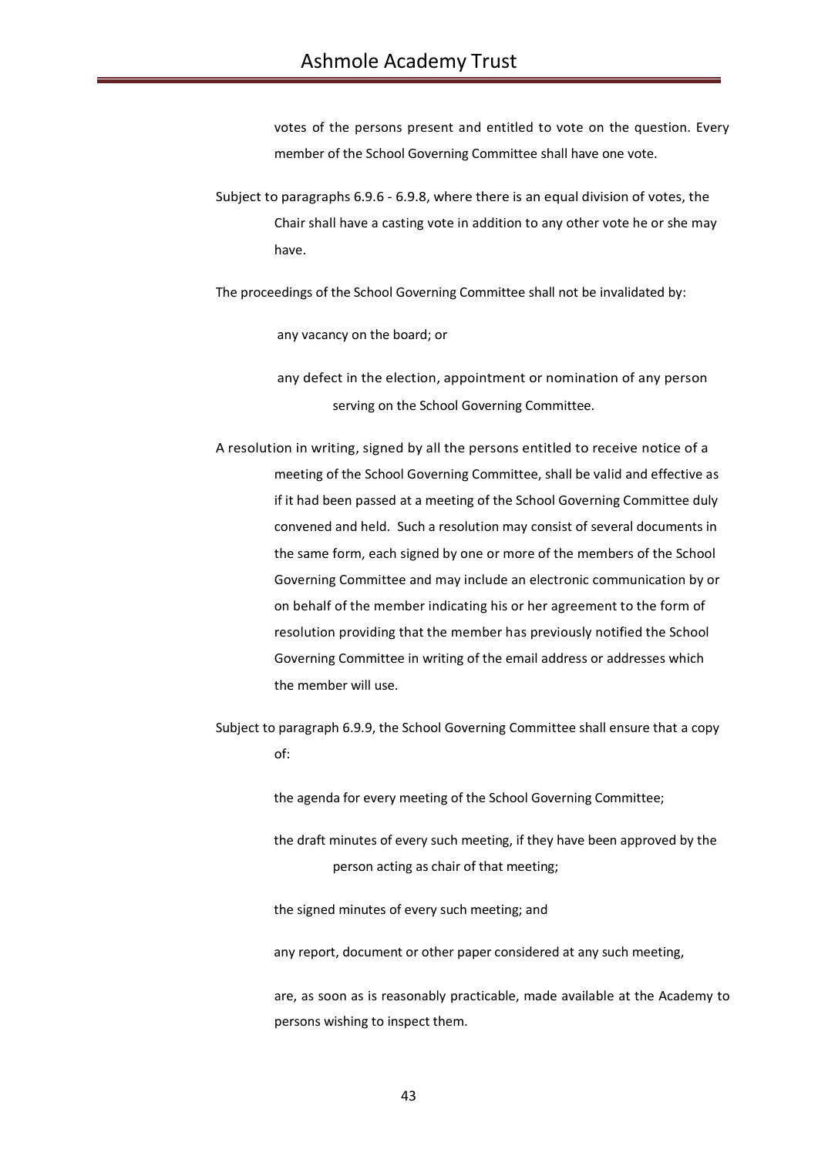votes of the persons present and entitled to vote on the question. Every member of the School Governing Committee shall have one vote.

Subject to paragraphs 6.9.6 - 6.9.8, where there is an equal division of votes, the Chair shall have a casting vote in addition to any other vote he or she may have.

The proceedings of the School Governing Committee shall not be invalidated by:

any vacancy on the board; or

any defect in the election, appointment or nomination of any person serving on the School Governing Committee.

- A resolution in writing, signed by all the persons entitled to receive notice of a meeting of the School Governing Committee, shall be valid and effective as if it had been passed at a meeting of the School Governing Committee duly convened and held. Such a resolution may consist of several documents in the same form, each signed by one or more of the members of the School Governing Committee and may include an electronic communication by or on behalf of the member indicating his or her agreement to the form of resolution providing that the member has previously notified the School Governing Committee in writing of the email address or addresses which the member will use.
- Subject to paragraph 6.9.9, the School Governing Committee shall ensure that a copy of:

the agenda for every meeting of the School Governing Committee;

the draft minutes of every such meeting, if they have been approved by the person acting as chair of that meeting;

the signed minutes of every such meeting; and

any report, document or other paper considered at any such meeting,

are, as soon as is reasonably practicable, made available at the Academy to persons wishing to inspect them.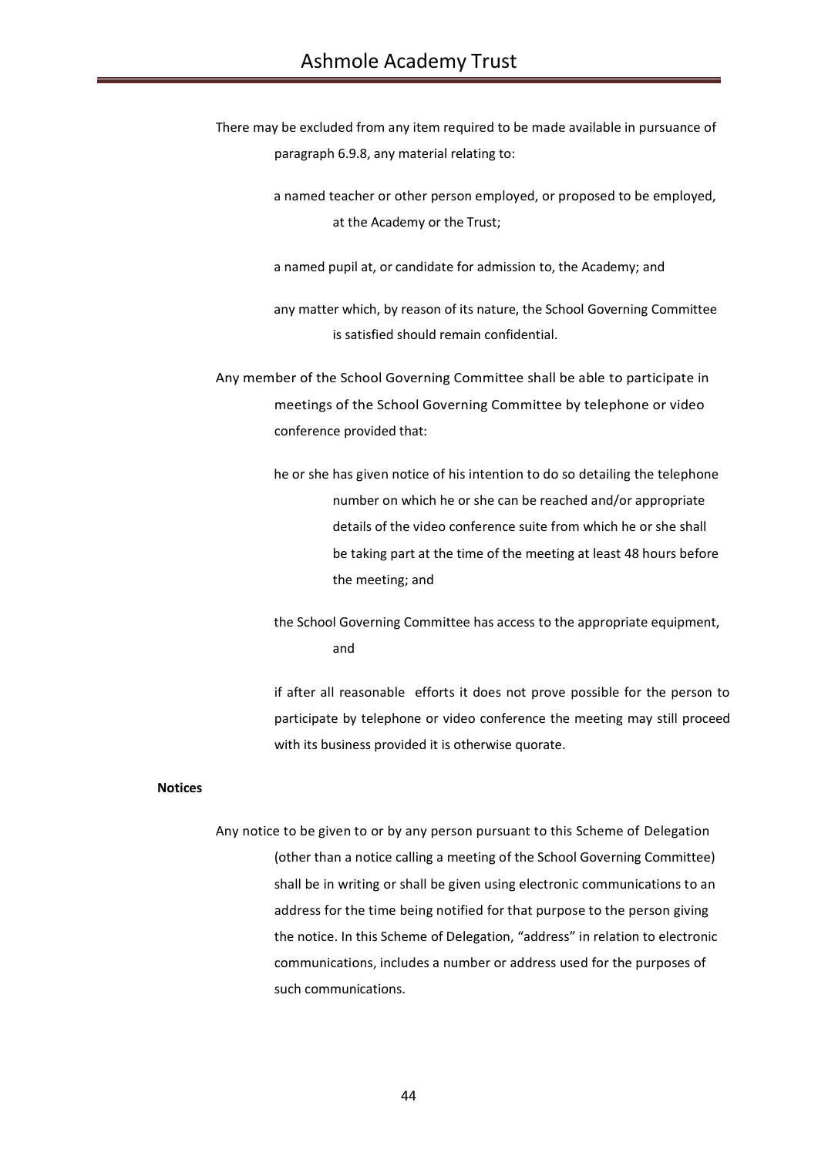There may be excluded from any item required to be made available in pursuance of paragraph 6.9.8, any material relating to:

> a named teacher or other person employed, or proposed to be employed, at the Academy or the Trust;

a named pupil at, or candidate for admission to, the Academy; and

any matter which, by reason of its nature, the School Governing Committee is satisfied should remain confidential.

Any member of the School Governing Committee shall be able to participate in meetings of the School Governing Committee by telephone or video conference provided that:

> he or she has given notice of his intention to do so detailing the telephone number on which he or she can be reached and/or appropriate details of the video conference suite from which he or she shall be taking part at the time of the meeting at least 48 hours before the meeting; and

> the School Governing Committee has access to the appropriate equipment, and

if after all reasonable efforts it does not prove possible for the person to participate by telephone or video conference the meeting may still proceed with its business provided it is otherwise quorate.

### **Notices**

Any notice to be given to or by any person pursuant to this Scheme of Delegation (other than a notice calling a meeting of the School Governing Committee) shall be in writing or shall be given using electronic communications to an address for the time being notified for that purpose to the person giving the notice. In this Scheme of Delegation, "address" in relation to electronic communications, includes a number or address used for the purposes of such communications.

44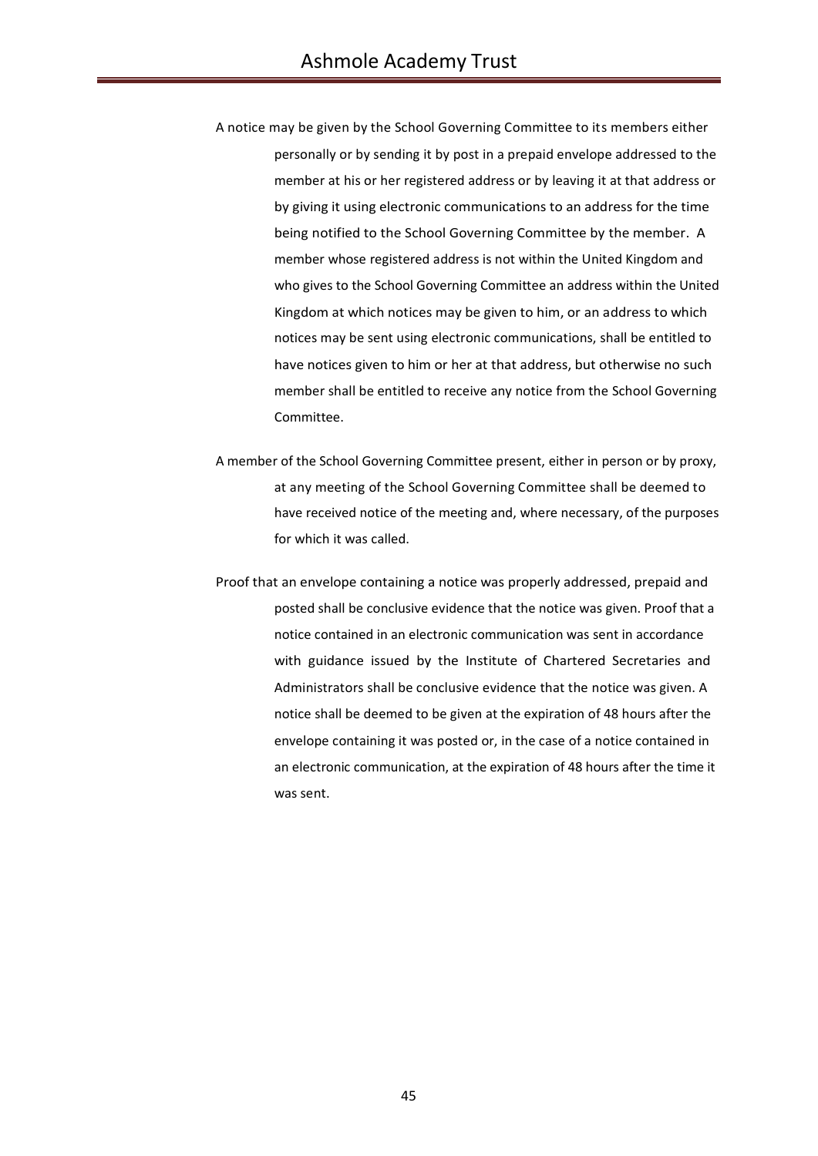- A notice may be given by the School Governing Committee to its members either personally or by sending it by post in a prepaid envelope addressed to the member at his or her registered address or by leaving it at that address or by giving it using electronic communications to an address for the time being notified to the School Governing Committee by the member. A member whose registered address is not within the United Kingdom and who gives to the School Governing Committee an address within the United Kingdom at which notices may be given to him, or an address to which notices may be sent using electronic communications, shall be entitled to have notices given to him or her at that address, but otherwise no such member shall be entitled to receive any notice from the School Governing Committee.
- A member of the School Governing Committee present, either in person or by proxy, at any meeting of the School Governing Committee shall be deemed to have received notice of the meeting and, where necessary, of the purposes for which it was called.
- Proof that an envelope containing a notice was properly addressed, prepaid and posted shall be conclusive evidence that the notice was given. Proof that a notice contained in an electronic communication was sent in accordance with guidance issued by the Institute of Chartered Secretaries and Administrators shall be conclusive evidence that the notice was given. A notice shall be deemed to be given at the expiration of 48 hours after the envelope containing it was posted or, in the case of a notice contained in an electronic communication, at the expiration of 48 hours after the time it was sent.

45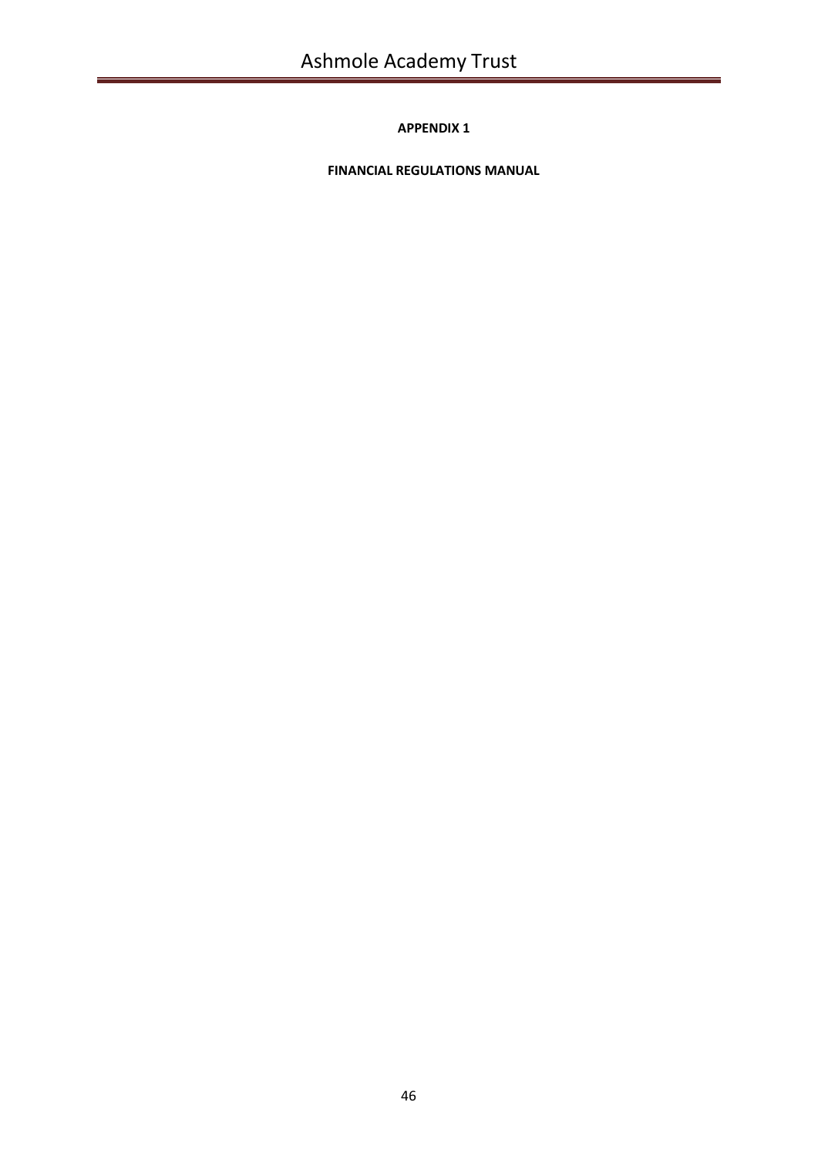**FINANCIAL REGULATIONS MANUAL**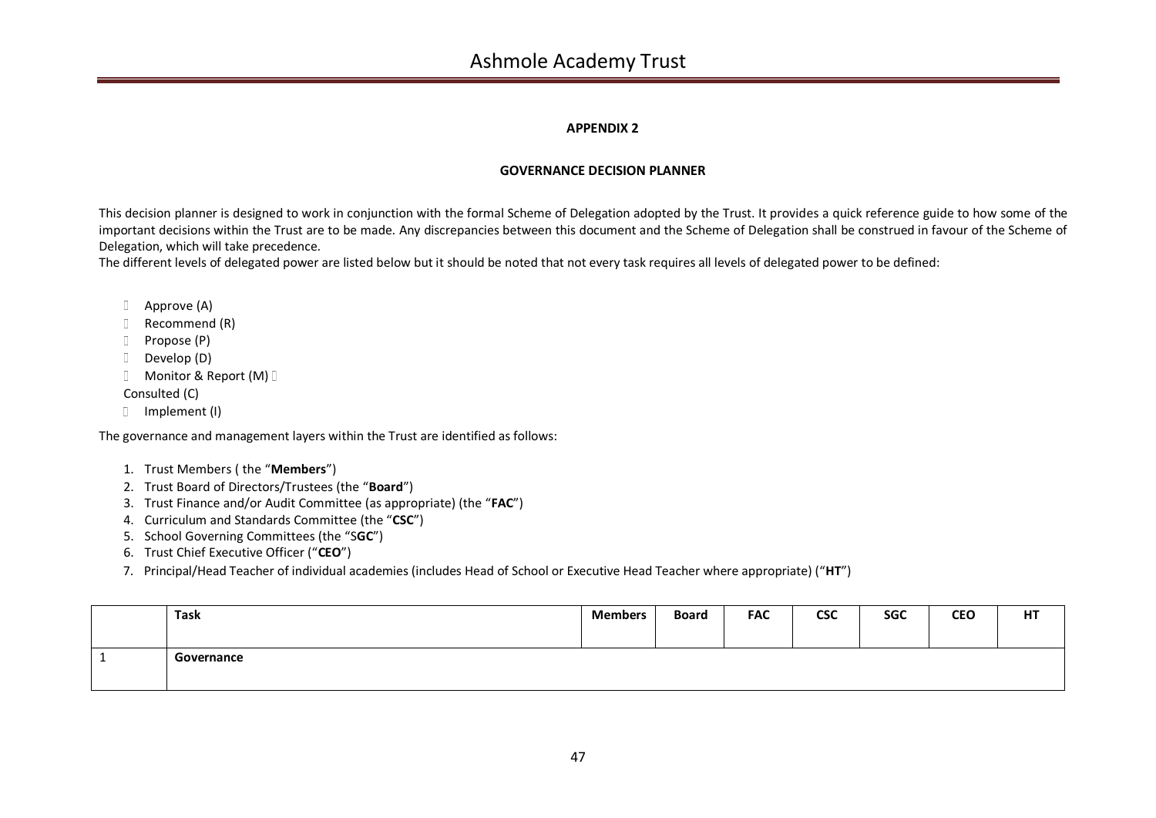## **GOVERNANCE DECISION PLANNER**

This decision planner is designed to work in conjunction with the formal Scheme of Delegation adopted by the Trust. It provides a quick reference guide to how some of the important decisions within the Trust are to be made. Any discrepancies between this document and the Scheme of Delegation shall be construed in favour of the Scheme of Delegation, which will take precedence.

The different levels of delegated power are listed below but it should be noted that not every task requires all levels of delegated power to be defined:

- Approve (A)
- D Recommend (R)
- D Propose (P)
- Develop (D)
- **Monitor & Report (M)**

Consulted (C)

Implement (I)

The governance and management layers within the Trust are identified as follows:

- 1. Trust Members ( the "**Members**")
- 2. Trust Board of Directors/Trustees (the "**Board**")
- 3. Trust Finance and/or Audit Committee (as appropriate) (the "**FAC**")
- 4. Curriculum and Standards Committee (the "**CSC**")
- 5. School Governing Committees (the "S**GC**")
- 6. Trust Chief Executive Officer ("**CEO**")
- 7. Principal/Head Teacher of individual academies (includes Head of School or Executive Head Teacher where appropriate) ("**HT**")

| Task       | <b>Members</b> | <b>Board</b> | <b>FAC</b> | <b>CSC</b> | <b>SGC</b> | <b>CEO</b> | HT |
|------------|----------------|--------------|------------|------------|------------|------------|----|
| Governance |                |              |            |            |            |            |    |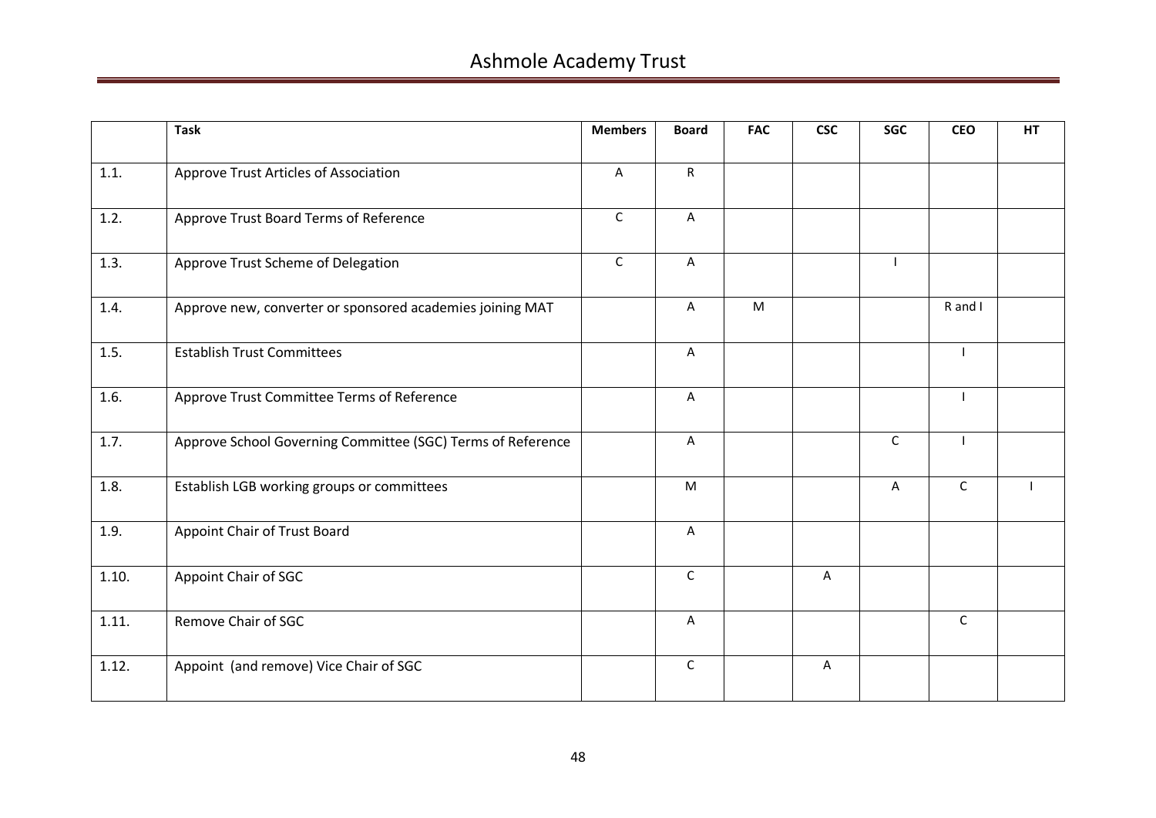|       | <b>Task</b>                                                 | <b>Members</b> | <b>Board</b>   | <b>FAC</b> | <b>CSC</b> | <b>SGC</b>   | <b>CEO</b>   | <b>HT</b> |
|-------|-------------------------------------------------------------|----------------|----------------|------------|------------|--------------|--------------|-----------|
| 1.1.  | Approve Trust Articles of Association                       | A              | $\mathsf{R}$   |            |            |              |              |           |
| 1.2.  | Approve Trust Board Terms of Reference                      | $\mathsf C$    | A              |            |            |              |              |           |
| 1.3.  | Approve Trust Scheme of Delegation                          | $\mathsf C$    | A              |            |            |              |              |           |
| 1.4.  | Approve new, converter or sponsored academies joining MAT   |                | $\mathsf{A}$   | M          |            |              | R and I      |           |
| 1.5.  | <b>Establish Trust Committees</b>                           |                | A              |            |            |              |              |           |
| 1.6.  | Approve Trust Committee Terms of Reference                  |                | $\overline{A}$ |            |            |              |              |           |
| 1.7.  | Approve School Governing Committee (SGC) Terms of Reference |                | A              |            |            | $\mathsf{C}$ |              |           |
| 1.8.  | Establish LGB working groups or committees                  |                | M              |            |            | A            | $\mathsf C$  |           |
| 1.9.  | Appoint Chair of Trust Board                                |                | A              |            |            |              |              |           |
| 1.10. | Appoint Chair of SGC                                        |                | $\mathsf{C}$   |            | A          |              |              |           |
| 1.11. | Remove Chair of SGC                                         |                | A              |            |            |              | $\mathsf{C}$ |           |
| 1.12. | Appoint (and remove) Vice Chair of SGC                      |                | $\mathsf{C}$   |            | A          |              |              |           |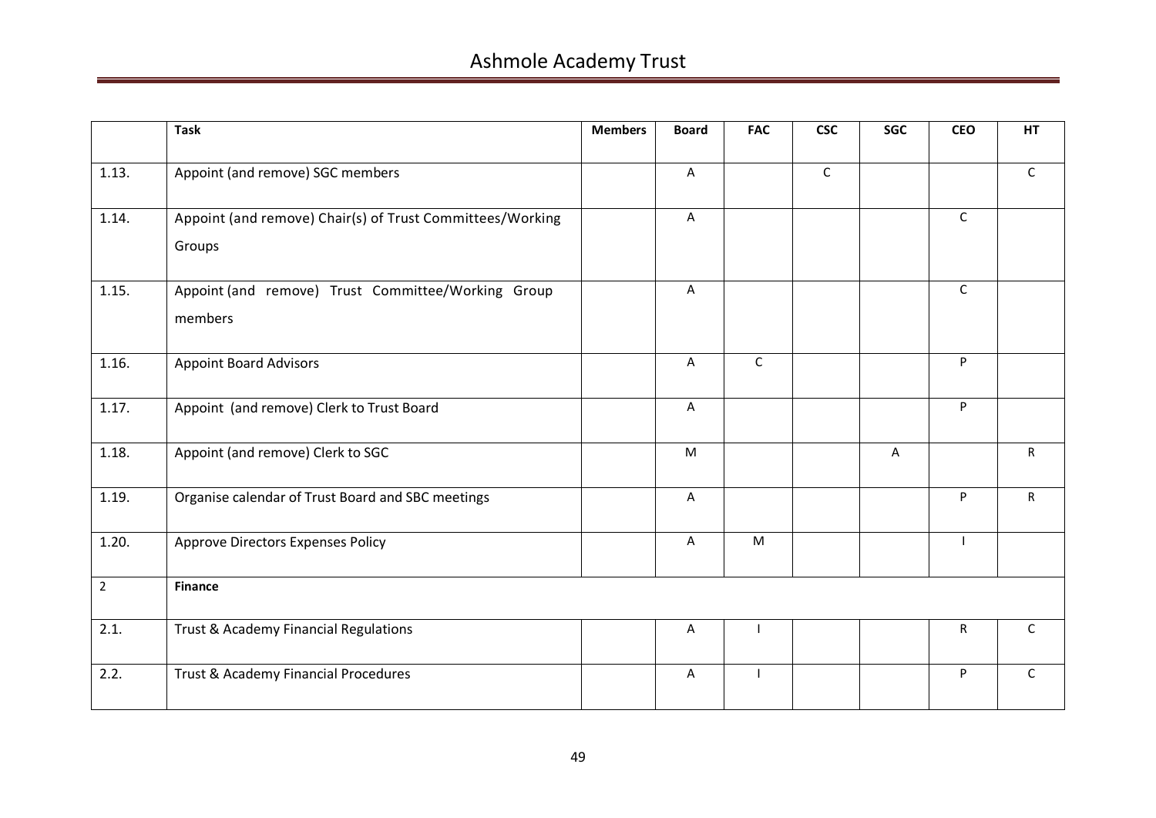|                | <b>Task</b>                                                         | <b>Members</b> | <b>Board</b> | <b>FAC</b>   | <b>CSC</b>   | <b>SGC</b> | <b>CEO</b>   | HT           |
|----------------|---------------------------------------------------------------------|----------------|--------------|--------------|--------------|------------|--------------|--------------|
| 1.13.          | Appoint (and remove) SGC members                                    |                | $\mathsf{A}$ |              | $\mathsf{C}$ |            |              | $\mathsf{C}$ |
| 1.14.          | Appoint (and remove) Chair(s) of Trust Committees/Working<br>Groups |                | $\mathsf A$  |              |              |            | $\mathsf{C}$ |              |
| 1.15.          | Appoint (and remove) Trust Committee/Working Group<br>members       |                | $\mathsf{A}$ |              |              |            | $\mathsf{C}$ |              |
| 1.16.          | <b>Appoint Board Advisors</b>                                       |                | A            | $\mathsf{C}$ |              |            | P.           |              |
| 1.17.          | Appoint (and remove) Clerk to Trust Board                           |                | A            |              |              |            | P            |              |
| 1.18.          | Appoint (and remove) Clerk to SGC                                   |                | M            |              |              | A          |              | $\mathsf{R}$ |
| 1.19.          | Organise calendar of Trust Board and SBC meetings                   |                | A            |              |              |            | P.           | R            |
| 1.20.          | <b>Approve Directors Expenses Policy</b>                            |                | $\mathsf{A}$ | M            |              |            | $\mathbf{I}$ |              |
| $\overline{2}$ | <b>Finance</b>                                                      |                |              |              |              |            |              |              |
| 2.1.           | Trust & Academy Financial Regulations                               |                | A            |              |              |            | $\mathsf{R}$ | $\mathsf{C}$ |
| 2.2.           | Trust & Academy Financial Procedures                                |                | A            |              |              |            | P            | $\mathsf{C}$ |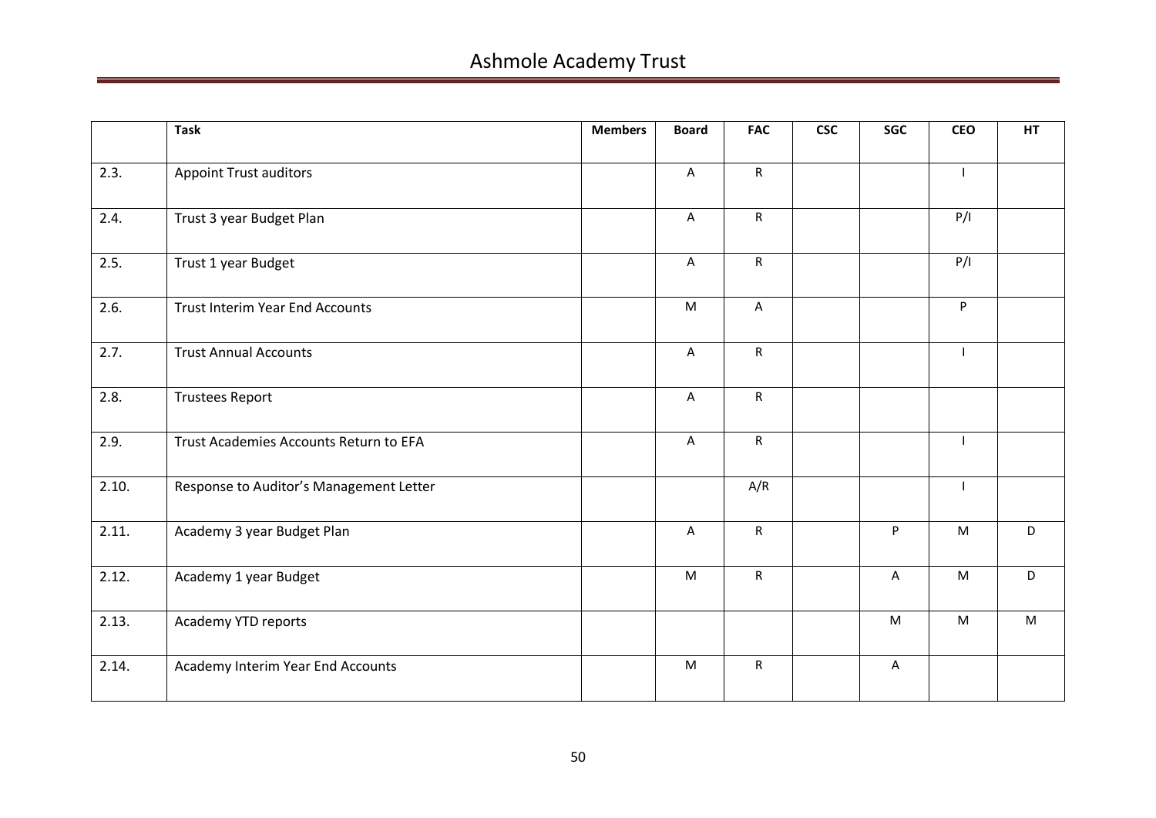|       | <b>Task</b>                             | <b>Members</b> | <b>Board</b>   | <b>FAC</b>   | <b>CSC</b> | SGC       | <b>CEO</b>   | HT |
|-------|-----------------------------------------|----------------|----------------|--------------|------------|-----------|--------------|----|
| 2.3.  | <b>Appoint Trust auditors</b>           |                | $\mathsf{A}$   | $\mathsf{R}$ |            |           | $\mathbf{I}$ |    |
| 2.4.  | Trust 3 year Budget Plan                |                | $\mathsf A$    | $\mathsf{R}$ |            |           | P/I          |    |
| 2.5.  | Trust 1 year Budget                     |                | A              | $\mathsf{R}$ |            |           | P/I          |    |
| 2.6.  | <b>Trust Interim Year End Accounts</b>  |                | M              | $\mathsf A$  |            |           | P            |    |
| 2.7.  | <b>Trust Annual Accounts</b>            |                | $\overline{A}$ | $\mathsf{R}$ |            |           |              |    |
| 2.8.  | <b>Trustees Report</b>                  |                | $\mathsf{A}$   | $\mathsf{R}$ |            |           |              |    |
| 2.9.  | Trust Academies Accounts Return to EFA  |                | $\mathsf A$    | ${\sf R}$    |            |           |              |    |
| 2.10. | Response to Auditor's Management Letter |                |                | A/R          |            |           |              |    |
| 2.11. | Academy 3 year Budget Plan              |                | $\mathsf A$    | ${\sf R}$    |            | P         | ${\sf M}$    | D  |
| 2.12. | Academy 1 year Budget                   |                | M              | $\mathsf{R}$ |            | A         | M            | D. |
| 2.13. | Academy YTD reports                     |                |                |              |            | ${\sf M}$ | ${\sf M}$    | M  |
| 2.14. | Academy Interim Year End Accounts       |                | M              | $\mathsf{R}$ |            | A         |              |    |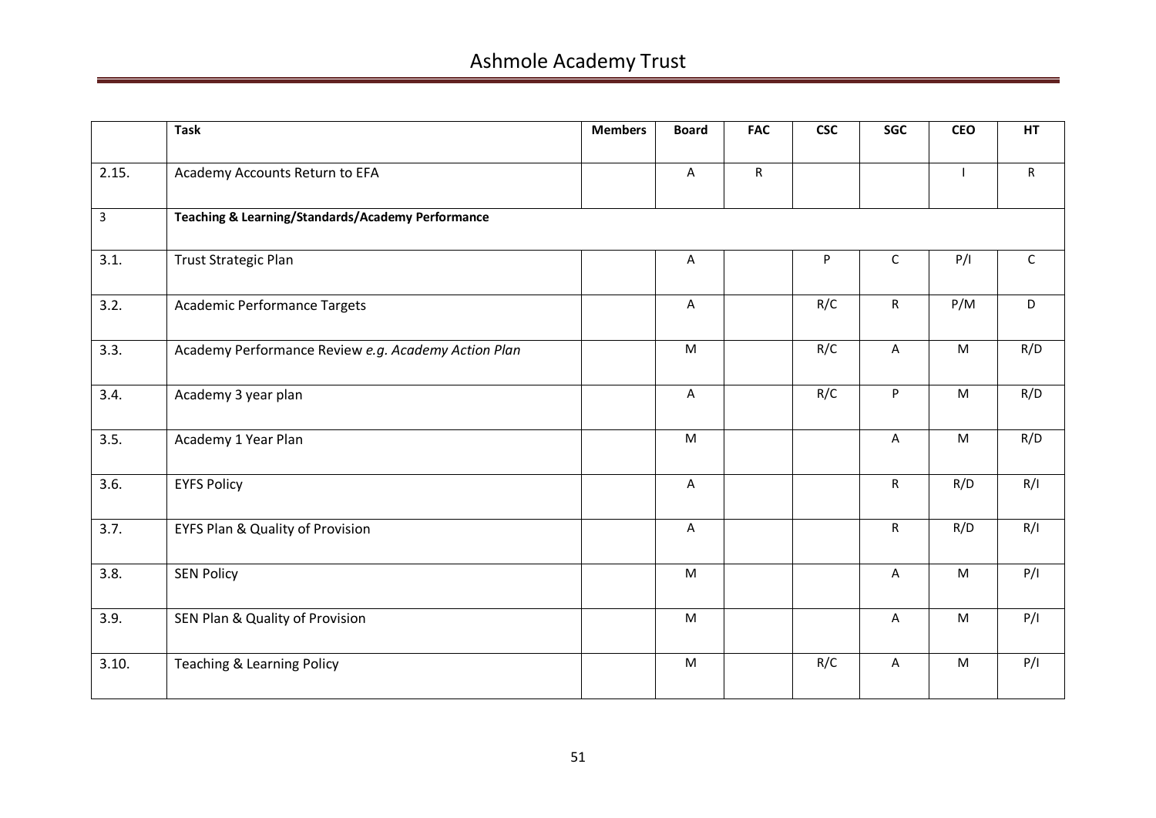|                | <b>Task</b>                                         | <b>Members</b> | <b>Board</b> | <b>FAC</b>   | <b>CSC</b> | <b>SGC</b>     | <b>CEO</b>     | <b>HT</b>    |
|----------------|-----------------------------------------------------|----------------|--------------|--------------|------------|----------------|----------------|--------------|
| 2.15.          | Academy Accounts Return to EFA                      |                | A            | $\mathsf{R}$ |            |                | $\blacksquare$ | $\mathsf{R}$ |
| $\overline{3}$ | Teaching & Learning/Standards/Academy Performance   |                |              |              |            |                |                |              |
| 3.1.           | <b>Trust Strategic Plan</b>                         |                | Α            |              | P          | $\mathsf C$    | P/I            | $\mathsf C$  |
| 3.2.           | <b>Academic Performance Targets</b>                 |                | Α            |              | R/C        | ${\sf R}$      | P/M            | D            |
| 3.3.           | Academy Performance Review e.g. Academy Action Plan |                | ${\sf M}$    |              | R/C        | A              | ${\sf M}$      | R/D          |
| 3.4.           | Academy 3 year plan                                 |                | A            |              | R/C        | P              | M              | R/D          |
| 3.5.           | Academy 1 Year Plan                                 |                | M            |              |            | A              | M              | R/D          |
| 3.6.           | <b>EYFS Policy</b>                                  |                | $\mathsf{A}$ |              |            | $\mathsf{R}$   | R/D            | R/I          |
| 3.7.           | <b>EYFS Plan &amp; Quality of Provision</b>         |                | A            |              |            | $\mathsf{R}$   | R/D            | R/I          |
| 3.8.           | <b>SEN Policy</b>                                   |                | M            |              |            | $\overline{A}$ | M              | P/I          |
| 3.9.           | SEN Plan & Quality of Provision                     |                | M            |              |            | A              | M              | P/I          |
| 3.10.          | Teaching & Learning Policy                          |                | ${\sf M}$    |              | R/C        | $\overline{A}$ | M              | P/I          |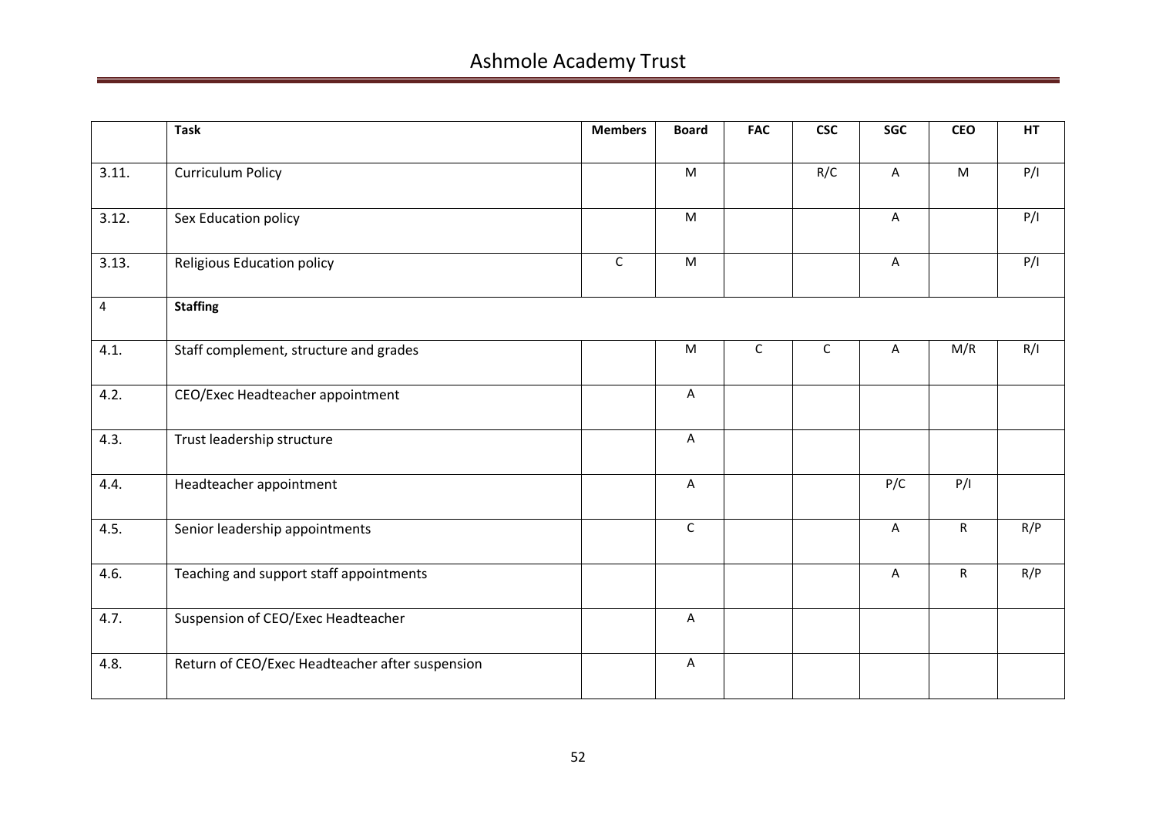|       | <b>Task</b>                                     | <b>Members</b> | <b>Board</b> | <b>FAC</b>  | <b>CSC</b>  | SGC | <b>CEO</b>  | HT  |
|-------|-------------------------------------------------|----------------|--------------|-------------|-------------|-----|-------------|-----|
| 3.11. | <b>Curriculum Policy</b>                        |                | M            |             | R/C         | A   | ${\sf M}$   | P/I |
| 3.12. | Sex Education policy                            |                | ${\sf M}$    |             |             | A   |             | P/I |
| 3.13. | <b>Religious Education policy</b>               | $\mathsf C$    | M            |             |             | A   |             | P/I |
| 4     | <b>Staffing</b>                                 |                |              |             |             |     |             |     |
| 4.1.  | Staff complement, structure and grades          |                | M            | $\mathsf C$ | $\mathsf C$ | A   | M/R         | R/I |
| 4.2.  | CEO/Exec Headteacher appointment                |                | $\mathsf A$  |             |             |     |             |     |
| 4.3.  | Trust leadership structure                      |                | A            |             |             |     |             |     |
| 4.4.  | Headteacher appointment                         |                | A            |             |             | P/C | P/I         |     |
| 4.5.  | Senior leadership appointments                  |                | $\mathsf C$  |             |             | A   | $\mathsf R$ | R/P |
| 4.6.  | Teaching and support staff appointments         |                |              |             |             | A   | R           | R/P |
| 4.7.  | Suspension of CEO/Exec Headteacher              |                | A            |             |             |     |             |     |
| 4.8.  | Return of CEO/Exec Headteacher after suspension |                | A            |             |             |     |             |     |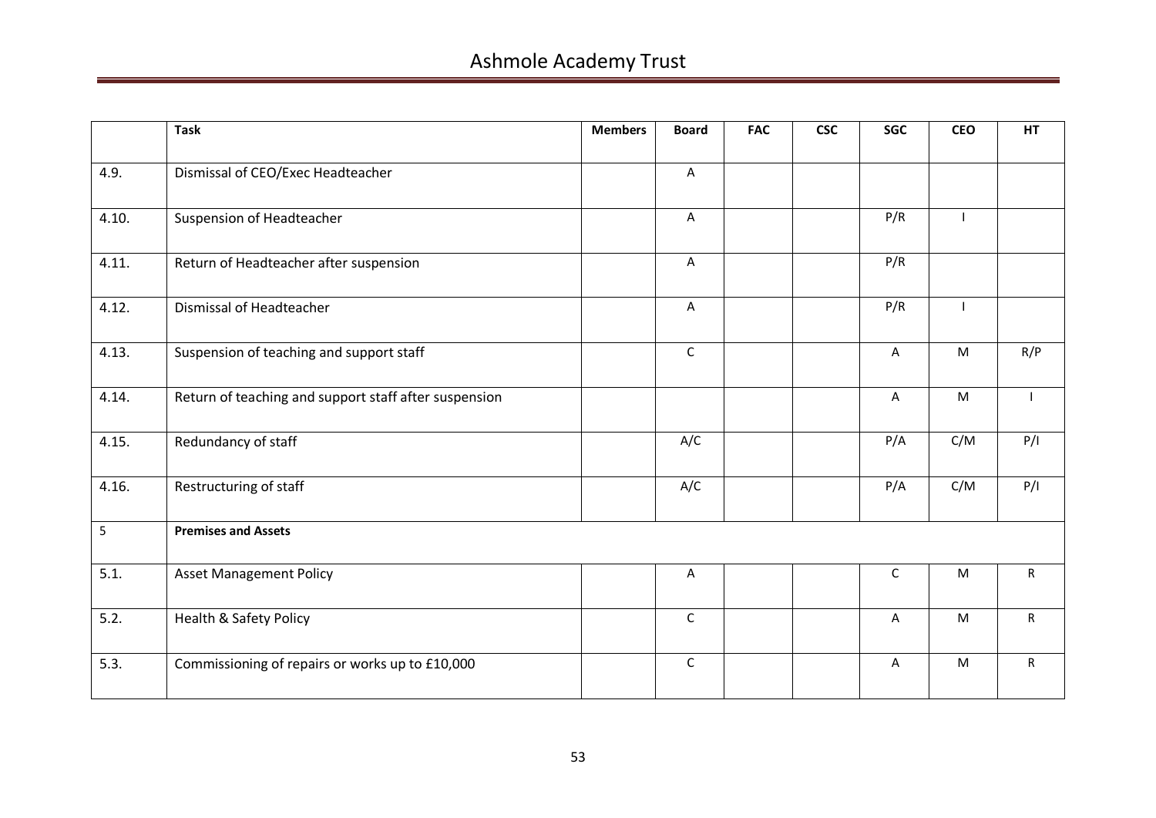|       | <b>Task</b>                                           | <b>Members</b> | <b>Board</b> | <b>FAC</b> | <b>CSC</b> | <b>SGC</b>  | <b>CEO</b> | <b>HT</b>    |
|-------|-------------------------------------------------------|----------------|--------------|------------|------------|-------------|------------|--------------|
| 4.9.  | Dismissal of CEO/Exec Headteacher                     |                | $\mathsf{A}$ |            |            |             |            |              |
| 4.10. | Suspension of Headteacher                             |                | $\mathsf{A}$ |            |            | P/R         |            |              |
| 4.11. | Return of Headteacher after suspension                |                | A            |            |            | P/R         |            |              |
| 4.12. | Dismissal of Headteacher                              |                | A            |            |            | P/R         |            |              |
| 4.13. | Suspension of teaching and support staff              |                | $\mathsf C$  |            |            | A           | ${\sf M}$  | R/P          |
| 4.14. | Return of teaching and support staff after suspension |                |              |            |            | A           | M          |              |
| 4.15. | Redundancy of staff                                   |                | A/C          |            |            | P/A         | C/M        | P/I          |
| 4.16. | Restructuring of staff                                |                | A/C          |            |            | P/A         | C/M        | P/I          |
| 5     | <b>Premises and Assets</b>                            |                |              |            |            |             |            |              |
| 5.1.  | <b>Asset Management Policy</b>                        |                | A            |            |            | $\mathsf C$ | M          | $\mathsf{R}$ |
| 5.2.  | <b>Health &amp; Safety Policy</b>                     |                | $\mathsf{C}$ |            |            | A           | ${\sf M}$  | $\mathsf{R}$ |
| 5.3.  | Commissioning of repairs or works up to £10,000       |                | $\mathsf C$  |            |            | A           | M          | $\mathsf{R}$ |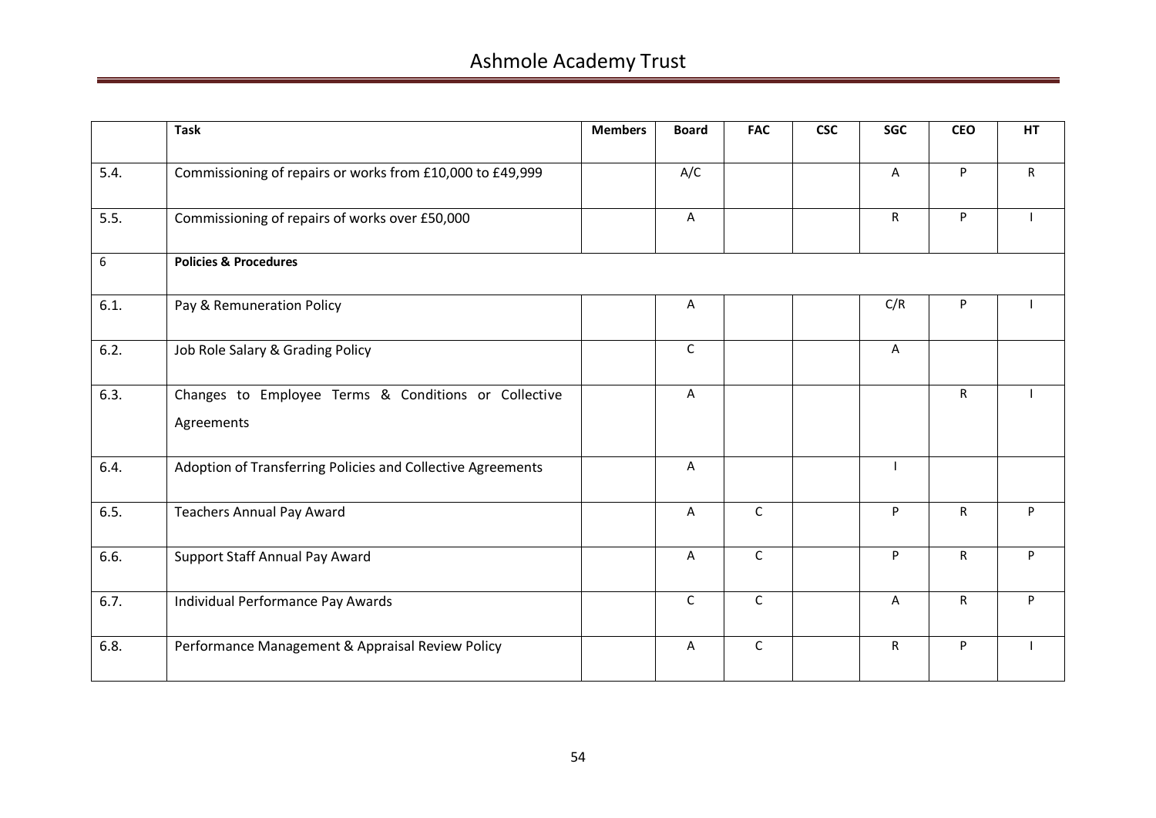|      | <b>Task</b>                                                        | <b>Members</b> | <b>Board</b> | <b>FAC</b>   | <b>CSC</b> | <b>SGC</b>     | <b>CEO</b>   | HT |
|------|--------------------------------------------------------------------|----------------|--------------|--------------|------------|----------------|--------------|----|
| 5.4. | Commissioning of repairs or works from £10,000 to £49,999          |                | A/C          |              |            | A              | P            | R. |
| 5.5. | Commissioning of repairs of works over £50,000                     |                | A            |              |            | R              | P            |    |
| 6    | <b>Policies &amp; Procedures</b>                                   |                |              |              |            |                |              |    |
| 6.1. | Pay & Remuneration Policy                                          |                | A            |              |            | C/R            | P            |    |
| 6.2. | Job Role Salary & Grading Policy                                   |                | $\mathsf{C}$ |              |            | $\overline{A}$ |              |    |
| 6.3. | Changes to Employee Terms & Conditions or Collective<br>Agreements |                | A            |              |            |                | $\mathsf{R}$ |    |
| 6.4. | Adoption of Transferring Policies and Collective Agreements        |                | A            |              |            |                |              |    |
| 6.5. | <b>Teachers Annual Pay Award</b>                                   |                | A            | $\mathsf{C}$ |            | P              | R            | P  |
| 6.6. | Support Staff Annual Pay Award                                     |                | A            | $\mathsf{C}$ |            | P              | $\mathsf{R}$ | P  |
| 6.7. | Individual Performance Pay Awards                                  |                | $\mathsf{C}$ | $\mathsf{C}$ |            | A              | $\mathsf{R}$ | P  |
| 6.8. | Performance Management & Appraisal Review Policy                   |                | A            | $\mathsf{C}$ |            | R              | P            |    |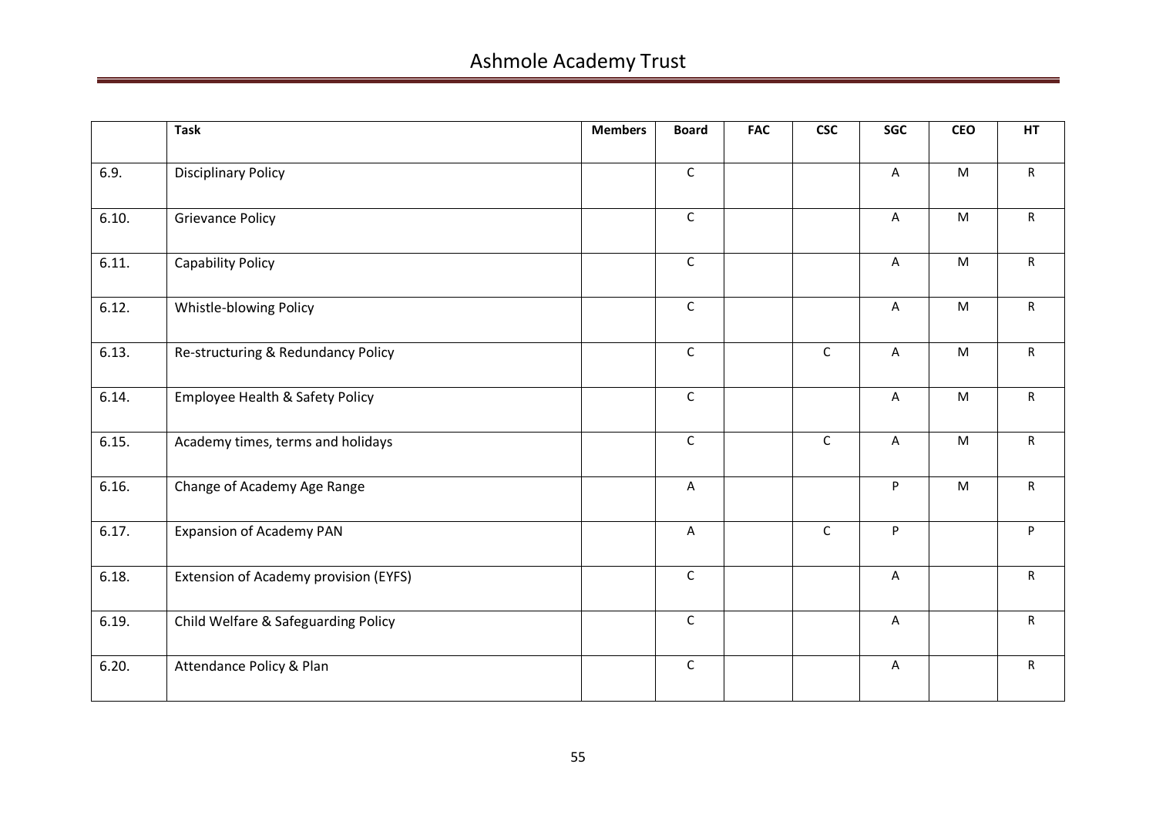|       | <b>Task</b>                           | <b>Members</b> | <b>Board</b> | <b>FAC</b> | <b>CSC</b>   | <b>SGC</b>                | <b>CEO</b>                                                                                                 | <b>HT</b>      |
|-------|---------------------------------------|----------------|--------------|------------|--------------|---------------------------|------------------------------------------------------------------------------------------------------------|----------------|
| 6.9.  | <b>Disciplinary Policy</b>            |                | $\mathsf{C}$ |            |              | $\overline{A}$            | M                                                                                                          | $\mathsf{R}$   |
| 6.10. | <b>Grievance Policy</b>               |                | $\mathsf C$  |            |              | $\mathsf{A}$              | M                                                                                                          | $\mathsf{R}$   |
| 6.11. | Capability Policy                     |                | $\mathsf{C}$ |            |              | $\overline{A}$            | M                                                                                                          | $\mathsf{R}$   |
| 6.12. | Whistle-blowing Policy                |                | $\mathsf C$  |            |              | $\boldsymbol{\mathsf{A}}$ | ${\sf M}$                                                                                                  | $\mathsf{R}$   |
| 6.13. | Re-structuring & Redundancy Policy    |                | $\mathsf C$  |            | $\mathsf C$  | $\boldsymbol{\mathsf{A}}$ | ${\sf M}$                                                                                                  | R              |
| 6.14. | Employee Health & Safety Policy       |                | $\mathsf C$  |            |              | $\overline{A}$            | $\mathsf{M}% _{T}=\mathsf{M}_{T}\!\left( a,b\right) ,\ \mathsf{M}_{T}=\mathsf{M}_{T}\!\left( a,b\right) ,$ | $\mathsf{R}$   |
| 6.15. | Academy times, terms and holidays     |                | $\mathsf C$  |            | $\mathsf{C}$ | $\overline{A}$            | M                                                                                                          | $\mathsf{R}^-$ |
| 6.16. | Change of Academy Age Range           |                | $\mathsf{A}$ |            |              | P                         | $\mathsf{M}% _{T}=\mathsf{M}_{T}\!\left( a,b\right) ,\ \mathsf{M}_{T}=\mathsf{M}_{T}\!\left( a,b\right) ,$ | R              |
| 6.17. | <b>Expansion of Academy PAN</b>       |                | $\mathsf A$  |            | $\mathsf{C}$ | P                         |                                                                                                            | P              |
| 6.18. | Extension of Academy provision (EYFS) |                | $\mathsf C$  |            |              | $\boldsymbol{\mathsf{A}}$ |                                                                                                            | R              |
| 6.19. | Child Welfare & Safeguarding Policy   |                | $\mathsf C$  |            |              | $\overline{\mathsf{A}}$   |                                                                                                            | $\mathsf{R}$   |
| 6.20. | Attendance Policy & Plan              |                | $\mathsf C$  |            |              | $\mathsf{A}$              |                                                                                                            | $\mathsf{R}$   |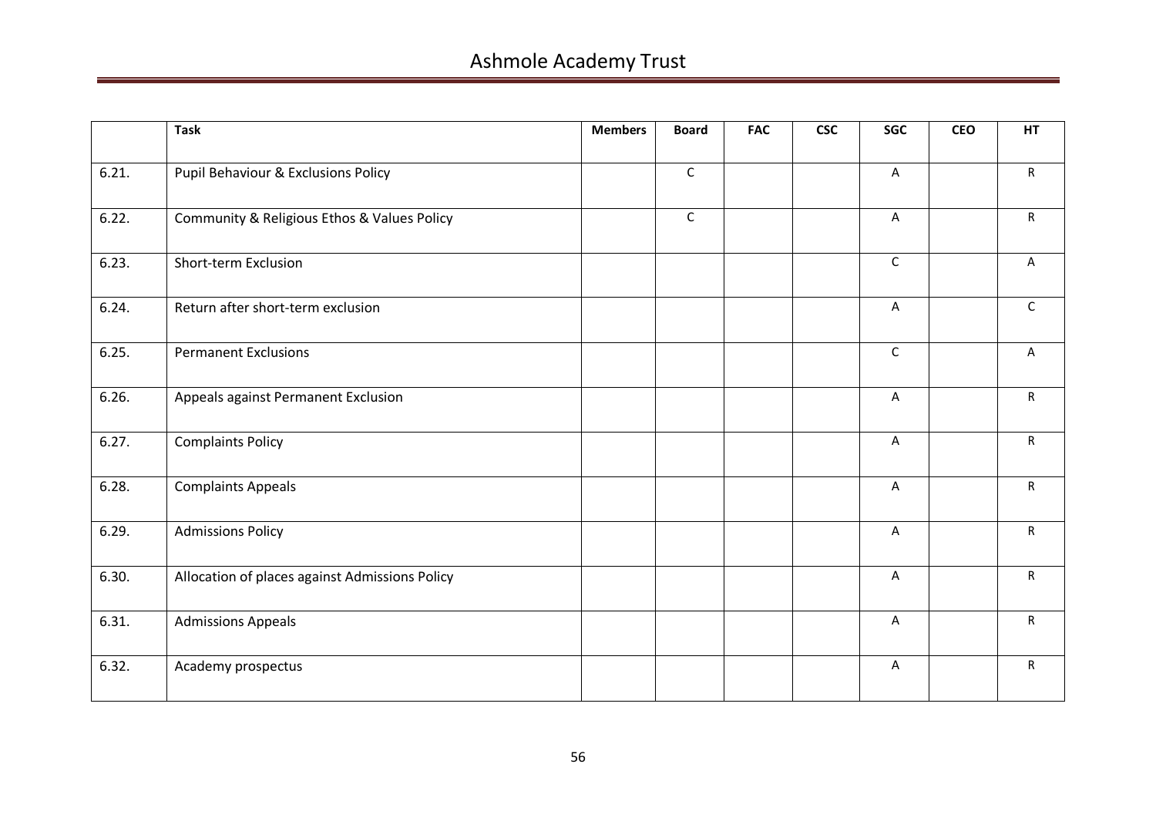|       | <b>Task</b>                                    | <b>Members</b> | <b>Board</b> | <b>FAC</b> | <b>CSC</b> | SGC         | <b>CEO</b> | <b>HT</b>    |
|-------|------------------------------------------------|----------------|--------------|------------|------------|-------------|------------|--------------|
| 6.21. | Pupil Behaviour & Exclusions Policy            |                | $\mathsf C$  |            |            | A           |            | $\mathsf{R}$ |
| 6.22. | Community & Religious Ethos & Values Policy    |                | $\mathsf C$  |            |            | A           |            | $\mathsf{R}$ |
| 6.23. | Short-term Exclusion                           |                |              |            |            | $\mathsf C$ |            | Α            |
| 6.24. | Return after short-term exclusion              |                |              |            |            | A           |            | $\mathsf{C}$ |
| 6.25. | <b>Permanent Exclusions</b>                    |                |              |            |            | $\mathsf C$ |            | A            |
| 6.26. | Appeals against Permanent Exclusion            |                |              |            |            | A           |            | $\mathsf{R}$ |
| 6.27. | <b>Complaints Policy</b>                       |                |              |            |            | A           |            | R            |
| 6.28. | <b>Complaints Appeals</b>                      |                |              |            |            | A           |            | $\mathsf{R}$ |
| 6.29. | <b>Admissions Policy</b>                       |                |              |            |            | A           |            | $\mathsf{R}$ |
| 6.30. | Allocation of places against Admissions Policy |                |              |            |            | A           |            | $\mathsf{R}$ |
| 6.31. | <b>Admissions Appeals</b>                      |                |              |            |            | A           |            | $\mathsf{R}$ |
| 6.32. | Academy prospectus                             |                |              |            |            | A           |            | $\mathsf{R}$ |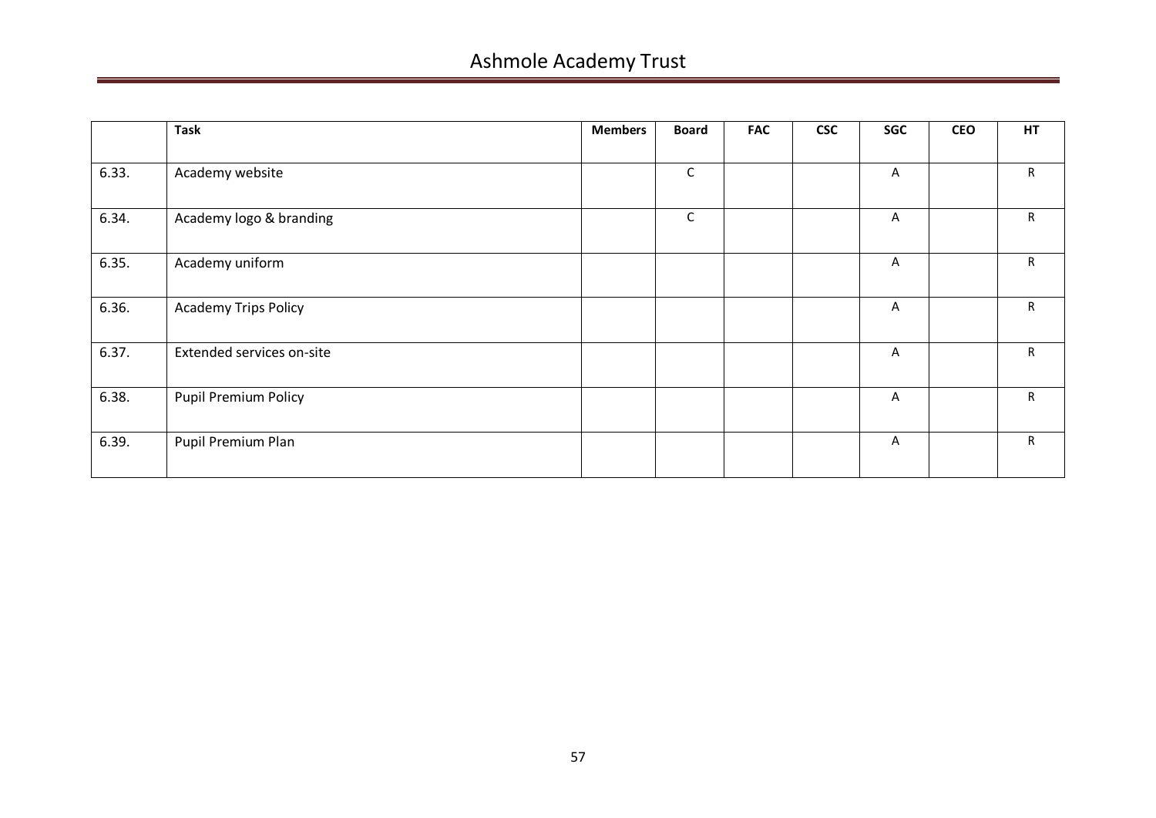|       | <b>Task</b>                 | <b>Members</b> | <b>Board</b> | <b>FAC</b> | <b>CSC</b> | SGC          | <b>CEO</b> | HT |
|-------|-----------------------------|----------------|--------------|------------|------------|--------------|------------|----|
|       |                             |                |              |            |            |              |            |    |
| 6.33. | Academy website             |                | $\mathsf{C}$ |            |            | A            |            | R  |
| 6.34. | Academy logo & branding     |                | $\mathsf{C}$ |            |            | $\mathsf{A}$ |            | R  |
| 6.35. | Academy uniform             |                |              |            |            | A            |            | R  |
| 6.36. | <b>Academy Trips Policy</b> |                |              |            |            | $\mathsf{A}$ |            | R  |
| 6.37. | Extended services on-site   |                |              |            |            | A            |            | R  |
| 6.38. | <b>Pupil Premium Policy</b> |                |              |            |            | $\mathsf{A}$ |            | R  |
| 6.39. | Pupil Premium Plan          |                |              |            |            | A            |            | R  |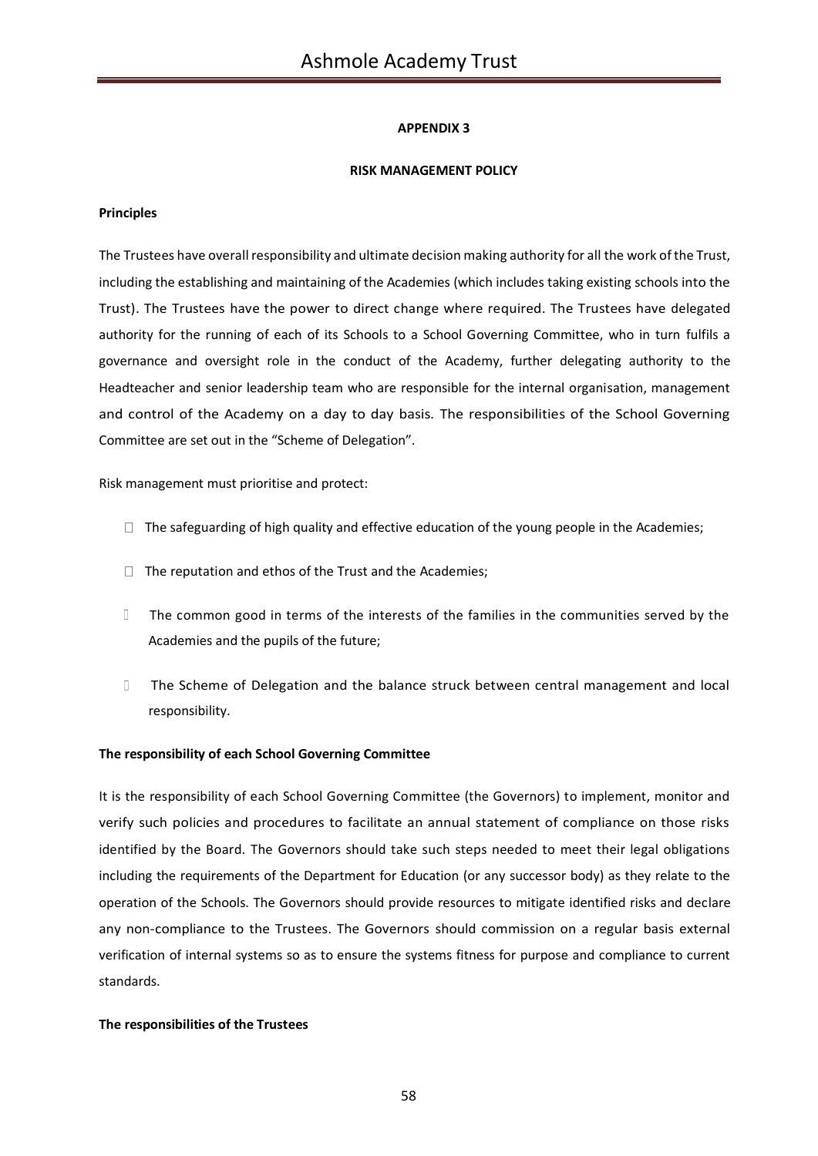## **RISK MANAGEMENT POLICY**

### **Principles**

The Trustees have overall responsibility and ultimate decision making authority for all the work of the Trust, including the establishing and maintaining of the Academies (which includes taking existing schools into the Trust). The Trustees have the power to direct change where required. The Trustees have delegated authority for the running of each of its Schools to a School Governing Committee, who in turn fulfils a governance and oversight role in the conduct of the Academy, further delegating authority to the Headteacher and senior leadership team who are responsible for the internal organisation, management and control of the Academy on a day to day basis. The responsibilities of the School Governing Committee are set out in the "Scheme of Delegation".

Risk management must prioritise and protect:

- $\Box$  The safeguarding of high quality and effective education of the young people in the Academies;
- $\Box$  The reputation and ethos of the Trust and the Academies;
- The common good in terms of the interests of the families in the communities served by the Academies and the pupils of the future;
- $\Box$  The Scheme of Delegation and the balance struck between central management and local responsibility.

#### **The responsibility of each School Governing Committee**

It is the responsibility of each School Governing Committee (the Governors) to implement, monitor and verify such policies and procedures to facilitate an annual statement of compliance on those risks identified by the Board. The Governors should take such steps needed to meet their legal obligations including the requirements of the Department for Education (or any successor body) as they relate to the operation of the Schools. The Governors should provide resources to mitigate identified risks and declare any non-compliance to the Trustees. The Governors should commission on a regular basis external verification of internal systems so as to ensure the systems fitness for purpose and compliance to current standards.

## **The responsibilities of the Trustees**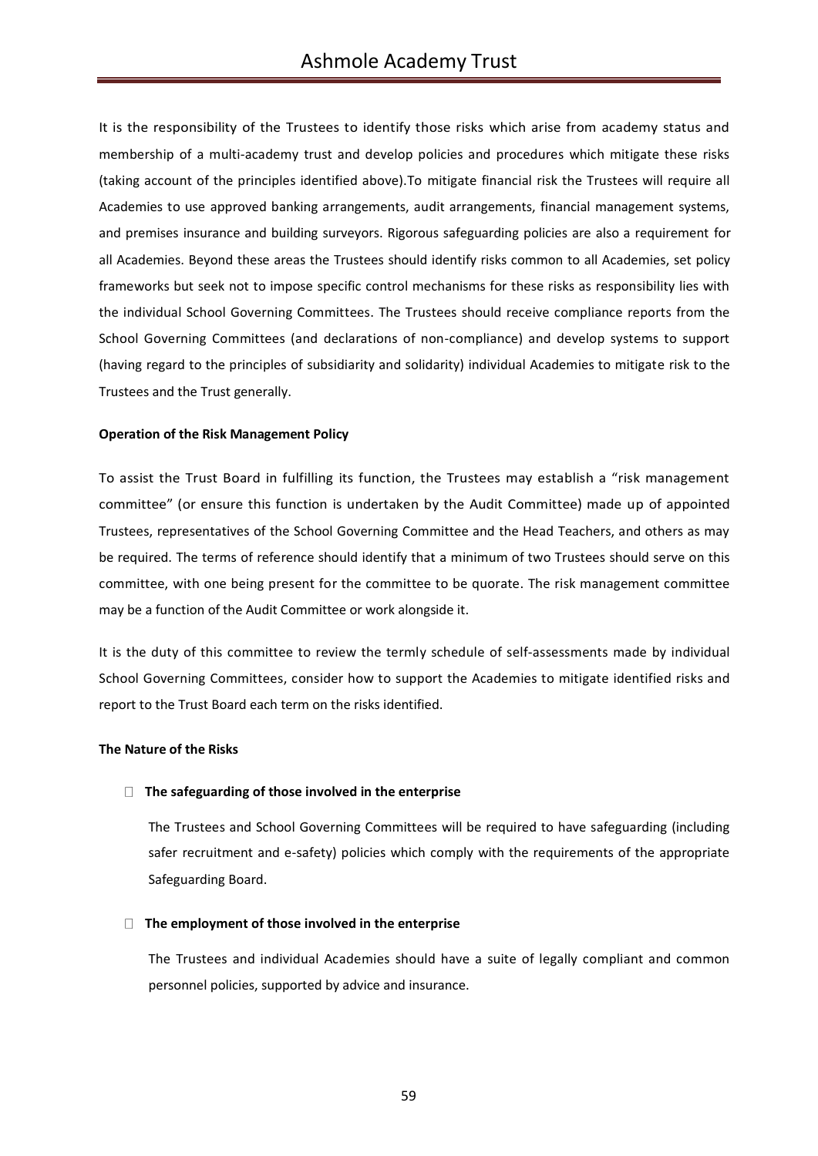It is the responsibility of the Trustees to identify those risks which arise from academy status and membership of a multi-academy trust and develop policies and procedures which mitigate these risks (taking account of the principles identified above).To mitigate financial risk the Trustees will require all Academies to use approved banking arrangements, audit arrangements, financial management systems, and premises insurance and building surveyors. Rigorous safeguarding policies are also a requirement for all Academies. Beyond these areas the Trustees should identify risks common to all Academies, set policy frameworks but seek not to impose specific control mechanisms for these risks as responsibility lies with the individual School Governing Committees. The Trustees should receive compliance reports from the School Governing Committees (and declarations of non-compliance) and develop systems to support (having regard to the principles of subsidiarity and solidarity) individual Academies to mitigate risk to the Trustees and the Trust generally.

## **Operation of the Risk Management Policy**

To assist the Trust Board in fulfilling its function, the Trustees may establish a "risk management committee" (or ensure this function is undertaken by the Audit Committee) made up of appointed Trustees, representatives of the School Governing Committee and the Head Teachers, and others as may be required. The terms of reference should identify that a minimum of two Trustees should serve on this committee, with one being present for the committee to be quorate. The risk management committee may be a function of the Audit Committee or work alongside it.

It is the duty of this committee to review the termly schedule of self-assessments made by individual School Governing Committees, consider how to support the Academies to mitigate identified risks and report to the Trust Board each term on the risks identified.

#### **The Nature of the Risks**

#### **The safeguarding of those involved in the enterprise**

The Trustees and School Governing Committees will be required to have safeguarding (including safer recruitment and e-safety) policies which comply with the requirements of the appropriate Safeguarding Board.

#### **The employment of those involved in the enterprise**

The Trustees and individual Academies should have a suite of legally compliant and common personnel policies, supported by advice and insurance.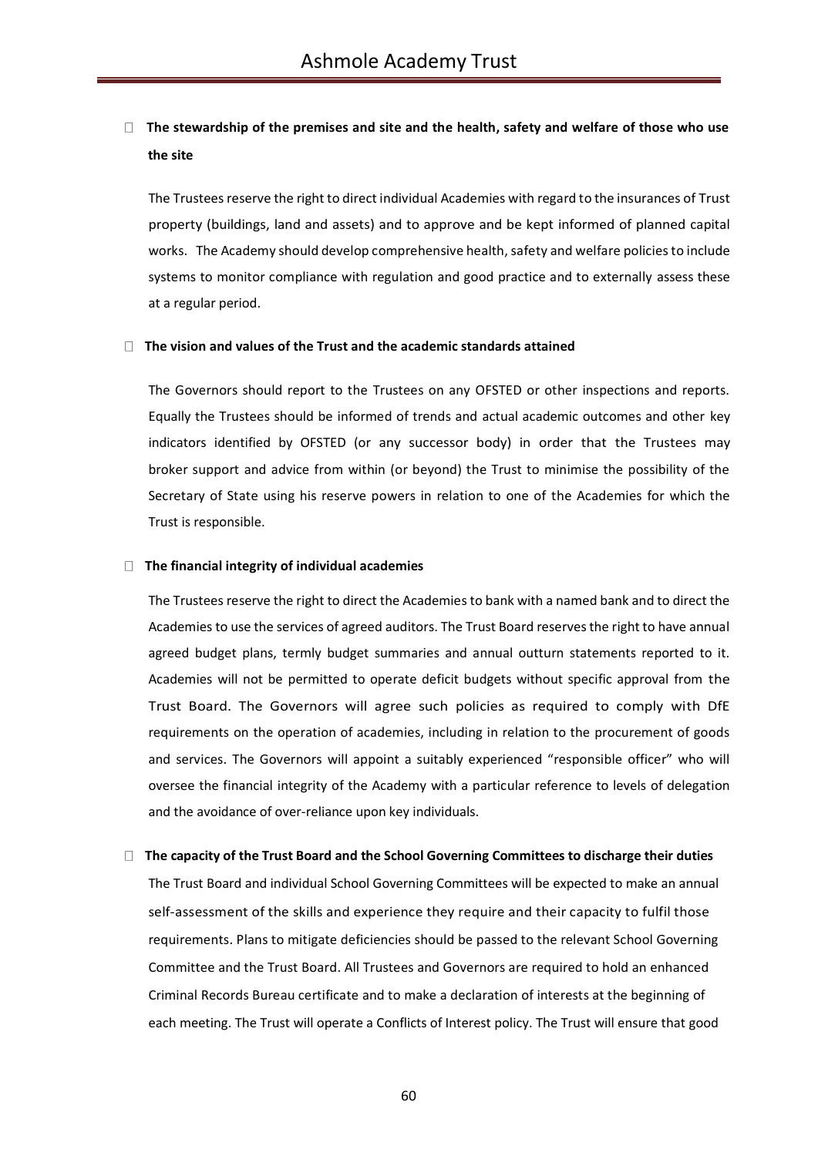# **The stewardship of the premises and site and the health, safety and welfare of those who use the site**

The Trustees reserve the right to direct individual Academies with regard to the insurances of Trust property (buildings, land and assets) and to approve and be kept informed of planned capital works. The Academy should develop comprehensive health, safety and welfare policies to include systems to monitor compliance with regulation and good practice and to externally assess these at a regular period.

#### **The vision and values of the Trust and the academic standards attained**

The Governors should report to the Trustees on any OFSTED or other inspections and reports. Equally the Trustees should be informed of trends and actual academic outcomes and other key indicators identified by OFSTED (or any successor body) in order that the Trustees may broker support and advice from within (or beyond) the Trust to minimise the possibility of the Secretary of State using his reserve powers in relation to one of the Academies for which the Trust is responsible.

## **The financial integrity of individual academies**

The Trustees reserve the right to direct the Academies to bank with a named bank and to direct the Academies to use the services of agreed auditors. The Trust Board reserves the right to have annual agreed budget plans, termly budget summaries and annual outturn statements reported to it. Academies will not be permitted to operate deficit budgets without specific approval from the Trust Board. The Governors will agree such policies as required to comply with DfE requirements on the operation of academies, including in relation to the procurement of goods and services. The Governors will appoint a suitably experienced "responsible officer" who will oversee the financial integrity of the Academy with a particular reference to levels of delegation and the avoidance of over-reliance upon key individuals.

## **The capacity of the Trust Board and the School Governing Committees to discharge their duties**

The Trust Board and individual School Governing Committees will be expected to make an annual self-assessment of the skills and experience they require and their capacity to fulfil those requirements. Plans to mitigate deficiencies should be passed to the relevant School Governing Committee and the Trust Board. All Trustees and Governors are required to hold an enhanced Criminal Records Bureau certificate and to make a declaration of interests at the beginning of each meeting. The Trust will operate a Conflicts of Interest policy. The Trust will ensure that good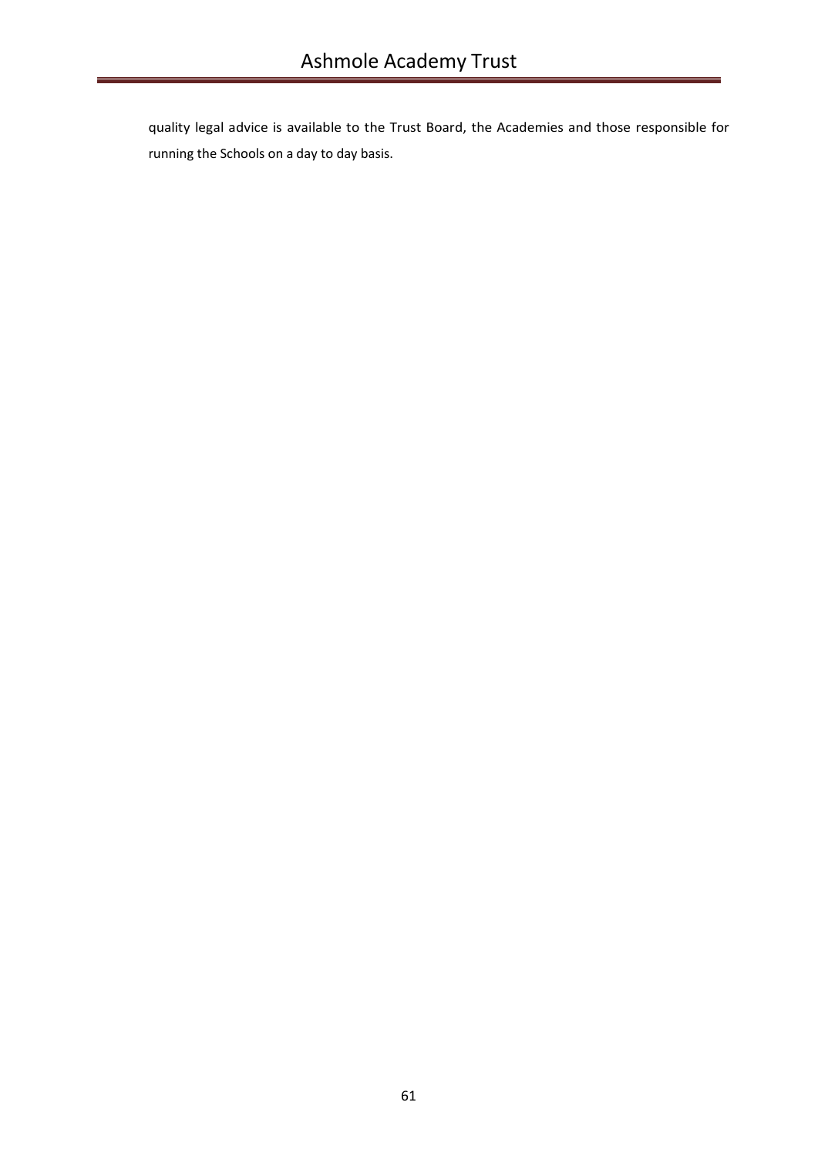quality legal advice is available to the Trust Board, the Academies and those responsible for running the Schools on a day to day basis.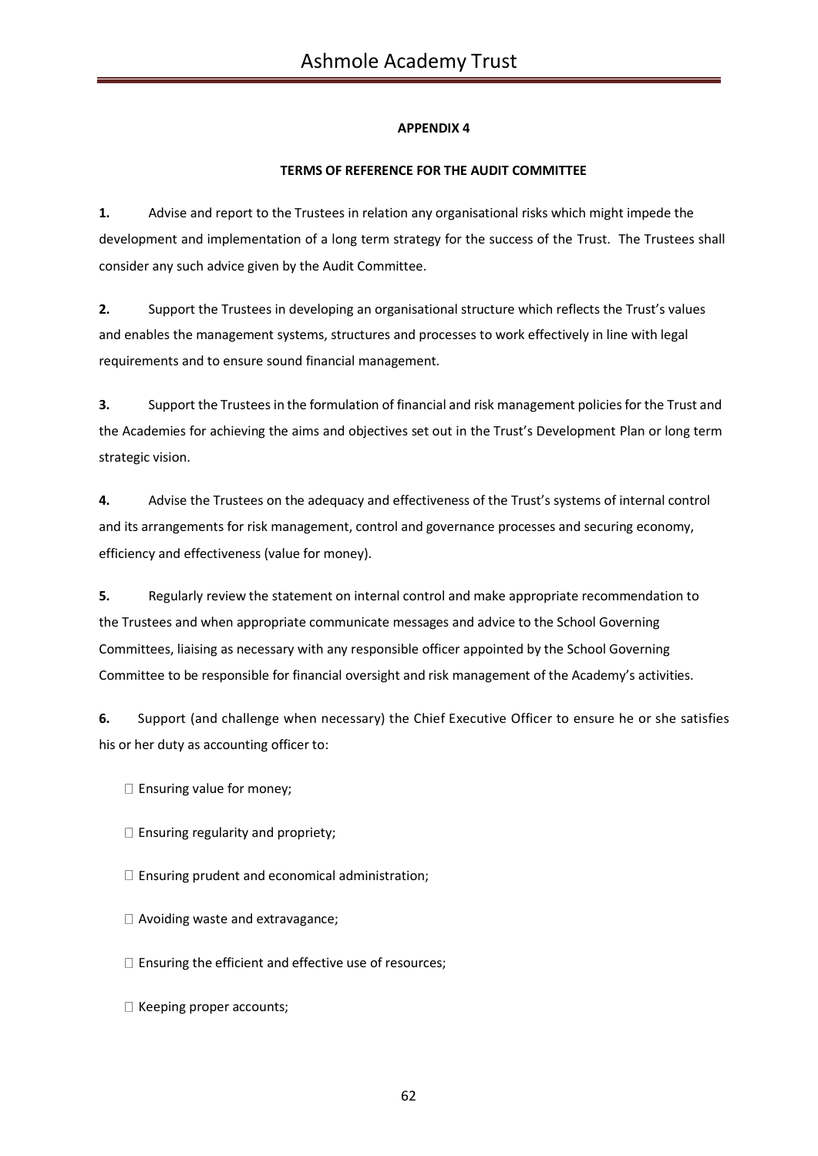# **TERMS OF REFERENCE FOR THE AUDIT COMMITTEE**

**1.** Advise and report to the Trustees in relation any organisational risks which might impede the development and implementation of a long term strategy for the success of the Trust. The Trustees shall consider any such advice given by the Audit Committee.

**2.** Support the Trustees in developing an organisational structure which reflects the Trust's values and enables the management systems, structures and processes to work effectively in line with legal requirements and to ensure sound financial management.

**3.** Support the Trustees in the formulation of financial and risk management policies for the Trust and the Academies for achieving the aims and objectives set out in the Trust's Development Plan or long term strategic vision.

**4.** Advise the Trustees on the adequacy and effectiveness of the Trust's systems of internal control and its arrangements for risk management, control and governance processes and securing economy, efficiency and effectiveness (value for money).

**5.** Regularly review the statement on internal control and make appropriate recommendation to the Trustees and when appropriate communicate messages and advice to the School Governing Committees, liaising as necessary with any responsible officer appointed by the School Governing Committee to be responsible for financial oversight and risk management of the Academy's activities.

**6.** Support (and challenge when necessary) the Chief Executive Officer to ensure he or she satisfies his or her duty as accounting officer to:

- $\square$  Ensuring value for money;
- $\Box$  Ensuring regularity and propriety;
- $\Box$  Ensuring prudent and economical administration;
- □ Avoiding waste and extravagance;
- $\square$  Ensuring the efficient and effective use of resources;
- $\Box$  Keeping proper accounts;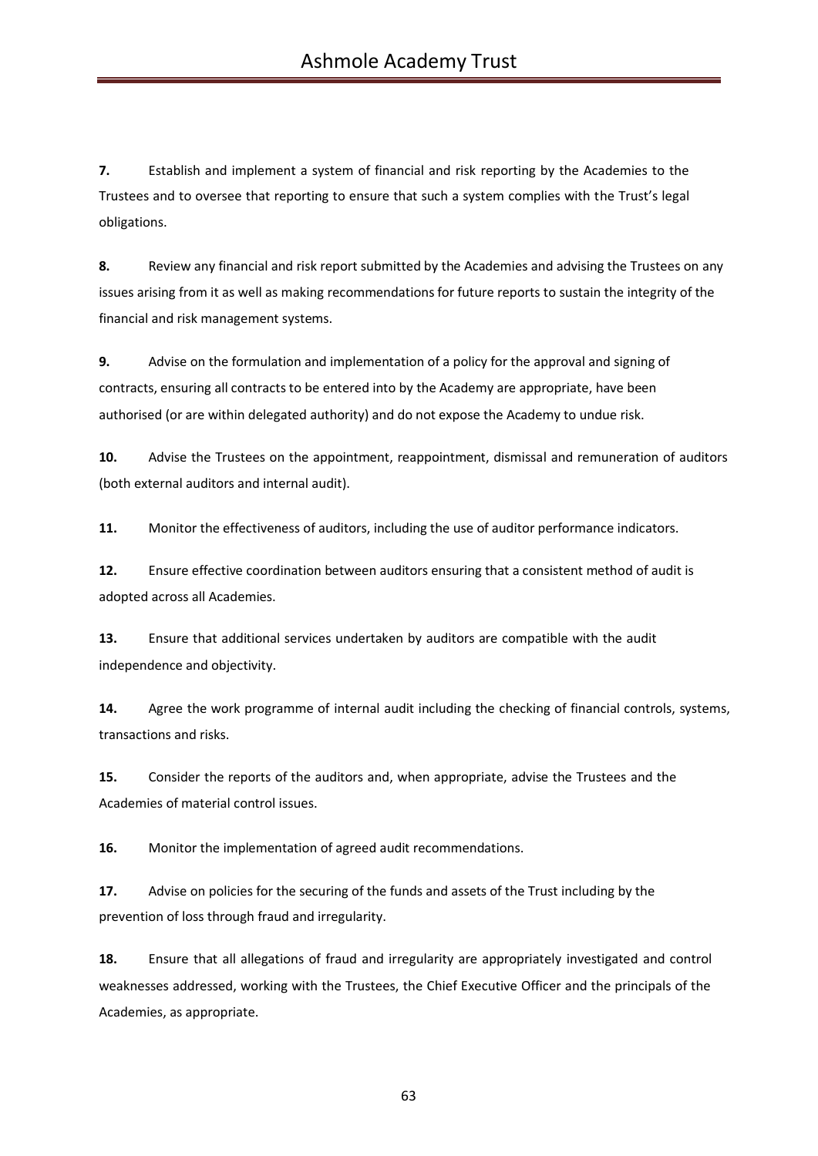**7.** Establish and implement a system of financial and risk reporting by the Academies to the Trustees and to oversee that reporting to ensure that such a system complies with the Trust's legal obligations.

**8.** Review any financial and risk report submitted by the Academies and advising the Trustees on any issues arising from it as well as making recommendations for future reports to sustain the integrity of the financial and risk management systems.

**9.** Advise on the formulation and implementation of a policy for the approval and signing of contracts, ensuring all contracts to be entered into by the Academy are appropriate, have been authorised (or are within delegated authority) and do not expose the Academy to undue risk.

**10.** Advise the Trustees on the appointment, reappointment, dismissal and remuneration of auditors (both external auditors and internal audit).

**11.** Monitor the effectiveness of auditors, including the use of auditor performance indicators.

**12.** Ensure effective coordination between auditors ensuring that a consistent method of audit is adopted across all Academies.

**13.** Ensure that additional services undertaken by auditors are compatible with the audit independence and objectivity.

**14.** Agree the work programme of internal audit including the checking of financial controls, systems, transactions and risks.

**15.** Consider the reports of the auditors and, when appropriate, advise the Trustees and the Academies of material control issues.

**16.** Monitor the implementation of agreed audit recommendations.

**17.** Advise on policies for the securing of the funds and assets of the Trust including by the prevention of loss through fraud and irregularity.

**18.** Ensure that all allegations of fraud and irregularity are appropriately investigated and control weaknesses addressed, working with the Trustees, the Chief Executive Officer and the principals of the Academies, as appropriate.

63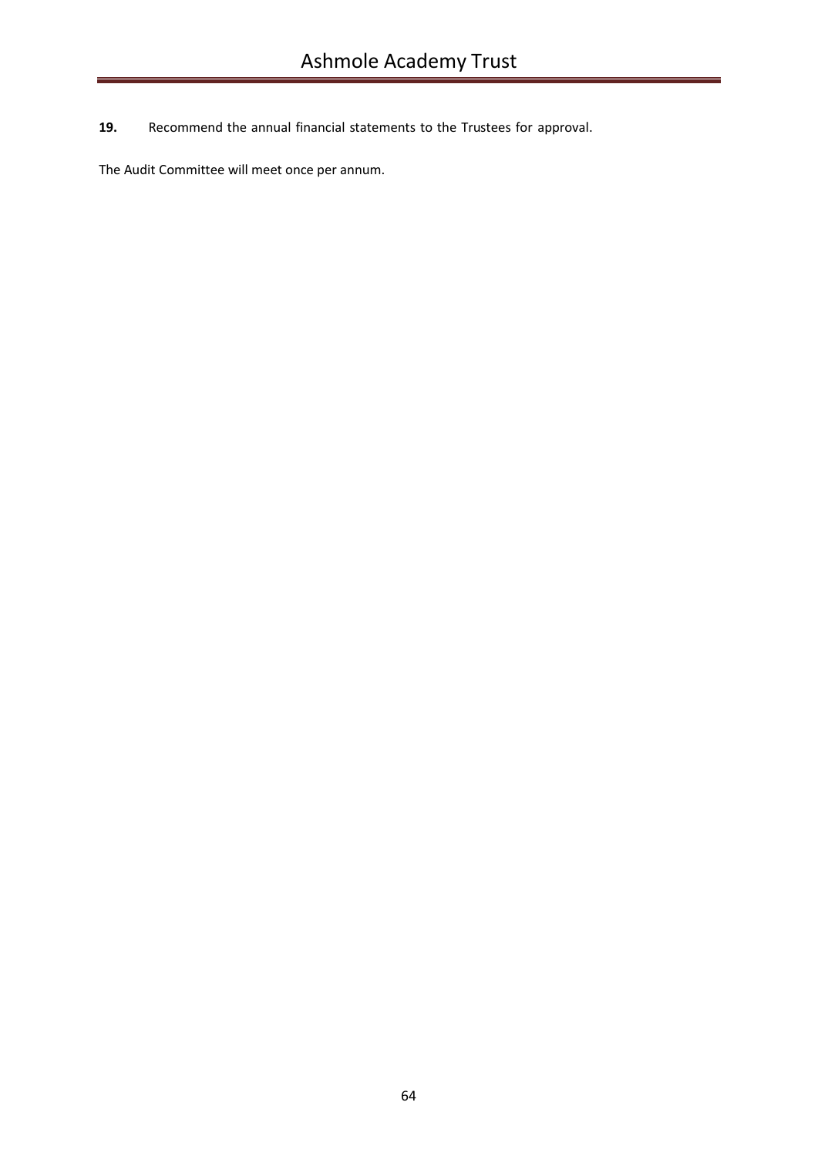**19.** Recommend the annual financial statements to the Trustees for approval.

The Audit Committee will meet once per annum.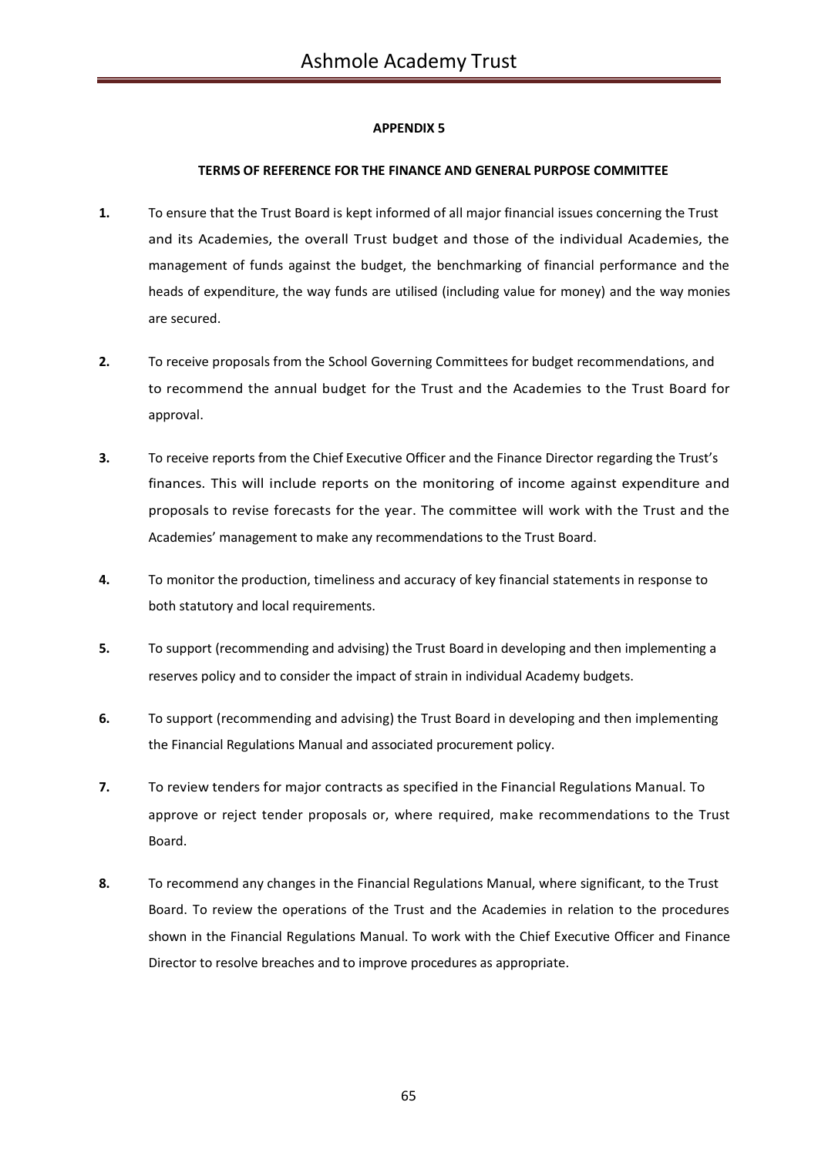## **TERMS OF REFERENCE FOR THE FINANCE AND GENERAL PURPOSE COMMITTEE**

- **1.** To ensure that the Trust Board is kept informed of all major financial issues concerning the Trust and its Academies, the overall Trust budget and those of the individual Academies, the management of funds against the budget, the benchmarking of financial performance and the heads of expenditure, the way funds are utilised (including value for money) and the way monies are secured.
- **2.** To receive proposals from the School Governing Committees for budget recommendations, and to recommend the annual budget for the Trust and the Academies to the Trust Board for approval.
- **3.** To receive reports from the Chief Executive Officer and the Finance Director regarding the Trust's finances. This will include reports on the monitoring of income against expenditure and proposals to revise forecasts for the year. The committee will work with the Trust and the Academies' management to make any recommendations to the Trust Board.
- **4.** To monitor the production, timeliness and accuracy of key financial statements in response to both statutory and local requirements.
- **5.** To support (recommending and advising) the Trust Board in developing and then implementing a reserves policy and to consider the impact of strain in individual Academy budgets.
- **6.** To support (recommending and advising) the Trust Board in developing and then implementing the Financial Regulations Manual and associated procurement policy.
- **7.** To review tenders for major contracts as specified in the Financial Regulations Manual. To approve or reject tender proposals or, where required, make recommendations to the Trust Board.
- **8.** To recommend any changes in the Financial Regulations Manual, where significant, to the Trust Board. To review the operations of the Trust and the Academies in relation to the procedures shown in the Financial Regulations Manual. To work with the Chief Executive Officer and Finance Director to resolve breaches and to improve procedures as appropriate.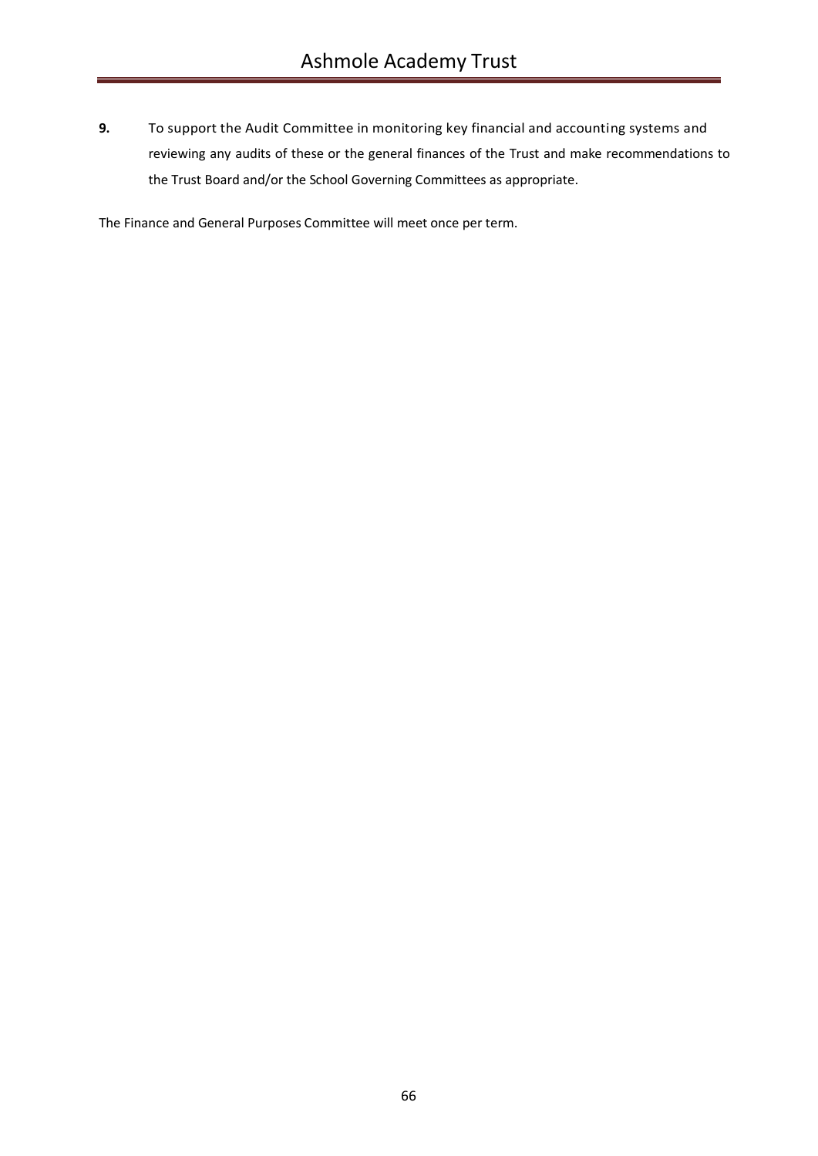**9.** To support the Audit Committee in monitoring key financial and accounting systems and reviewing any audits of these or the general finances of the Trust and make recommendations to the Trust Board and/or the School Governing Committees as appropriate.

The Finance and General Purposes Committee will meet once per term.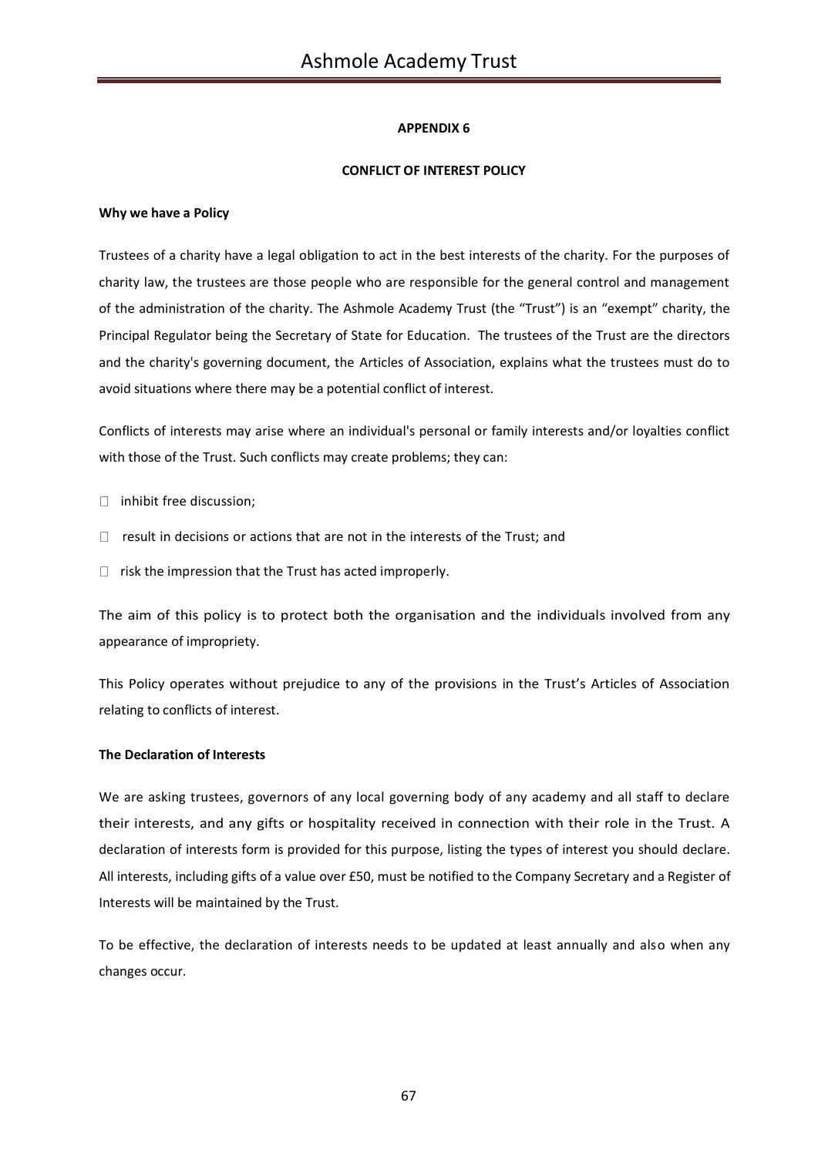## **CONFLICT OF INTEREST POLICY**

### **Why we have a Policy**

Trustees of a charity have a legal obligation to act in the best interests of the charity. For the purposes of charity law, the trustees are those people who are responsible for the general control and management of the administration of the charity. The Ashmole Academy Trust (the "Trust") is an "exempt" charity, the Principal Regulator being the Secretary of State for Education. The trustees of the Trust are the directors and the charity's governing document, the Articles of Association, explains what the trustees must do to avoid situations where there may be a potential conflict of interest.

Conflicts of interests may arise where an individual's personal or family interests and/or loyalties conflict with those of the Trust. Such conflicts may create problems; they can:

- $\Box$  inhibit free discussion;
- $\Box$  result in decisions or actions that are not in the interests of the Trust; and
- $\Box$  risk the impression that the Trust has acted improperly.

The aim of this policy is to protect both the organisation and the individuals involved from any appearance of impropriety.

This Policy operates without prejudice to any of the provisions in the Trust's Articles of Association relating to conflicts of interest.

#### **The Declaration of Interests**

We are asking trustees, governors of any local governing body of any academy and all staff to declare their interests, and any gifts or hospitality received in connection with their role in the Trust. A declaration of interests form is provided for this purpose, listing the types of interest you should declare. All interests, including gifts of a value over £50, must be notified to the Company Secretary and a Register of Interests will be maintained by the Trust.

To be effective, the declaration of interests needs to be updated at least annually and also when any changes occur.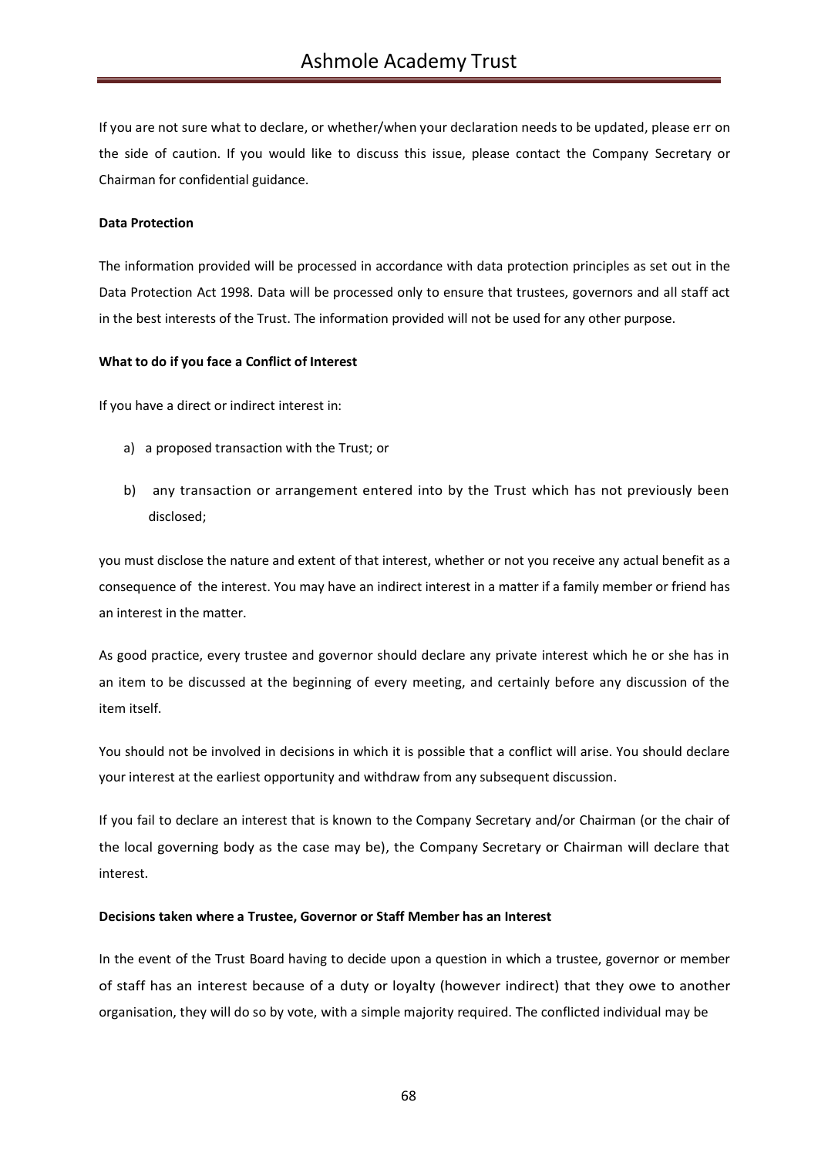If you are not sure what to declare, or whether/when your declaration needs to be updated, please err on the side of caution. If you would like to discuss this issue, please contact the Company Secretary or Chairman for confidential guidance.

## **Data Protection**

The information provided will be processed in accordance with data protection principles as set out in the Data Protection Act 1998. Data will be processed only to ensure that trustees, governors and all staff act in the best interests of the Trust. The information provided will not be used for any other purpose.

## **What to do if you face a Conflict of Interest**

If you have a direct or indirect interest in:

- a) a proposed transaction with the Trust; or
- b) any transaction or arrangement entered into by the Trust which has not previously been disclosed;

you must disclose the nature and extent of that interest, whether or not you receive any actual benefit as a consequence of the interest. You may have an indirect interest in a matter if a family member or friend has an interest in the matter.

As good practice, every trustee and governor should declare any private interest which he or she has in an item to be discussed at the beginning of every meeting, and certainly before any discussion of the item itself.

You should not be involved in decisions in which it is possible that a conflict will arise. You should declare your interest at the earliest opportunity and withdraw from any subsequent discussion.

If you fail to declare an interest that is known to the Company Secretary and/or Chairman (or the chair of the local governing body as the case may be), the Company Secretary or Chairman will declare that interest.

## **Decisions taken where a Trustee, Governor or Staff Member has an Interest**

In the event of the Trust Board having to decide upon a question in which a trustee, governor or member of staff has an interest because of a duty or loyalty (however indirect) that they owe to another organisation, they will do so by vote, with a simple majority required. The conflicted individual may be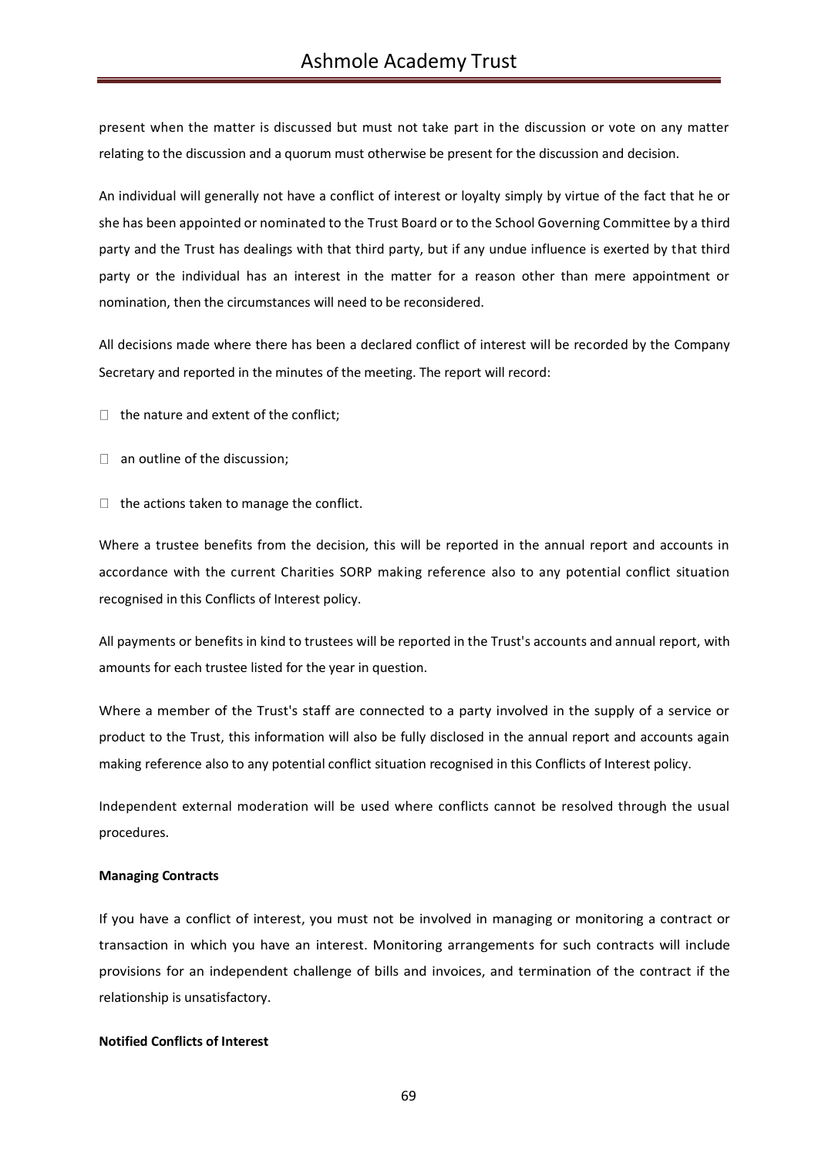present when the matter is discussed but must not take part in the discussion or vote on any matter relating to the discussion and a quorum must otherwise be present for the discussion and decision.

An individual will generally not have a conflict of interest or loyalty simply by virtue of the fact that he or she has been appointed or nominated to the Trust Board or to the School Governing Committee by a third party and the Trust has dealings with that third party, but if any undue influence is exerted by that third party or the individual has an interest in the matter for a reason other than mere appointment or nomination, then the circumstances will need to be reconsidered.

All decisions made where there has been a declared conflict of interest will be recorded by the Company Secretary and reported in the minutes of the meeting. The report will record:

 $\Box$  the nature and extent of the conflict;

- $\Box$  an outline of the discussion;
- $\Box$  the actions taken to manage the conflict.

Where a trustee benefits from the decision, this will be reported in the annual report and accounts in accordance with the current Charities SORP making reference also to any potential conflict situation recognised in this Conflicts of Interest policy.

All payments or benefits in kind to trustees will be reported in the Trust's accounts and annual report, with amounts for each trustee listed for the year in question.

Where a member of the Trust's staff are connected to a party involved in the supply of a service or product to the Trust, this information will also be fully disclosed in the annual report and accounts again making reference also to any potential conflict situation recognised in this Conflicts of Interest policy.

Independent external moderation will be used where conflicts cannot be resolved through the usual procedures.

## **Managing Contracts**

If you have a conflict of interest, you must not be involved in managing or monitoring a contract or transaction in which you have an interest. Monitoring arrangements for such contracts will include provisions for an independent challenge of bills and invoices, and termination of the contract if the relationship is unsatisfactory.

## **Notified Conflicts of Interest**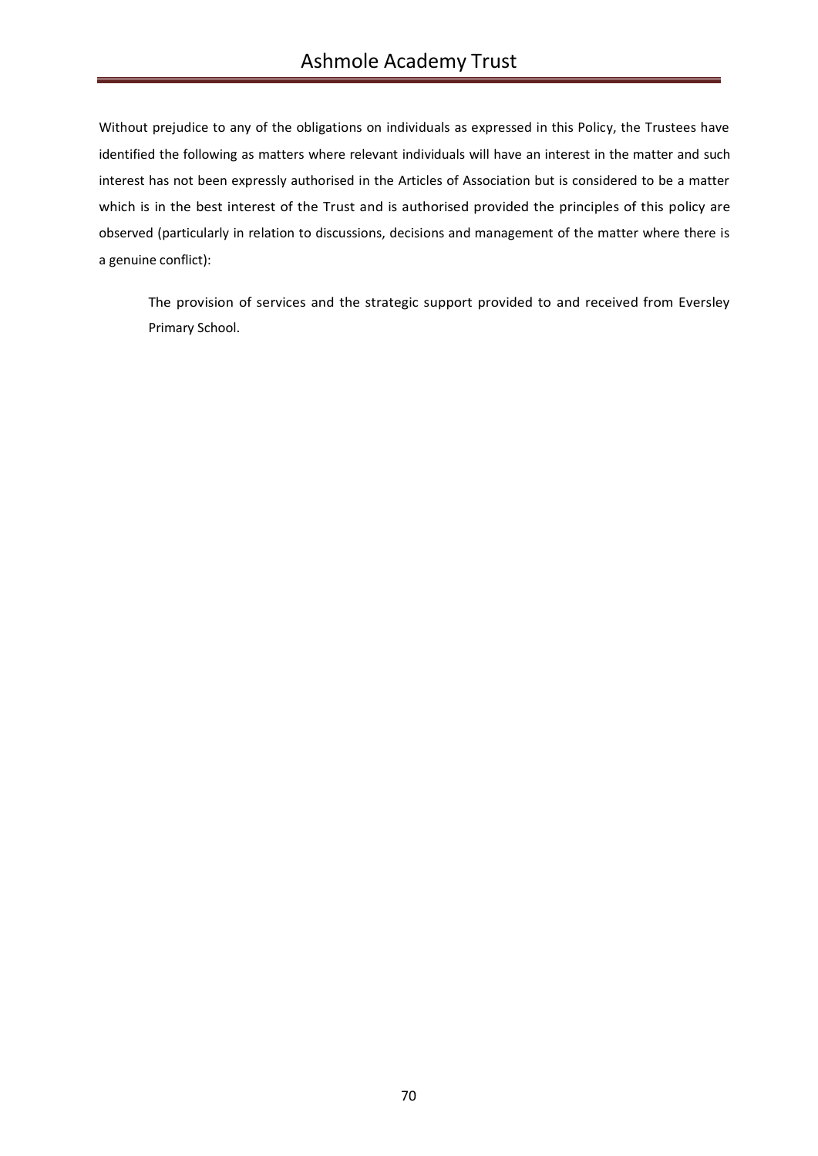Without prejudice to any of the obligations on individuals as expressed in this Policy, the Trustees have identified the following as matters where relevant individuals will have an interest in the matter and such interest has not been expressly authorised in the Articles of Association but is considered to be a matter which is in the best interest of the Trust and is authorised provided the principles of this policy are observed (particularly in relation to discussions, decisions and management of the matter where there is a genuine conflict):

The provision of services and the strategic support provided to and received from Eversley Primary School.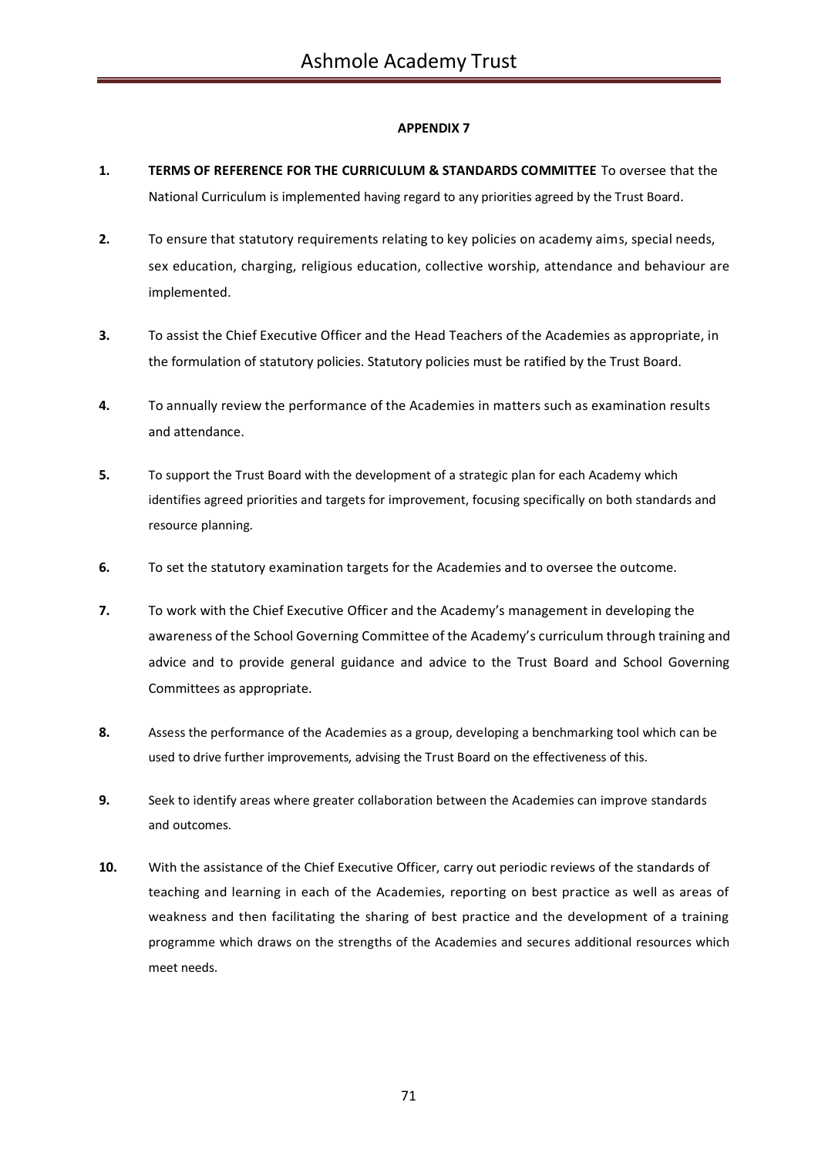- **1. TERMS OF REFERENCE FOR THE CURRICULUM & STANDARDS COMMITTEE** To oversee that the National Curriculum is implemented having regard to any priorities agreed by the Trust Board.
- **2.** To ensure that statutory requirements relating to key policies on academy aims, special needs, sex education, charging, religious education, collective worship, attendance and behaviour are implemented.
- **3.** To assist the Chief Executive Officer and the Head Teachers of the Academies as appropriate, in the formulation of statutory policies. Statutory policies must be ratified by the Trust Board.
- **4.** To annually review the performance of the Academies in matters such as examination results and attendance.
- **5.** To support the Trust Board with the development of a strategic plan for each Academy which identifies agreed priorities and targets for improvement, focusing specifically on both standards and resource planning.
- **6.** To set the statutory examination targets for the Academies and to oversee the outcome.
- **7.** To work with the Chief Executive Officer and the Academy's management in developing the awareness of the School Governing Committee of the Academy's curriculum through training and advice and to provide general guidance and advice to the Trust Board and School Governing Committees as appropriate.
- **8.** Assess the performance of the Academies as a group, developing a benchmarking tool which can be used to drive further improvements, advising the Trust Board on the effectiveness of this.
- **9.** Seek to identify areas where greater collaboration between the Academies can improve standards and outcomes.
- **10.** With the assistance of the Chief Executive Officer, carry out periodic reviews of the standards of teaching and learning in each of the Academies, reporting on best practice as well as areas of weakness and then facilitating the sharing of best practice and the development of a training programme which draws on the strengths of the Academies and secures additional resources which meet needs.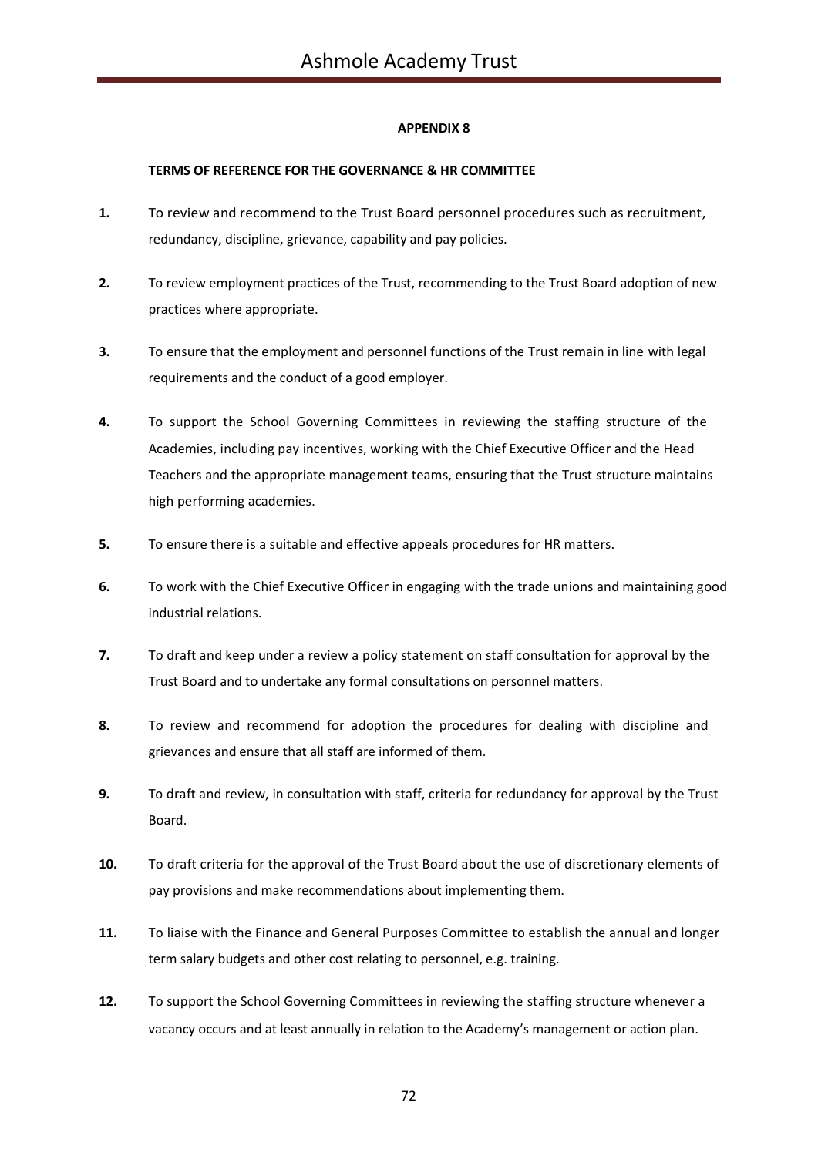## **TERMS OF REFERENCE FOR THE GOVERNANCE & HR COMMITTEE**

- **1.** To review and recommend to the Trust Board personnel procedures such as recruitment, redundancy, discipline, grievance, capability and pay policies.
- **2.** To review employment practices of the Trust, recommending to the Trust Board adoption of new practices where appropriate.
- **3.** To ensure that the employment and personnel functions of the Trust remain in line with legal requirements and the conduct of a good employer.
- **4.** To support the School Governing Committees in reviewing the staffing structure of the Academies, including pay incentives, working with the Chief Executive Officer and the Head Teachers and the appropriate management teams, ensuring that the Trust structure maintains high performing academies.
- **5.** To ensure there is a suitable and effective appeals procedures for HR matters.
- **6.** To work with the Chief Executive Officer in engaging with the trade unions and maintaining good industrial relations.
- **7.** To draft and keep under a review a policy statement on staff consultation for approval by the Trust Board and to undertake any formal consultations on personnel matters.
- **8.** To review and recommend for adoption the procedures for dealing with discipline and grievances and ensure that all staff are informed of them.
- **9.** To draft and review, in consultation with staff, criteria for redundancy for approval by the Trust Board.
- **10.** To draft criteria for the approval of the Trust Board about the use of discretionary elements of pay provisions and make recommendations about implementing them.
- **11.** To liaise with the Finance and General Purposes Committee to establish the annual and longer term salary budgets and other cost relating to personnel, e.g. training.
- **12.** To support the School Governing Committees in reviewing the staffing structure whenever a vacancy occurs and at least annually in relation to the Academy's management or action plan.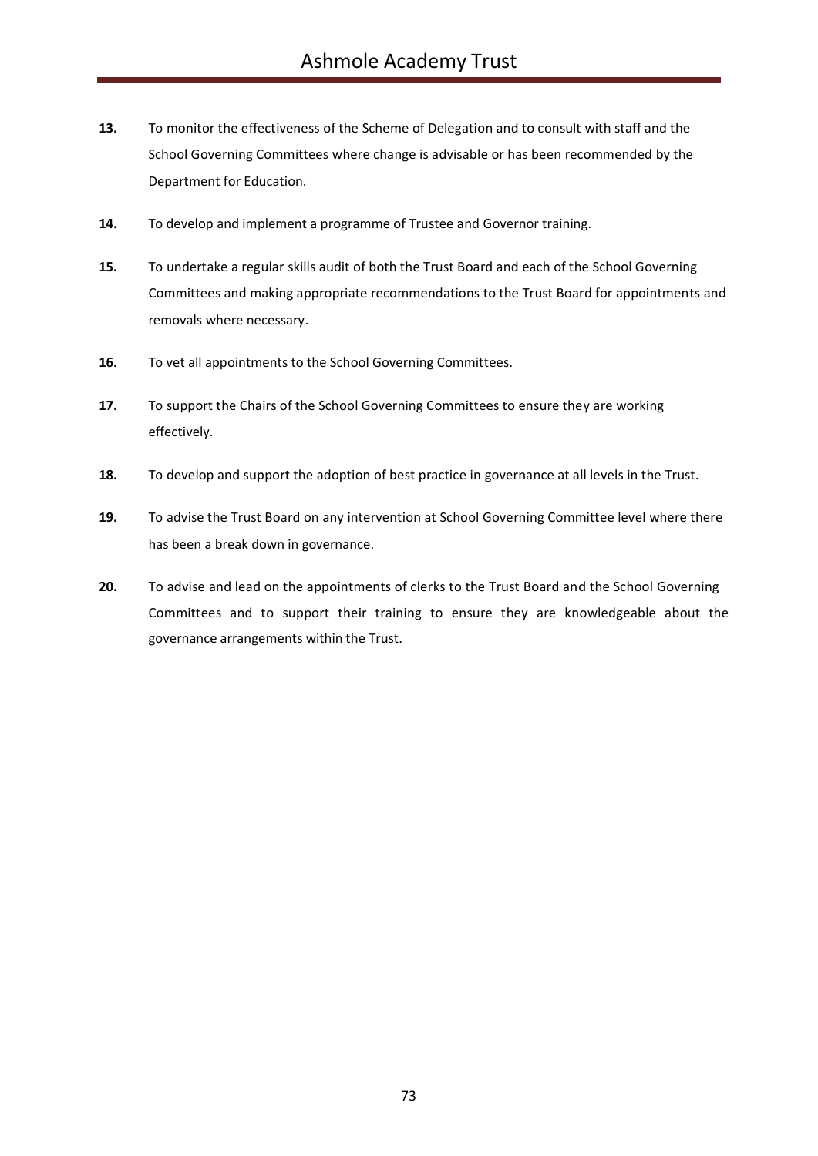- **13.** To monitor the effectiveness of the Scheme of Delegation and to consult with staff and the School Governing Committees where change is advisable or has been recommended by the Department for Education.
- **14.** To develop and implement a programme of Trustee and Governor training.
- **15.** To undertake a regular skills audit of both the Trust Board and each of the School Governing Committees and making appropriate recommendations to the Trust Board for appointments and removals where necessary.
- **16.** To vet all appointments to the School Governing Committees.
- **17.** To support the Chairs of the School Governing Committees to ensure they are working effectively.
- **18.** To develop and support the adoption of best practice in governance at all levels in the Trust.
- **19.** To advise the Trust Board on any intervention at School Governing Committee level where there has been a break down in governance.
- **20.** To advise and lead on the appointments of clerks to the Trust Board and the School Governing Committees and to support their training to ensure they are knowledgeable about the governance arrangements within the Trust.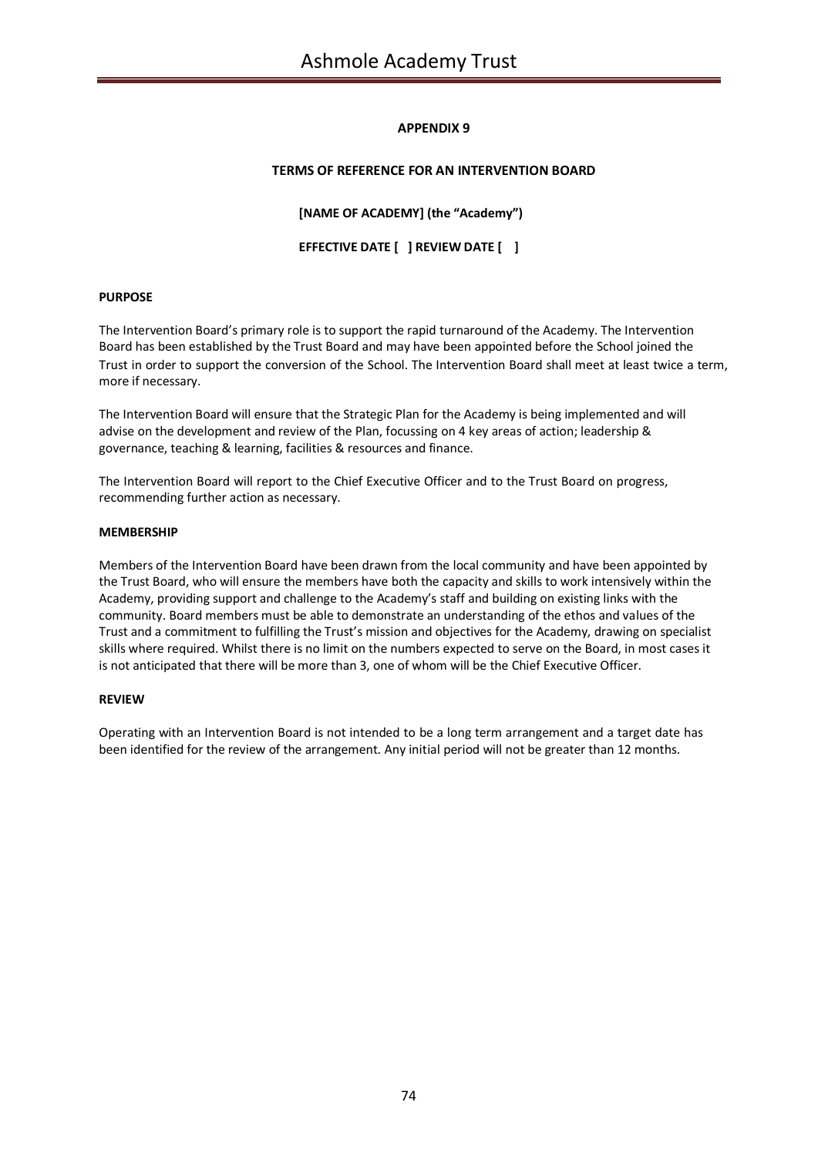## **APPENDIX 9**

### **TERMS OF REFERENCE FOR AN INTERVENTION BOARD**

**[NAME OF ACADEMY] (the "Academy")**

**EFFECTIVE DATE [ ] REVIEW DATE [ ]**

#### **PURPOSE**

The Intervention Board's primary role is to support the rapid turnaround of the Academy. The Intervention Board has been established by the Trust Board and may have been appointed before the School joined the Trust in order to support the conversion of the School. The Intervention Board shall meet at least twice a term, more if necessary.

The Intervention Board will ensure that the Strategic Plan for the Academy is being implemented and will advise on the development and review of the Plan, focussing on 4 key areas of action; leadership & governance, teaching & learning, facilities & resources and finance.

The Intervention Board will report to the Chief Executive Officer and to the Trust Board on progress, recommending further action as necessary.

#### **MEMBERSHIP**

Members of the Intervention Board have been drawn from the local community and have been appointed by the Trust Board, who will ensure the members have both the capacity and skills to work intensively within the Academy, providing support and challenge to the Academy's staff and building on existing links with the community. Board members must be able to demonstrate an understanding of the ethos and values of the Trust and a commitment to fulfilling the Trust's mission and objectives for the Academy, drawing on specialist skills where required. Whilst there is no limit on the numbers expected to serve on the Board, in most cases it is not anticipated that there will be more than 3, one of whom will be the Chief Executive Officer.

#### **REVIEW**

Operating with an Intervention Board is not intended to be a long term arrangement and a target date has been identified for the review of the arrangement. Any initial period will not be greater than 12 months.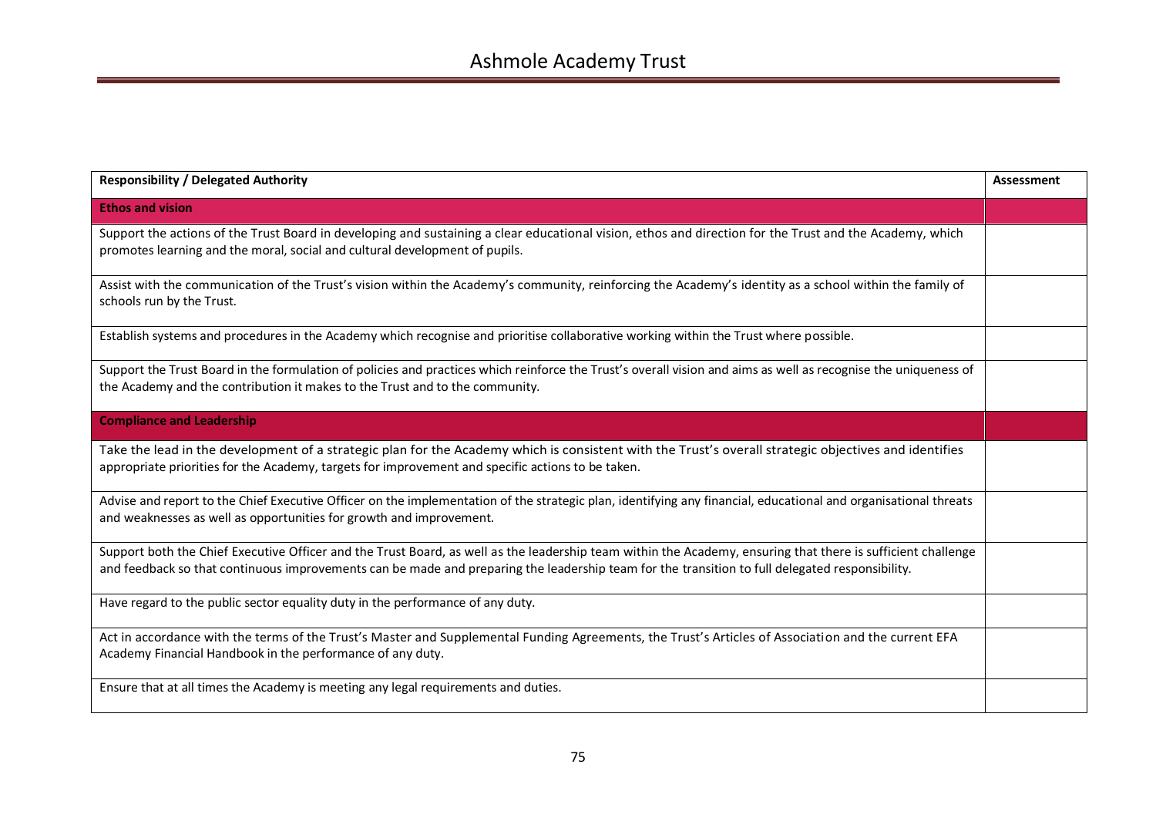| <b>Responsibility / Delegated Authority</b>                                                                                                                                                                                                                                                                     | Assessment |
|-----------------------------------------------------------------------------------------------------------------------------------------------------------------------------------------------------------------------------------------------------------------------------------------------------------------|------------|
| <b>Ethos and vision</b>                                                                                                                                                                                                                                                                                         |            |
| Support the actions of the Trust Board in developing and sustaining a clear educational vision, ethos and direction for the Trust and the Academy, which<br>promotes learning and the moral, social and cultural development of pupils.                                                                         |            |
| Assist with the communication of the Trust's vision within the Academy's community, reinforcing the Academy's identity as a school within the family of<br>schools run by the Trust.                                                                                                                            |            |
| Establish systems and procedures in the Academy which recognise and prioritise collaborative working within the Trust where possible.                                                                                                                                                                           |            |
| Support the Trust Board in the formulation of policies and practices which reinforce the Trust's overall vision and aims as well as recognise the uniqueness of<br>the Academy and the contribution it makes to the Trust and to the community.                                                                 |            |
| <b>Compliance and Leadership</b>                                                                                                                                                                                                                                                                                |            |
| Take the lead in the development of a strategic plan for the Academy which is consistent with the Trust's overall strategic objectives and identifies<br>appropriate priorities for the Academy, targets for improvement and specific actions to be taken.                                                      |            |
| Advise and report to the Chief Executive Officer on the implementation of the strategic plan, identifying any financial, educational and organisational threats<br>and weaknesses as well as opportunities for growth and improvement.                                                                          |            |
| Support both the Chief Executive Officer and the Trust Board, as well as the leadership team within the Academy, ensuring that there is sufficient challenge<br>and feedback so that continuous improvements can be made and preparing the leadership team for the transition to full delegated responsibility. |            |
| Have regard to the public sector equality duty in the performance of any duty.                                                                                                                                                                                                                                  |            |
| Act in accordance with the terms of the Trust's Master and Supplemental Funding Agreements, the Trust's Articles of Association and the current EFA<br>Academy Financial Handbook in the performance of any duty.                                                                                               |            |
| Ensure that at all times the Academy is meeting any legal requirements and duties.                                                                                                                                                                                                                              |            |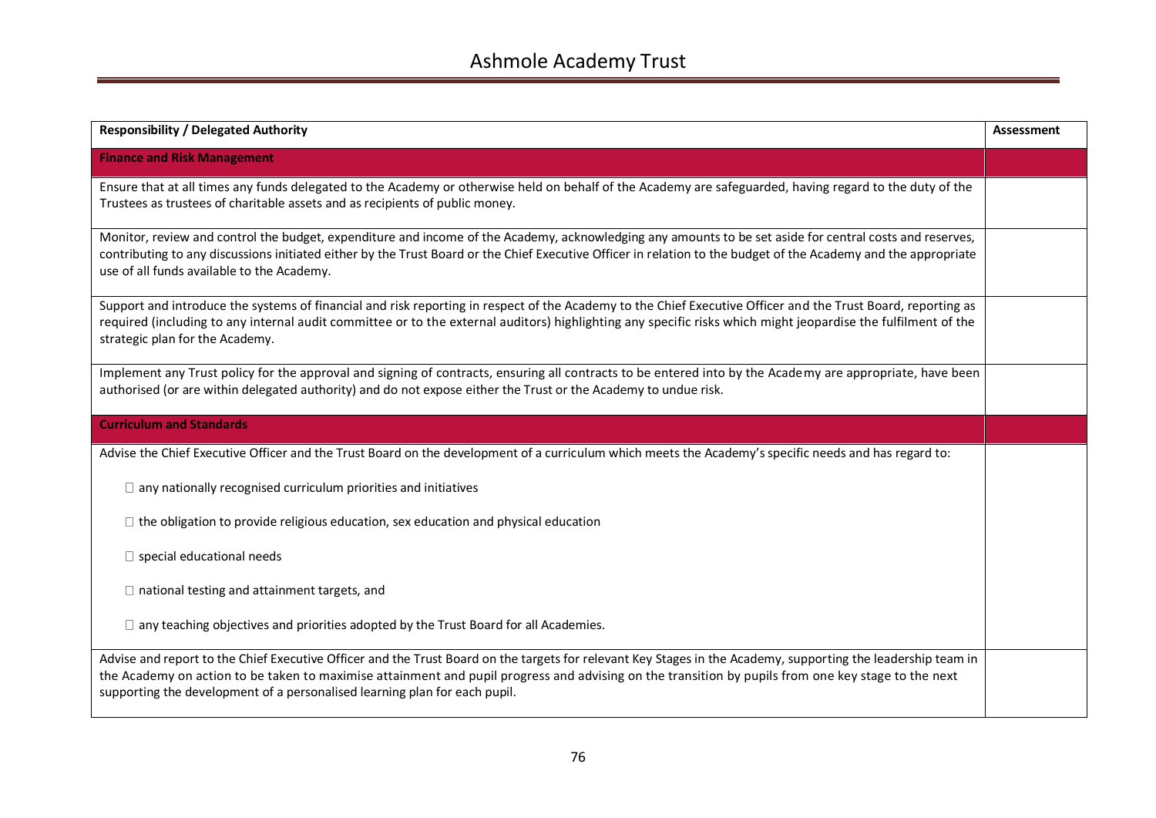| <b>Responsibility / Delegated Authority</b>                                                                                                                                                                                                                                                                                                                                                        | <b>Assessment</b> |
|----------------------------------------------------------------------------------------------------------------------------------------------------------------------------------------------------------------------------------------------------------------------------------------------------------------------------------------------------------------------------------------------------|-------------------|
| <b>Finance and Risk Management</b>                                                                                                                                                                                                                                                                                                                                                                 |                   |
| Ensure that at all times any funds delegated to the Academy or otherwise held on behalf of the Academy are safeguarded, having regard to the duty of the<br>Trustees as trustees of charitable assets and as recipients of public money.                                                                                                                                                           |                   |
| Monitor, review and control the budget, expenditure and income of the Academy, acknowledging any amounts to be set aside for central costs and reserves,<br>contributing to any discussions initiated either by the Trust Board or the Chief Executive Officer in relation to the budget of the Academy and the appropriate<br>use of all funds available to the Academy.                          |                   |
| Support and introduce the systems of financial and risk reporting in respect of the Academy to the Chief Executive Officer and the Trust Board, reporting as<br>required (including to any internal audit committee or to the external auditors) highlighting any specific risks which might jeopardise the fulfilment of the<br>strategic plan for the Academy.                                   |                   |
| Implement any Trust policy for the approval and signing of contracts, ensuring all contracts to be entered into by the Academy are appropriate, have been<br>authorised (or are within delegated authority) and do not expose either the Trust or the Academy to undue risk.                                                                                                                       |                   |
| <b>Curriculum and Standards</b>                                                                                                                                                                                                                                                                                                                                                                    |                   |
| Advise the Chief Executive Officer and the Trust Board on the development of a curriculum which meets the Academy's specific needs and has regard to:                                                                                                                                                                                                                                              |                   |
| $\Box$ any nationally recognised curriculum priorities and initiatives                                                                                                                                                                                                                                                                                                                             |                   |
| $\Box$ the obligation to provide religious education, sex education and physical education                                                                                                                                                                                                                                                                                                         |                   |
| $\square$ special educational needs                                                                                                                                                                                                                                                                                                                                                                |                   |
| $\Box$ national testing and attainment targets, and                                                                                                                                                                                                                                                                                                                                                |                   |
| $\Box$ any teaching objectives and priorities adopted by the Trust Board for all Academies.                                                                                                                                                                                                                                                                                                        |                   |
| Advise and report to the Chief Executive Officer and the Trust Board on the targets for relevant Key Stages in the Academy, supporting the leadership team in<br>the Academy on action to be taken to maximise attainment and pupil progress and advising on the transition by pupils from one key stage to the next<br>supporting the development of a personalised learning plan for each pupil. |                   |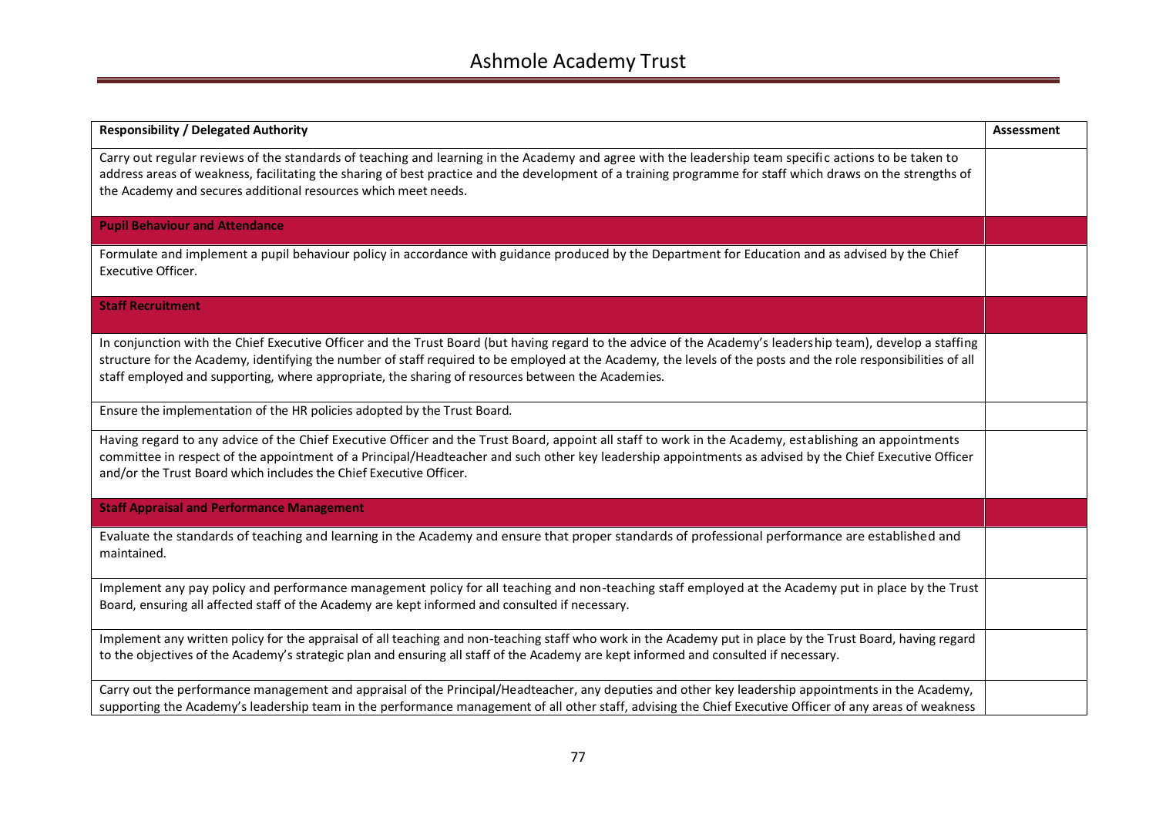| <b>Responsibility / Delegated Authority</b>                                                                                                                                                                                                                                                                                                                                                                                        | Assessment |
|------------------------------------------------------------------------------------------------------------------------------------------------------------------------------------------------------------------------------------------------------------------------------------------------------------------------------------------------------------------------------------------------------------------------------------|------------|
| Carry out regular reviews of the standards of teaching and learning in the Academy and agree with the leadership team specific actions to be taken to<br>address areas of weakness, facilitating the sharing of best practice and the development of a training programme for staff which draws on the strengths of<br>the Academy and secures additional resources which meet needs.                                              |            |
| <b>Pupil Behaviour and Attendance</b>                                                                                                                                                                                                                                                                                                                                                                                              |            |
| Formulate and implement a pupil behaviour policy in accordance with guidance produced by the Department for Education and as advised by the Chief<br>Executive Officer.                                                                                                                                                                                                                                                            |            |
| <b>Staff Recruitment</b>                                                                                                                                                                                                                                                                                                                                                                                                           |            |
| In conjunction with the Chief Executive Officer and the Trust Board (but having regard to the advice of the Academy's leadership team), develop a staffing<br>structure for the Academy, identifying the number of staff required to be employed at the Academy, the levels of the posts and the role responsibilities of all<br>staff employed and supporting, where appropriate, the sharing of resources between the Academies. |            |
| Ensure the implementation of the HR policies adopted by the Trust Board.                                                                                                                                                                                                                                                                                                                                                           |            |
| Having regard to any advice of the Chief Executive Officer and the Trust Board, appoint all staff to work in the Academy, establishing an appointments<br>committee in respect of the appointment of a Principal/Headteacher and such other key leadership appointments as advised by the Chief Executive Officer<br>and/or the Trust Board which includes the Chief Executive Officer.                                            |            |
| <b>Staff Appraisal and Performance Management</b>                                                                                                                                                                                                                                                                                                                                                                                  |            |
| Evaluate the standards of teaching and learning in the Academy and ensure that proper standards of professional performance are established and<br>maintained.                                                                                                                                                                                                                                                                     |            |
| Implement any pay policy and performance management policy for all teaching and non-teaching staff employed at the Academy put in place by the Trust<br>Board, ensuring all affected staff of the Academy are kept informed and consulted if necessary.                                                                                                                                                                            |            |
| Implement any written policy for the appraisal of all teaching and non-teaching staff who work in the Academy put in place by the Trust Board, having regard<br>to the objectives of the Academy's strategic plan and ensuring all staff of the Academy are kept informed and consulted if necessary.                                                                                                                              |            |
| Carry out the performance management and appraisal of the Principal/Headteacher, any deputies and other key leadership appointments in the Academy,<br>supporting the Academy's leadership team in the performance management of all other staff, advising the Chief Executive Officer of any areas of weakness                                                                                                                    |            |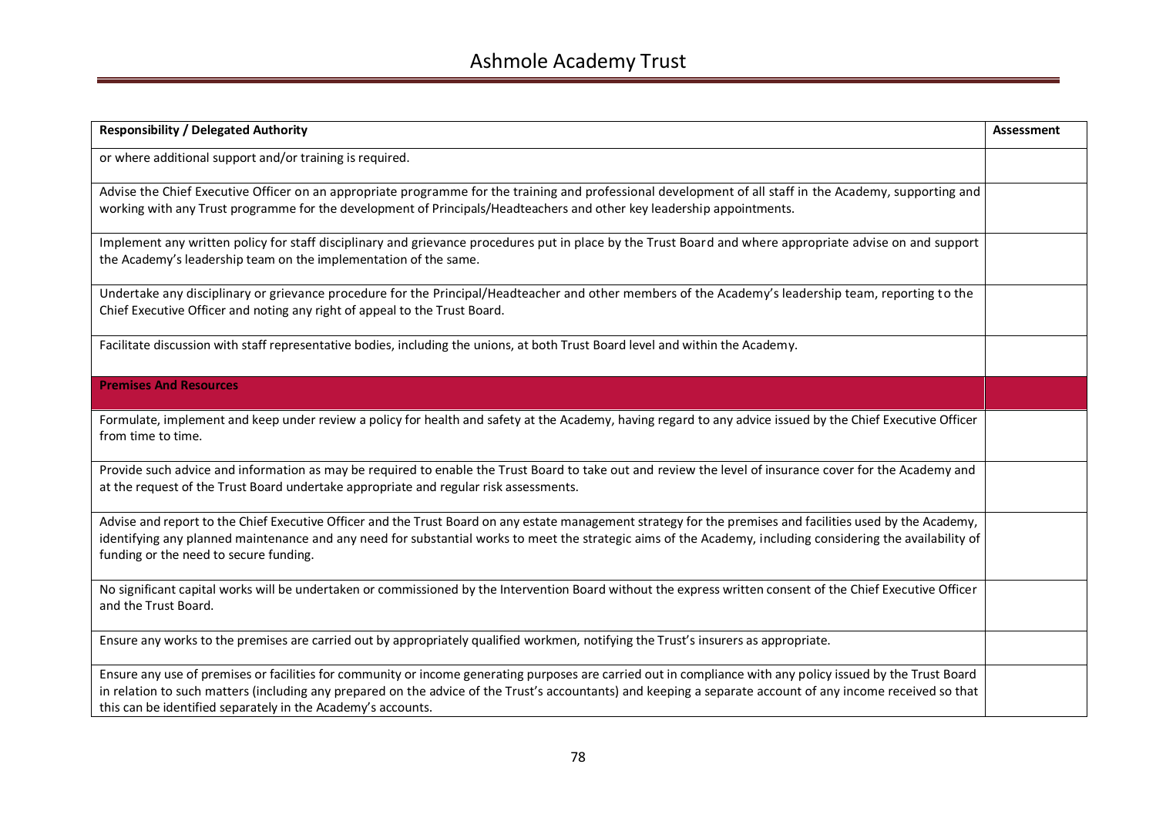| <b>Responsibility / Delegated Authority</b>                                                                                                                                                                                                                                                                                                                                                 | <b>Assessment</b> |
|---------------------------------------------------------------------------------------------------------------------------------------------------------------------------------------------------------------------------------------------------------------------------------------------------------------------------------------------------------------------------------------------|-------------------|
| or where additional support and/or training is required.                                                                                                                                                                                                                                                                                                                                    |                   |
| Advise the Chief Executive Officer on an appropriate programme for the training and professional development of all staff in the Academy, supporting and<br>working with any Trust programme for the development of Principals/Headteachers and other key leadership appointments.                                                                                                          |                   |
| Implement any written policy for staff disciplinary and grievance procedures put in place by the Trust Board and where appropriate advise on and support<br>the Academy's leadership team on the implementation of the same.                                                                                                                                                                |                   |
| Undertake any disciplinary or grievance procedure for the Principal/Headteacher and other members of the Academy's leadership team, reporting to the<br>Chief Executive Officer and noting any right of appeal to the Trust Board.                                                                                                                                                          |                   |
| Facilitate discussion with staff representative bodies, including the unions, at both Trust Board level and within the Academy.                                                                                                                                                                                                                                                             |                   |
| <b>Premises And Resources</b>                                                                                                                                                                                                                                                                                                                                                               |                   |
| Formulate, implement and keep under review a policy for health and safety at the Academy, having regard to any advice issued by the Chief Executive Officer<br>from time to time.                                                                                                                                                                                                           |                   |
| Provide such advice and information as may be required to enable the Trust Board to take out and review the level of insurance cover for the Academy and<br>at the request of the Trust Board undertake appropriate and regular risk assessments.                                                                                                                                           |                   |
| Advise and report to the Chief Executive Officer and the Trust Board on any estate management strategy for the premises and facilities used by the Academy,<br>identifying any planned maintenance and any need for substantial works to meet the strategic aims of the Academy, including considering the availability of<br>funding or the need to secure funding.                        |                   |
| No significant capital works will be undertaken or commissioned by the Intervention Board without the express written consent of the Chief Executive Officer<br>and the Trust Board.                                                                                                                                                                                                        |                   |
| Ensure any works to the premises are carried out by appropriately qualified workmen, notifying the Trust's insurers as appropriate.                                                                                                                                                                                                                                                         |                   |
| Ensure any use of premises or facilities for community or income generating purposes are carried out in compliance with any policy issued by the Trust Board<br>in relation to such matters (including any prepared on the advice of the Trust's accountants) and keeping a separate account of any income received so that<br>this can be identified separately in the Academy's accounts. |                   |